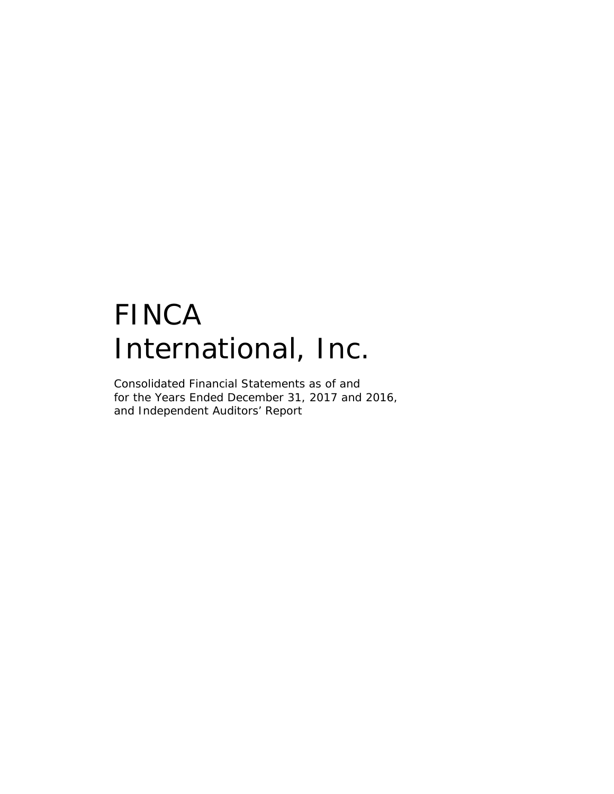# FINCA International, Inc.

Consolidated Financial Statements as of and for the Years Ended December 31, 2017 and 2016, and Independent Auditors' Report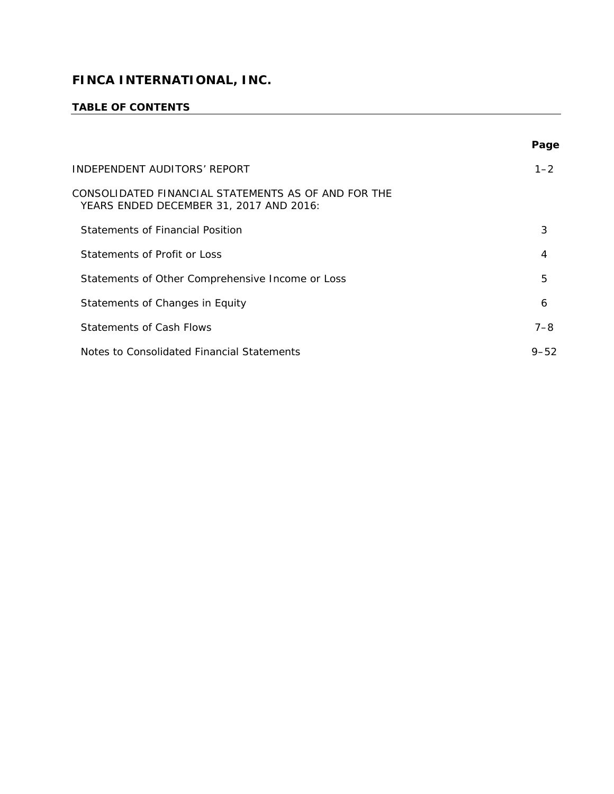# **TABLE OF CONTENTS**

|                                                                                                | Page     |
|------------------------------------------------------------------------------------------------|----------|
| INDEPENDENT AUDITORS' REPORT                                                                   | $1 - 2$  |
| CONSOLIDATED FINANCIAL STATEMENTS AS OF AND FOR THE<br>YEARS ENDED DECEMBER 31, 2017 AND 2016: |          |
| Statements of Financial Position                                                               | 3        |
| Statements of Profit or Loss                                                                   | 4        |
| Statements of Other Comprehensive Income or Loss                                               | 5        |
| Statements of Changes in Equity                                                                | 6        |
| <b>Statements of Cash Flows</b>                                                                | $7 - 8$  |
| Notes to Consolidated Financial Statements                                                     | $9 - 52$ |

<u> 1989 - Johann Stoff, deutscher Stoffen und der Stoffen und der Stoffen und der Stoffen und der Stoffen und der</u>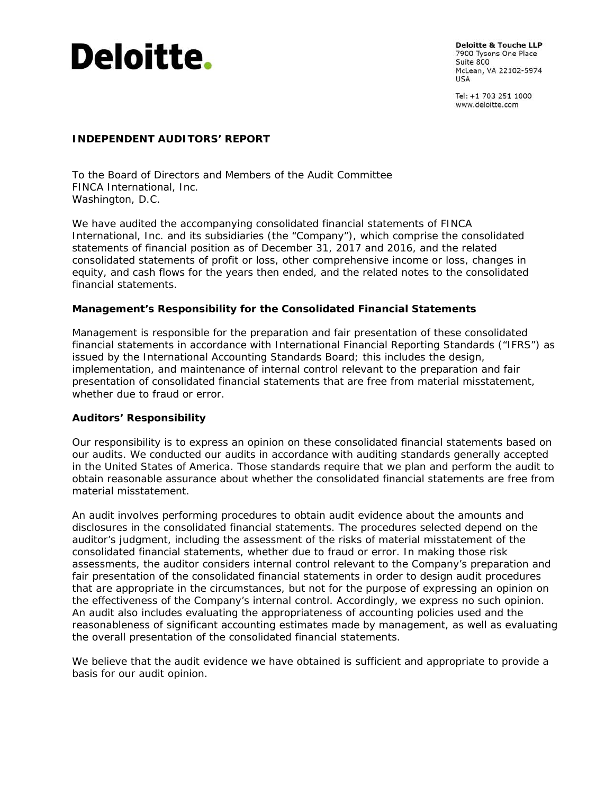

**Deloitte & Touche LLP** 7900 Tysons One Place Suite 800 McLean, VA 22102-5974  $115A$ 

Tel: +1 703 251 1000 www.deloitte.com

#### **INDEPENDENT AUDITORS' REPORT**

To the Board of Directors and Members of the Audit Committee FINCA International, Inc. Washington, D.C.

We have audited the accompanying consolidated financial statements of FINCA International, Inc. and its subsidiaries (the "Company"), which comprise the consolidated statements of financial position as of December 31, 2017 and 2016, and the related consolidated statements of profit or loss, other comprehensive income or loss, changes in equity, and cash flows for the years then ended, and the related notes to the consolidated financial statements.

#### **Management's Responsibility for the Consolidated Financial Statements**

Management is responsible for the preparation and fair presentation of these consolidated financial statements in accordance with International Financial Reporting Standards ("IFRS") as issued by the International Accounting Standards Board; this includes the design, implementation, and maintenance of internal control relevant to the preparation and fair presentation of consolidated financial statements that are free from material misstatement, whether due to fraud or error.

#### **Auditors' Responsibility**

Our responsibility is to express an opinion on these consolidated financial statements based on our audits. We conducted our audits in accordance with auditing standards generally accepted in the United States of America. Those standards require that we plan and perform the audit to obtain reasonable assurance about whether the consolidated financial statements are free from material misstatement.

An audit involves performing procedures to obtain audit evidence about the amounts and disclosures in the consolidated financial statements. The procedures selected depend on the auditor's judgment, including the assessment of the risks of material misstatement of the consolidated financial statements, whether due to fraud or error. In making those risk assessments, the auditor considers internal control relevant to the Company's preparation and fair presentation of the consolidated financial statements in order to design audit procedures that are appropriate in the circumstances, but not for the purpose of expressing an opinion on the effectiveness of the Company's internal control. Accordingly, we express no such opinion. An audit also includes evaluating the appropriateness of accounting policies used and the reasonableness of significant accounting estimates made by management, as well as evaluating the overall presentation of the consolidated financial statements.

We believe that the audit evidence we have obtained is sufficient and appropriate to provide a basis for our audit opinion.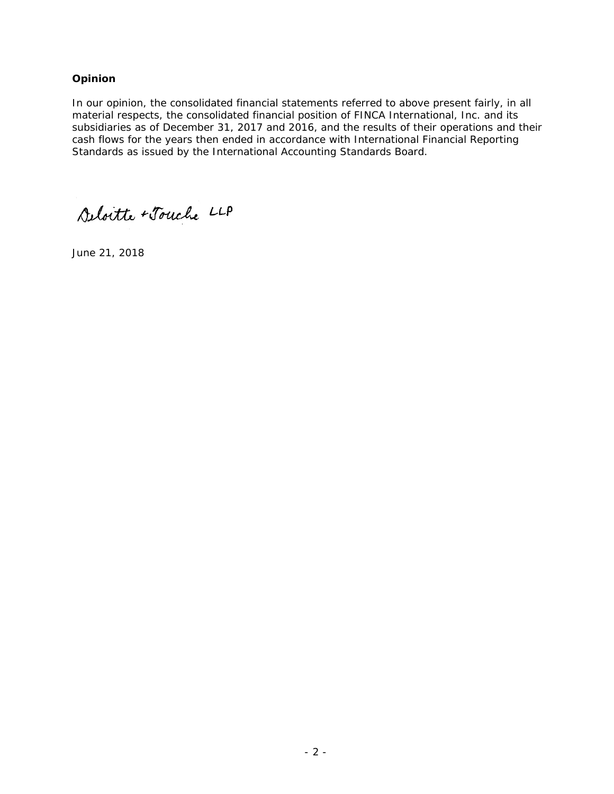#### **Opinion**

In our opinion, the consolidated financial statements referred to above present fairly, in all material respects, the consolidated financial position of FINCA International, Inc. and its subsidiaries as of December 31, 2017 and 2016, and the results of their operations and their cash flows for the years then ended in accordance with International Financial Reporting Standards as issued by the International Accounting Standards Board.

Deloitte + Touche LLP

June 21, 2018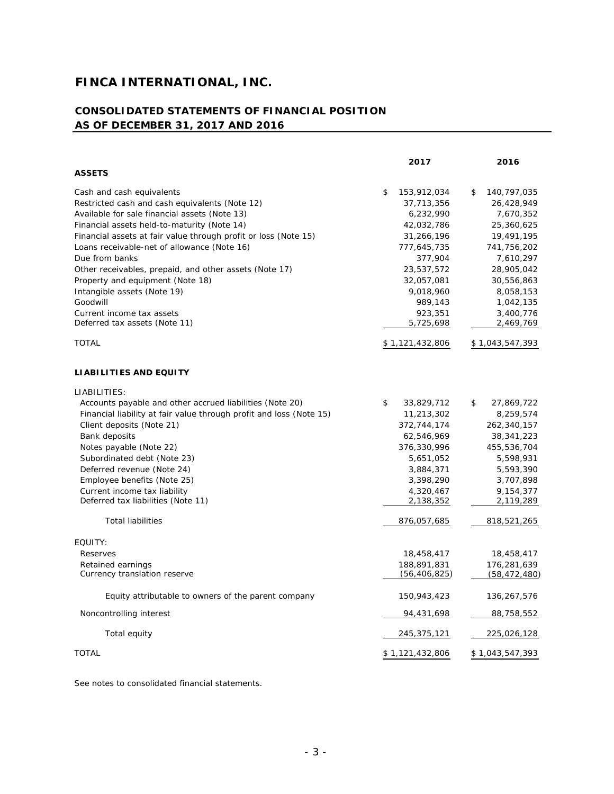# **CONSOLIDATED STATEMENTS OF FINANCIAL POSITION AS OF DECEMBER 31, 2017 AND 2016**

|                                                                     | 2017              | 2016              |
|---------------------------------------------------------------------|-------------------|-------------------|
| <b>ASSETS</b>                                                       |                   |                   |
| Cash and cash equivalents                                           | \$<br>153,912,034 | 140,797,035<br>\$ |
| Restricted cash and cash equivalents (Note 12)                      | 37,713,356        | 26,428,949        |
| Available for sale financial assets (Note 13)                       | 6,232,990         | 7,670,352         |
| Financial assets held-to-maturity (Note 14)                         | 42,032,786        | 25,360,625        |
| Financial assets at fair value through profit or loss (Note 15)     | 31,266,196        | 19,491,195        |
| Loans receivable-net of allowance (Note 16)                         | 777,645,735       | 741,756,202       |
| Due from banks                                                      | 377,904           | 7,610,297         |
| Other receivables, prepaid, and other assets (Note 17)              | 23,537,572        | 28,905,042        |
| Property and equipment (Note 18)                                    | 32,057,081        | 30,556,863        |
| Intangible assets (Note 19)                                         | 9,018,960         | 8,058,153         |
| Goodwill                                                            | 989,143           | 1,042,135         |
| Current income tax assets                                           | 923,351           | 3,400,776         |
| Deferred tax assets (Note 11)                                       | 5,725,698         | 2,469,769         |
| <b>TOTAL</b>                                                        | \$ 1,121,432,806  | \$1,043,547,393   |
| LIABILITIES AND EQUITY                                              |                   |                   |
| LIABILITIES:                                                        |                   |                   |
| Accounts payable and other accrued liabilities (Note 20)            | \$<br>33,829,712  | \$<br>27,869,722  |
| Financial liability at fair value through profit and loss (Note 15) | 11,213,302        | 8,259,574         |
| Client deposits (Note 21)                                           | 372,744,174       | 262,340,157       |
| Bank deposits                                                       | 62,546,969        | 38, 341, 223      |
| Notes payable (Note 22)                                             | 376,330,996       | 455,536,704       |
| Subordinated debt (Note 23)                                         | 5,651,052         | 5,598,931         |
| Deferred revenue (Note 24)                                          | 3,884,371         | 5,593,390         |
| Employee benefits (Note 25)                                         | 3,398,290         | 3,707,898         |
| Current income tax liability                                        | 4,320,467         | 9,154,377         |
| Deferred tax liabilities (Note 11)                                  | 2,138,352         | 2,119,289         |
| <b>Total liabilities</b>                                            | 876,057,685       | 818,521,265       |
| EQUITY:                                                             |                   |                   |
| Reserves                                                            | 18,458,417        | 18,458,417        |
| Retained earnings                                                   | 188,891,831       | 176,281,639       |
| Currency translation reserve                                        | (56, 406, 825)    | (58, 472, 480)    |
| Equity attributable to owners of the parent company                 | 150,943,423       | 136,267,576       |
| Noncontrolling interest                                             | 94,431,698        | 88,758,552        |
| Total equity                                                        | 245,375,121       | 225,026,128       |
| <b>TOTAL</b>                                                        | \$ 1,121,432,806  | \$1,043,547,393   |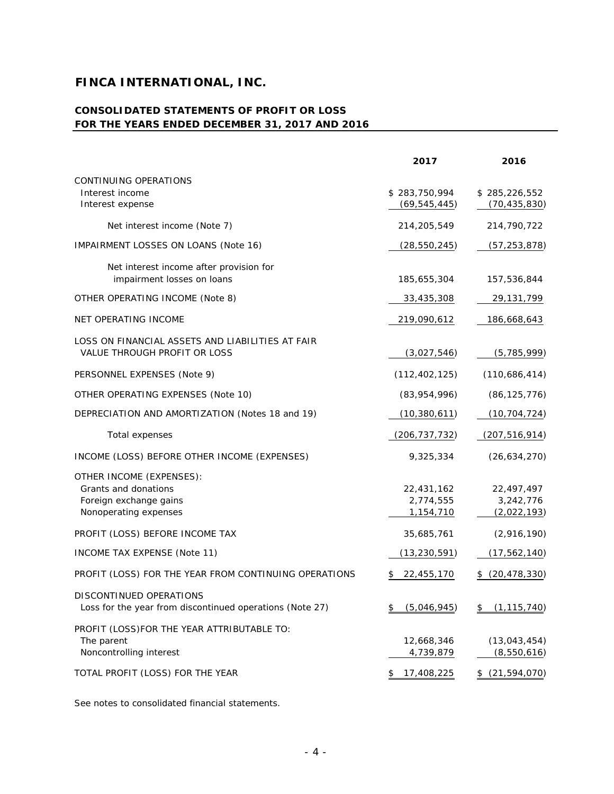# **CONSOLIDATED STATEMENTS OF PROFIT OR LOSS FOR THE YEARS ENDED DECEMBER 31, 2017 AND 2016**

|                                                                                                     | 2017                                 | 2016                                   |
|-----------------------------------------------------------------------------------------------------|--------------------------------------|----------------------------------------|
| CONTINUING OPERATIONS<br>Interest income<br>Interest expense                                        | \$283,750,994<br>(69, 545, 445)      | \$285,226,552<br>(70, 435, 830)        |
| Net interest income (Note 7)                                                                        | 214,205,549                          | 214,790,722                            |
| IMPAIRMENT LOSSES ON LOANS (Note 16)                                                                | (28, 550, 245)                       | (57, 253, 878)                         |
| Net interest income after provision for<br>impairment losses on loans                               | 185,655,304                          | 157,536,844                            |
| OTHER OPERATING INCOME (Note 8)                                                                     | 33,435,308                           | 29, 131, 799                           |
| NET OPERATING INCOME                                                                                | 219,090,612                          | 186,668,643                            |
| LOSS ON FINANCIAL ASSETS AND LIABILITIES AT FAIR<br>VALUE THROUGH PROFIT OR LOSS                    | (3,027,546)                          | (5, 785, 999)                          |
| PERSONNEL EXPENSES (Note 9)                                                                         | (112, 402, 125)                      | (110,686,414)                          |
| OTHER OPERATING EXPENSES (Note 10)                                                                  | (83,954,996)                         | (86, 125, 776)                         |
| DEPRECIATION AND AMORTIZATION (Notes 18 and 19)                                                     | (10, 380, 611)                       | (10, 704, 724)                         |
| Total expenses                                                                                      | (206, 737, 732)                      | (207, 516, 914)                        |
| INCOME (LOSS) BEFORE OTHER INCOME (EXPENSES)                                                        | 9,325,334                            | (26, 634, 270)                         |
| OTHER INCOME (EXPENSES):<br>Grants and donations<br>Foreign exchange gains<br>Nonoperating expenses | 22,431,162<br>2,774,555<br>1,154,710 | 22,497,497<br>3,242,776<br>(2,022,193) |
| PROFIT (LOSS) BEFORE INCOME TAX                                                                     | 35,685,761                           | (2,916,190)                            |
| INCOME TAX EXPENSE (Note 11)                                                                        | (13, 230, 591)                       | (17, 562, 140)                         |
| PROFIT (LOSS) FOR THE YEAR FROM CONTINUING OPERATIONS                                               | 22,455,170<br>\$                     | (20, 478, 330)<br>\$                   |
| DISCONTINUED OPERATIONS<br>Loss for the year from discontinued operations (Note 27)                 | (5,046,945)<br>\$                    | (1, 115, 740)<br>\$                    |
| PROFIT (LOSS)FOR THE YEAR ATTRIBUTABLE TO:<br>The parent<br>Noncontrolling interest                 | 12,668,346<br>4,739,879              | (13,043,454)<br>(8,550,616)            |
| TOTAL PROFIT (LOSS) FOR THE YEAR                                                                    | 17,408,225<br>\$                     | (21, 594, 070)<br>\$                   |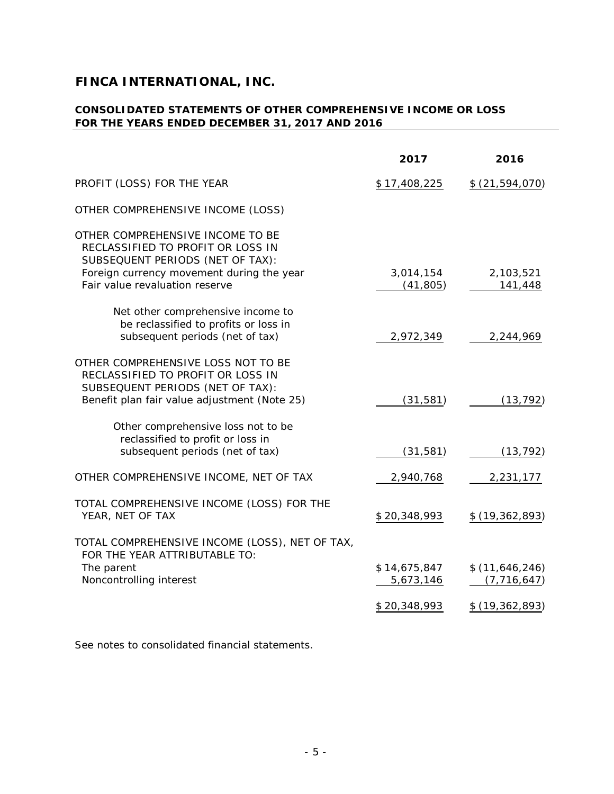# **CONSOLIDATED STATEMENTS OF OTHER COMPREHENSIVE INCOME OR LOSS FOR THE YEARS ENDED DECEMBER 31, 2017 AND 2016**

|                                                                                                                                                                                          | 2017                                      | 2016                                                |
|------------------------------------------------------------------------------------------------------------------------------------------------------------------------------------------|-------------------------------------------|-----------------------------------------------------|
| PROFIT (LOSS) FOR THE YEAR                                                                                                                                                               | \$17,408,225                              | \$(21, 594, 070)                                    |
| OTHER COMPREHENSIVE INCOME (LOSS)                                                                                                                                                        |                                           |                                                     |
| OTHER COMPREHENSIVE INCOME TO BE<br>RECLASSIFIED TO PROFIT OR LOSS IN<br>SUBSEQUENT PERIODS (NET OF TAX):<br>Foreign currency movement during the year<br>Fair value revaluation reserve | 3,014,154<br>(41, 805)                    | 2,103,521<br>141,448                                |
| Net other comprehensive income to<br>be reclassified to profits or loss in<br>subsequent periods (net of tax)                                                                            | 2,972,349                                 | 2,244,969                                           |
| OTHER COMPREHENSIVE LOSS NOT TO BE<br>RECLASSIFIED TO PROFIT OR LOSS IN<br>SUBSEQUENT PERIODS (NET OF TAX):<br>Benefit plan fair value adjustment (Note 25)                              | (31, 581)                                 | (13, 792)                                           |
| Other comprehensive loss not to be<br>reclassified to profit or loss in<br>subsequent periods (net of tax)                                                                               | (31, 581)                                 | (13, 792)                                           |
| OTHER COMPREHENSIVE INCOME, NET OF TAX                                                                                                                                                   | 2,940,768                                 | 2,231,177                                           |
| TOTAL COMPREHENSIVE INCOME (LOSS) FOR THE<br>YEAR, NET OF TAX                                                                                                                            | \$20,348,993                              | \$(19, 362, 893)                                    |
| TOTAL COMPREHENSIVE INCOME (LOSS), NET OF TAX,<br>FOR THE YEAR ATTRIBUTABLE TO:<br>The parent<br>Noncontrolling interest                                                                 | \$14,675,847<br>5,673,146<br>\$20,348,993 | \$(11,646,246)<br>(7, 716, 647)<br>\$(19, 362, 893) |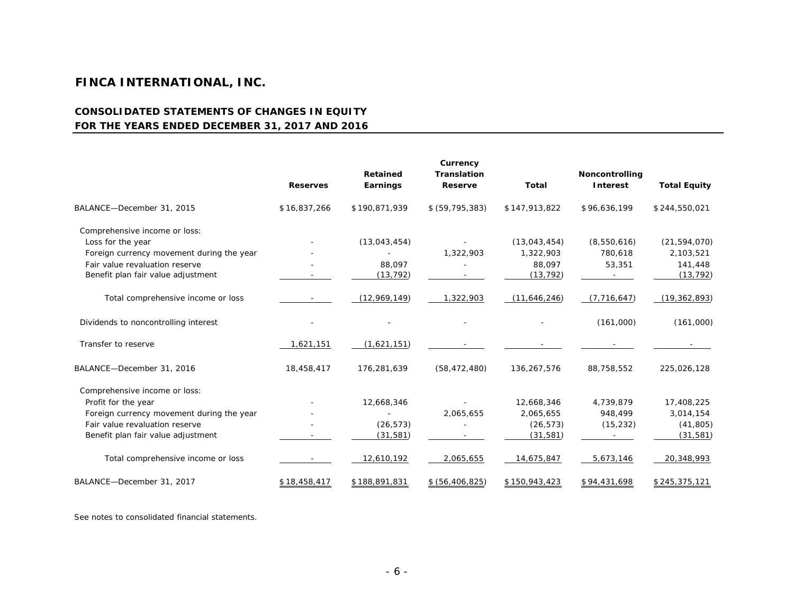#### **CONSOLIDATED STATEMENTS OF CHANGES IN EQUITY FOR THE YEARS ENDED DECEMBER 31, 2017 AND 2016**

|                                           | <b>Reserves</b> | Retained<br>Earnings | Currency<br>Translation<br>Reserve | Total         | Noncontrolling<br>Interest | <b>Total Equity</b> |
|-------------------------------------------|-----------------|----------------------|------------------------------------|---------------|----------------------------|---------------------|
| BALANCE-December 31, 2015                 | \$16,837,266    | \$190,871,939        | \$ (59, 795, 383)                  | \$147,913,822 | \$96,636,199               | \$244,550,021       |
| Comprehensive income or loss:             |                 |                      |                                    |               |                            |                     |
| Loss for the year                         |                 | (13,043,454)         |                                    | (13,043,454)  | (8,550,616)                | (21, 594, 070)      |
| Foreign currency movement during the year |                 |                      | 1,322,903                          | 1,322,903     | 780,618                    | 2,103,521           |
| Fair value revaluation reserve            |                 | 88,097               |                                    | 88,097        | 53,351                     | 141,448             |
| Benefit plan fair value adjustment        |                 | (13, 792)            |                                    | (13, 792)     |                            | (13, 792)           |
| Total comprehensive income or loss        |                 | (12,969,149)         | 1,322,903                          | (11,646,246)  | (7, 716, 647)              | (19, 362, 893)      |
| Dividends to noncontrolling interest      |                 |                      |                                    |               | (161,000)                  | (161,000)           |
| Transfer to reserve                       | 1,621,151       | (1,621,151)          |                                    |               |                            |                     |
| BALANCE-December 31, 2016                 | 18,458,417      | 176,281,639          | (58, 472, 480)                     | 136,267,576   | 88,758,552                 | 225,026,128         |
| Comprehensive income or loss:             |                 |                      |                                    |               |                            |                     |
| Profit for the year                       |                 | 12,668,346           |                                    | 12,668,346    | 4,739,879                  | 17,408,225          |
| Foreign currency movement during the year |                 |                      | 2,065,655                          | 2,065,655     | 948,499                    | 3,014,154           |
| Fair value revaluation reserve            |                 | (26, 573)            |                                    | (26, 573)     | (15, 232)                  | (41, 805)           |
| Benefit plan fair value adjustment        |                 | (31, 581)            |                                    | (31, 581)     | $\sim$                     | (31, 581)           |
| Total comprehensive income or loss        |                 | 12,610,192           | 2,065,655                          | 14,675,847    | 5,673,146                  | 20,348,993          |
| BALANCE-December 31, 2017                 | \$18,458,417    | \$188,891,831        | \$ (56, 406, 825)                  | \$150,943,423 | \$94,431,698               | \$245,375,121       |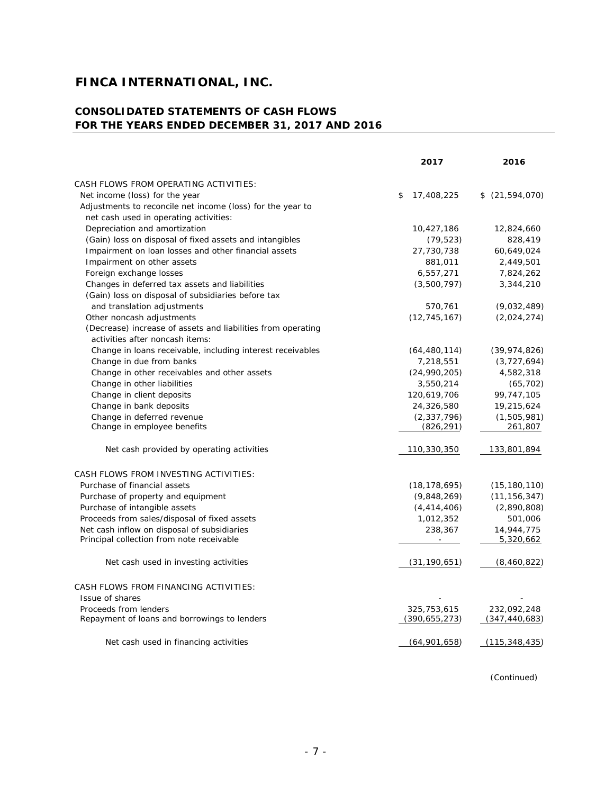# **CONSOLIDATED STATEMENTS OF CASH FLOWS FOR THE YEARS ENDED DECEMBER 31, 2017 AND 2016**

|                                                              | 2017                     | 2016            |
|--------------------------------------------------------------|--------------------------|-----------------|
| CASH FLOWS FROM OPERATING ACTIVITIES:                        |                          |                 |
| Net income (loss) for the year                               | \$<br>17,408,225         | \$(21,594,070)  |
| Adjustments to reconcile net income (loss) for the year to   |                          |                 |
| net cash used in operating activities:                       |                          |                 |
| Depreciation and amortization                                | 10,427,186               | 12,824,660      |
| (Gain) loss on disposal of fixed assets and intangibles      | (79, 523)                | 828,419         |
| Impairment on loan losses and other financial assets         | 27,730,738               | 60,649,024      |
| Impairment on other assets                                   | 881,011                  | 2,449,501       |
| Foreign exchange losses                                      | 6,557,271                | 7,824,262       |
| Changes in deferred tax assets and liabilities               | (3,500,797)              | 3,344,210       |
| (Gain) loss on disposal of subsidiaries before tax           |                          |                 |
| and translation adjustments                                  | 570,761                  | (9,032,489)     |
| Other noncash adjustments                                    | (12, 745, 167)           | (2,024,274)     |
| (Decrease) increase of assets and liabilities from operating |                          |                 |
| activities after noncash items:                              |                          |                 |
| Change in loans receivable, including interest receivables   | (64, 480, 114)           | (39, 974, 826)  |
| Change in due from banks                                     | 7,218,551                | (3, 727, 694)   |
| Change in other receivables and other assets                 | (24,990,205)             | 4,582,318       |
| Change in other liabilities                                  | 3,550,214                | (65, 702)       |
| Change in client deposits                                    | 120,619,706              | 99,747,105      |
| Change in bank deposits                                      | 24,326,580               | 19,215,624      |
| Change in deferred revenue                                   | (2, 337, 796)            | (1,505,981)     |
| Change in employee benefits                                  | (826, 291)               | 261,807         |
| Net cash provided by operating activities                    | 110,330,350              | 133,801,894     |
| CASH FLOWS FROM INVESTING ACTIVITIES:                        |                          |                 |
| Purchase of financial assets                                 | (18, 178, 695)           | (15, 180, 110)  |
| Purchase of property and equipment                           | (9,848,269)              | (11, 156, 347)  |
| Purchase of intangible assets                                | (4, 414, 406)            | (2,890,808)     |
| Proceeds from sales/disposal of fixed assets                 | 1,012,352                | 501,006         |
| Net cash inflow on disposal of subsidiaries                  | 238,367                  | 14,944,775      |
| Principal collection from note receivable                    | $\overline{\phantom{a}}$ | 5,320,662       |
| Net cash used in investing activities                        | (31, 190, 651)           | (8,460,822)     |
| CASH FLOWS FROM FINANCING ACTIVITIES:                        |                          |                 |
| Issue of shares                                              |                          |                 |
| Proceeds from lenders                                        | 325,753,615              | 232,092,248     |
| Repayment of loans and borrowings to lenders                 | (390, 655, 273)          | (347, 440, 683) |
| Net cash used in financing activities                        | (64,901,658)             | (115, 348, 435) |
|                                                              |                          |                 |

(Continued)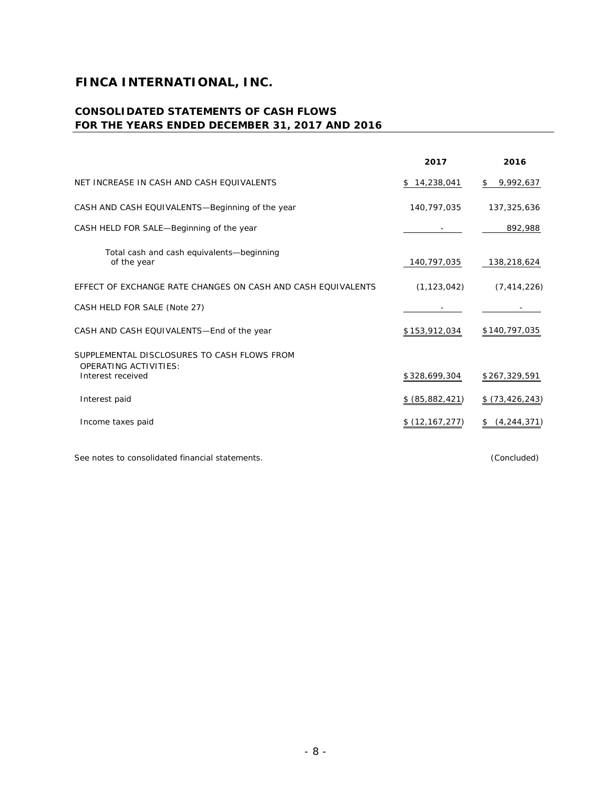# **CONSOLIDATED STATEMENTS OF CASH FLOWS FOR THE YEARS ENDED DECEMBER 31, 2017 AND 2016**

|                                                                                                  | 2017             | 2016             |
|--------------------------------------------------------------------------------------------------|------------------|------------------|
| NET INCREASE IN CASH AND CASH EOUIVALENTS                                                        | \$14,238,041     | \$9,992,637      |
| CASH AND CASH EQUIVALENTS-Beginning of the year                                                  | 140,797,035      | 137,325,636      |
| CASH HELD FOR SALE-Beginning of the year                                                         |                  | 892,988          |
| Total cash and cash equivalents-beginning<br>of the year                                         | 140,797,035      | 138,218,624      |
| EFFECT OF EXCHANGE RATE CHANGES ON CASH AND CASH EOUIVALENTS                                     | (1, 123, 042)    | (7, 414, 226)    |
| CASH HELD FOR SALE (Note 27)                                                                     |                  |                  |
| CASH AND CASH EQUIVALENTS-End of the year                                                        | \$153,912,034    | \$140,797,035    |
| SUPPLEMENTAL DISCLOSURES TO CASH FLOWS FROM<br><b>OPERATING ACTIVITIES:</b><br>Interest received | \$328,699,304    | \$267,329,591    |
| Interest paid                                                                                    | \$ (85,882,421)  | \$(73, 426, 243) |
| Income taxes paid                                                                                | \$(12, 167, 277) | \$(4, 244, 371)  |
|                                                                                                  |                  |                  |

See notes to consolidated financial statements. (Concluded) (Concluded)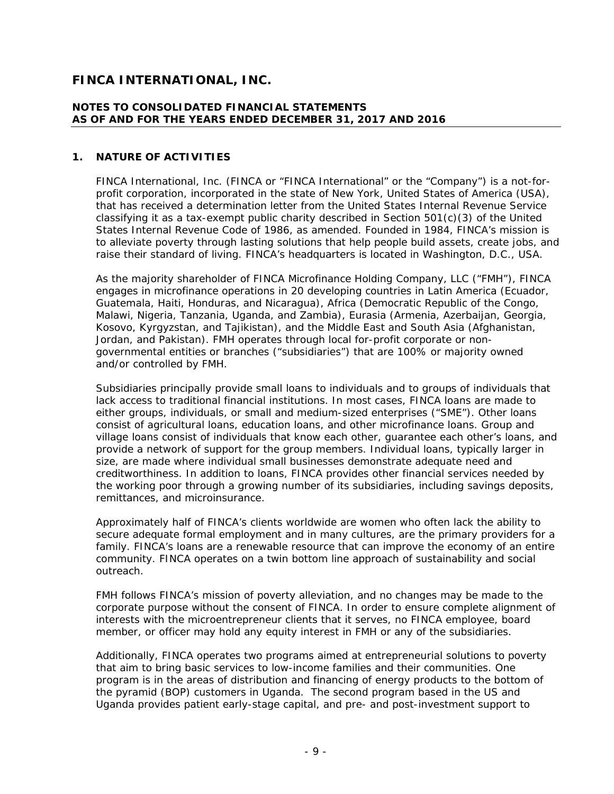#### **NOTES TO CONSOLIDATED FINANCIAL STATEMENTS AS OF AND FOR THE YEARS ENDED DECEMBER 31, 2017 AND 2016**

## **1. NATURE OF ACTIVITIES**

FINCA International, Inc. (FINCA or "FINCA International" or the "Company") is a not-forprofit corporation, incorporated in the state of New York, United States of America (USA), that has received a determination letter from the United States Internal Revenue Service classifying it as a tax-exempt public charity described in Section  $501(c)(3)$  of the United States Internal Revenue Code of 1986, as amended. Founded in 1984, FINCA's mission is to alleviate poverty through lasting solutions that help people build assets, create jobs, and raise their standard of living. FINCA's headquarters is located in Washington, D.C., USA.

As the majority shareholder of FINCA Microfinance Holding Company, LLC ("FMH"), FINCA engages in microfinance operations in 20 developing countries in Latin America (Ecuador, Guatemala, Haiti, Honduras, and Nicaragua), Africa (Democratic Republic of the Congo, Malawi, Nigeria, Tanzania, Uganda, and Zambia), Eurasia (Armenia, Azerbaijan, Georgia, Kosovo, Kyrgyzstan, and Tajikistan), and the Middle East and South Asia (Afghanistan, Jordan, and Pakistan). FMH operates through local for-profit corporate or nongovernmental entities or branches ("subsidiaries") that are 100% or majority owned and/or controlled by FMH.

Subsidiaries principally provide small loans to individuals and to groups of individuals that lack access to traditional financial institutions. In most cases, FINCA loans are made to either groups, individuals, or small and medium-sized enterprises ("SME"). Other loans consist of agricultural loans, education loans, and other microfinance loans. Group and village loans consist of individuals that know each other, guarantee each other's loans, and provide a network of support for the group members. Individual loans, typically larger in size, are made where individual small businesses demonstrate adequate need and creditworthiness. In addition to loans, FINCA provides other financial services needed by the working poor through a growing number of its subsidiaries, including savings deposits, remittances, and microinsurance.

Approximately half of FINCA's clients worldwide are women who often lack the ability to secure adequate formal employment and in many cultures, are the primary providers for a family. FINCA's loans are a renewable resource that can improve the economy of an entire community. FINCA operates on a twin bottom line approach of sustainability and social outreach.

FMH follows FINCA's mission of poverty alleviation, and no changes may be made to the corporate purpose without the consent of FINCA. In order to ensure complete alignment of interests with the microentrepreneur clients that it serves, no FINCA employee, board member, or officer may hold any equity interest in FMH or any of the subsidiaries.

Additionally, FINCA operates two programs aimed at entrepreneurial solutions to poverty that aim to bring basic services to low-income families and their communities. One program is in the areas of distribution and financing of energy products to the bottom of the pyramid (BOP) customers in Uganda. The second program based in the US and Uganda provides patient early-stage capital, and pre- and post-investment support to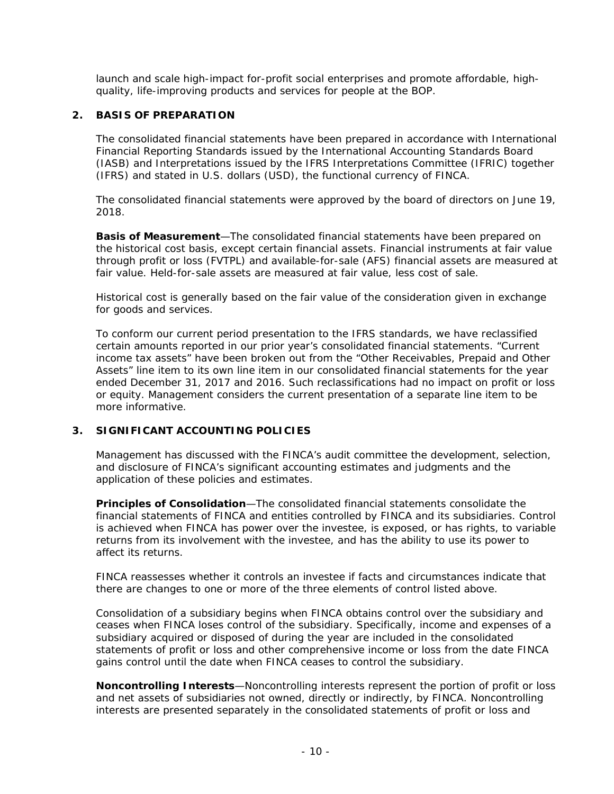launch and scale high-impact for-profit social enterprises and promote affordable, highquality, life-improving products and services for people at the BOP.

## **2. BASIS OF PREPARATION**

The consolidated financial statements have been prepared in accordance with International Financial Reporting Standards issued by the International Accounting Standards Board (IASB) and Interpretations issued by the IFRS Interpretations Committee (IFRIC) together (IFRS) and stated in U.S. dollars (USD), the functional currency of FINCA.

The consolidated financial statements were approved by the board of directors on June 19, 2018.

**Basis of Measurement**—The consolidated financial statements have been prepared on the historical cost basis, except certain financial assets. Financial instruments at fair value through profit or loss (FVTPL) and available-for-sale (AFS) financial assets are measured at fair value. Held-for-sale assets are measured at fair value, less cost of sale.

Historical cost is generally based on the fair value of the consideration given in exchange for goods and services.

To conform our current period presentation to the IFRS standards, we have reclassified certain amounts reported in our prior year's consolidated financial statements. "Current income tax assets" have been broken out from the "Other Receivables, Prepaid and Other Assets" line item to its own line item in our consolidated financial statements for the year ended December 31, 2017 and 2016. Such reclassifications had no impact on profit or loss or equity. Management considers the current presentation of a separate line item to be more informative.

# **3. SIGNIFICANT ACCOUNTING POLICIES**

Management has discussed with the FINCA's audit committee the development, selection, and disclosure of FINCA's significant accounting estimates and judgments and the application of these policies and estimates.

**Principles of Consolidation**—The consolidated financial statements consolidate the financial statements of FINCA and entities controlled by FINCA and its subsidiaries. Control is achieved when FINCA has power over the investee, is exposed, or has rights, to variable returns from its involvement with the investee, and has the ability to use its power to affect its returns.

FINCA reassesses whether it controls an investee if facts and circumstances indicate that there are changes to one or more of the three elements of control listed above.

Consolidation of a subsidiary begins when FINCA obtains control over the subsidiary and ceases when FINCA loses control of the subsidiary. Specifically, income and expenses of a subsidiary acquired or disposed of during the year are included in the consolidated statements of profit or loss and other comprehensive income or loss from the date FINCA gains control until the date when FINCA ceases to control the subsidiary.

**Noncontrolling Interests**—Noncontrolling interests represent the portion of profit or loss and net assets of subsidiaries not owned, directly or indirectly, by FINCA. Noncontrolling interests are presented separately in the consolidated statements of profit or loss and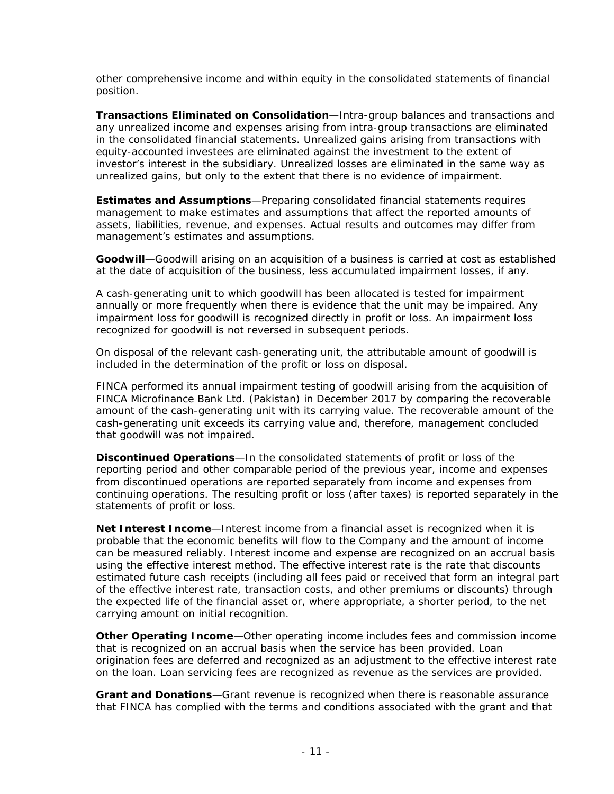other comprehensive income and within equity in the consolidated statements of financial position.

**Transactions Eliminated on Consolidation**—Intra-group balances and transactions and any unrealized income and expenses arising from intra-group transactions are eliminated in the consolidated financial statements. Unrealized gains arising from transactions with equity-accounted investees are eliminated against the investment to the extent of investor's interest in the subsidiary. Unrealized losses are eliminated in the same way as unrealized gains, but only to the extent that there is no evidence of impairment.

**Estimates and Assumptions**—Preparing consolidated financial statements requires management to make estimates and assumptions that affect the reported amounts of assets, liabilities, revenue, and expenses. Actual results and outcomes may differ from management's estimates and assumptions.

**Goodwill**—Goodwill arising on an acquisition of a business is carried at cost as established at the date of acquisition of the business, less accumulated impairment losses, if any.

A cash-generating unit to which goodwill has been allocated is tested for impairment annually or more frequently when there is evidence that the unit may be impaired. Any impairment loss for goodwill is recognized directly in profit or loss. An impairment loss recognized for goodwill is not reversed in subsequent periods.

On disposal of the relevant cash-generating unit, the attributable amount of goodwill is included in the determination of the profit or loss on disposal.

FINCA performed its annual impairment testing of goodwill arising from the acquisition of FINCA Microfinance Bank Ltd. (Pakistan) in December 2017 by comparing the recoverable amount of the cash-generating unit with its carrying value. The recoverable amount of the cash-generating unit exceeds its carrying value and, therefore, management concluded that goodwill was not impaired.

**Discontinued Operations**—In the consolidated statements of profit or loss of the reporting period and other comparable period of the previous year, income and expenses from discontinued operations are reported separately from income and expenses from continuing operations. The resulting profit or loss (after taxes) is reported separately in the statements of profit or loss.

**Net Interest Income**—Interest income from a financial asset is recognized when it is probable that the economic benefits will flow to the Company and the amount of income can be measured reliably. Interest income and expense are recognized on an accrual basis using the effective interest method. The effective interest rate is the rate that discounts estimated future cash receipts (including all fees paid or received that form an integral part of the effective interest rate, transaction costs, and other premiums or discounts) through the expected life of the financial asset or, where appropriate, a shorter period, to the net carrying amount on initial recognition.

*Other Operating Income*—Other operating income includes fees and commission income that is recognized on an accrual basis when the service has been provided. Loan origination fees are deferred and recognized as an adjustment to the effective interest rate on the loan. Loan servicing fees are recognized as revenue as the services are provided.

*Grant and Donations*—Grant revenue is recognized when there is reasonable assurance that FINCA has complied with the terms and conditions associated with the grant and that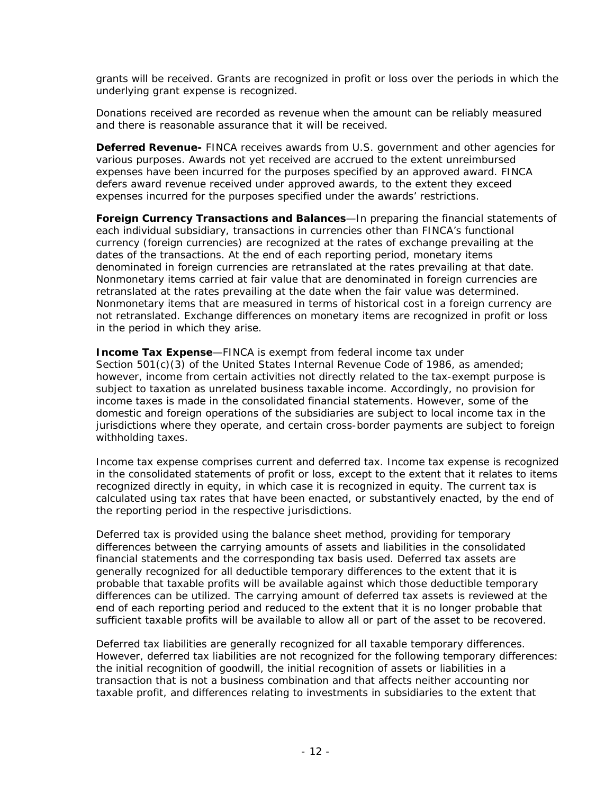grants will be received. Grants are recognized in profit or loss over the periods in which the underlying grant expense is recognized.

Donations received are recorded as revenue when the amount can be reliably measured and there is reasonable assurance that it will be received.

*Deferred Revenue-* FINCA receives awards from U.S. government and other agencies for various purposes. Awards not yet received are accrued to the extent unreimbursed expenses have been incurred for the purposes specified by an approved award. FINCA defers award revenue received under approved awards, to the extent they exceed expenses incurred for the purposes specified under the awards' restrictions.

*Foreign Currency Transactions and Balances*—In preparing the financial statements of each individual subsidiary, transactions in currencies other than FINCA's functional currency (foreign currencies) are recognized at the rates of exchange prevailing at the dates of the transactions. At the end of each reporting period, monetary items denominated in foreign currencies are retranslated at the rates prevailing at that date. Nonmonetary items carried at fair value that are denominated in foreign currencies are retranslated at the rates prevailing at the date when the fair value was determined. Nonmonetary items that are measured in terms of historical cost in a foreign currency are not retranslated. Exchange differences on monetary items are recognized in profit or loss in the period in which they arise.

**Income Tax Expense**—FINCA is exempt from federal income tax under Section 501(c)(3) of the United States Internal Revenue Code of 1986, as amended; however, income from certain activities not directly related to the tax-exempt purpose is subject to taxation as unrelated business taxable income. Accordingly, no provision for income taxes is made in the consolidated financial statements. However, some of the domestic and foreign operations of the subsidiaries are subject to local income tax in the jurisdictions where they operate, and certain cross-border payments are subject to foreign withholding taxes.

Income tax expense comprises current and deferred tax. Income tax expense is recognized in the consolidated statements of profit or loss, except to the extent that it relates to items recognized directly in equity, in which case it is recognized in equity. The current tax is calculated using tax rates that have been enacted, or substantively enacted, by the end of the reporting period in the respective jurisdictions.

Deferred tax is provided using the balance sheet method, providing for temporary differences between the carrying amounts of assets and liabilities in the consolidated financial statements and the corresponding tax basis used. Deferred tax assets are generally recognized for all deductible temporary differences to the extent that it is probable that taxable profits will be available against which those deductible temporary differences can be utilized. The carrying amount of deferred tax assets is reviewed at the end of each reporting period and reduced to the extent that it is no longer probable that sufficient taxable profits will be available to allow all or part of the asset to be recovered.

Deferred tax liabilities are generally recognized for all taxable temporary differences. However, deferred tax liabilities are not recognized for the following temporary differences: the initial recognition of goodwill, the initial recognition of assets or liabilities in a transaction that is not a business combination and that affects neither accounting nor taxable profit, and differences relating to investments in subsidiaries to the extent that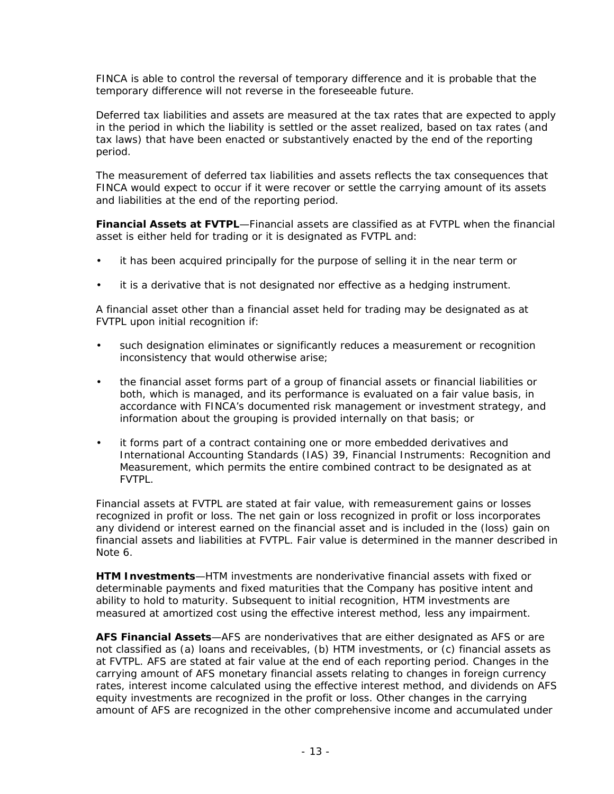FINCA is able to control the reversal of temporary difference and it is probable that the temporary difference will not reverse in the foreseeable future.

Deferred tax liabilities and assets are measured at the tax rates that are expected to apply in the period in which the liability is settled or the asset realized, based on tax rates (and tax laws) that have been enacted or substantively enacted by the end of the reporting period.

The measurement of deferred tax liabilities and assets reflects the tax consequences that FINCA would expect to occur if it were recover or settle the carrying amount of its assets and liabilities at the end of the reporting period.

*Financial Assets at FVTPL*—Financial assets are classified as at FVTPL when the financial asset is either held for trading or it is designated as FVTPL and:

- it has been acquired principally for the purpose of selling it in the near term or
- it is a derivative that is not designated nor effective as a hedging instrument.

A financial asset other than a financial asset held for trading may be designated as at FVTPL upon initial recognition if:

- such designation eliminates or significantly reduces a measurement or recognition inconsistency that would otherwise arise;
- the financial asset forms part of a group of financial assets or financial liabilities or both, which is managed, and its performance is evaluated on a fair value basis, in accordance with FINCA's documented risk management or investment strategy, and information about the grouping is provided internally on that basis; or
- it forms part of a contract containing one or more embedded derivatives and International Accounting Standards (IAS) 39, Financial Instruments: Recognition and Measurement, which permits the entire combined contract to be designated as at **FVTPL.**

Financial assets at FVTPL are stated at fair value, with remeasurement gains or losses recognized in profit or loss. The net gain or loss recognized in profit or loss incorporates any dividend or interest earned on the financial asset and is included in the (loss) gain on financial assets and liabilities at FVTPL. Fair value is determined in the manner described in Note 6.

*HTM Investments*—HTM investments are nonderivative financial assets with fixed or determinable payments and fixed maturities that the Company has positive intent and ability to hold to maturity. Subsequent to initial recognition, HTM investments are measured at amortized cost using the effective interest method, less any impairment.

*AFS Financial Assets*—AFS are nonderivatives that are either designated as AFS or are not classified as (a) loans and receivables, (b) HTM investments, or (c) financial assets as at FVTPL. AFS are stated at fair value at the end of each reporting period. Changes in the carrying amount of AFS monetary financial assets relating to changes in foreign currency rates, interest income calculated using the effective interest method, and dividends on AFS equity investments are recognized in the profit or loss. Other changes in the carrying amount of AFS are recognized in the other comprehensive income and accumulated under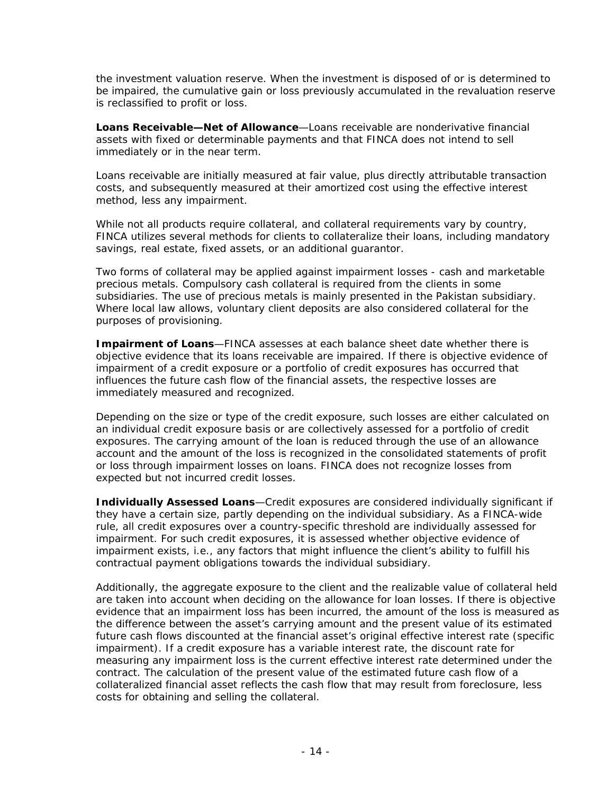the investment valuation reserve. When the investment is disposed of or is determined to be impaired, the cumulative gain or loss previously accumulated in the revaluation reserve is reclassified to profit or loss.

*Loans Receivable—Net of Allowance*—Loans receivable are nonderivative financial assets with fixed or determinable payments and that FINCA does not intend to sell immediately or in the near term.

Loans receivable are initially measured at fair value, plus directly attributable transaction costs, and subsequently measured at their amortized cost using the effective interest method, less any impairment.

While not all products require collateral, and collateral requirements vary by country, FINCA utilizes several methods for clients to collateralize their loans, including mandatory savings, real estate, fixed assets, or an additional guarantor.

Two forms of collateral may be applied against impairment losses - cash and marketable precious metals. Compulsory cash collateral is required from the clients in some subsidiaries. The use of precious metals is mainly presented in the Pakistan subsidiary. Where local law allows, voluntary client deposits are also considered collateral for the purposes of provisioning.

*Impairment of Loans*—FINCA assesses at each balance sheet date whether there is objective evidence that its loans receivable are impaired. If there is objective evidence of impairment of a credit exposure or a portfolio of credit exposures has occurred that influences the future cash flow of the financial assets, the respective losses are immediately measured and recognized.

Depending on the size or type of the credit exposure, such losses are either calculated on an individual credit exposure basis or are collectively assessed for a portfolio of credit exposures. The carrying amount of the loan is reduced through the use of an allowance account and the amount of the loss is recognized in the consolidated statements of profit or loss through impairment losses on loans. FINCA does not recognize losses from expected but not incurred credit losses.

*Individually Assessed Loans*—Credit exposures are considered individually significant if they have a certain size, partly depending on the individual subsidiary. As a FINCA-wide rule, all credit exposures over a country-specific threshold are individually assessed for impairment. For such credit exposures, it is assessed whether objective evidence of impairment exists, i.e., any factors that might influence the client's ability to fulfill his contractual payment obligations towards the individual subsidiary.

Additionally, the aggregate exposure to the client and the realizable value of collateral held are taken into account when deciding on the allowance for loan losses. If there is objective evidence that an impairment loss has been incurred, the amount of the loss is measured as the difference between the asset's carrying amount and the present value of its estimated future cash flows discounted at the financial asset's original effective interest rate (specific impairment). If a credit exposure has a variable interest rate, the discount rate for measuring any impairment loss is the current effective interest rate determined under the contract. The calculation of the present value of the estimated future cash flow of a collateralized financial asset reflects the cash flow that may result from foreclosure, less costs for obtaining and selling the collateral.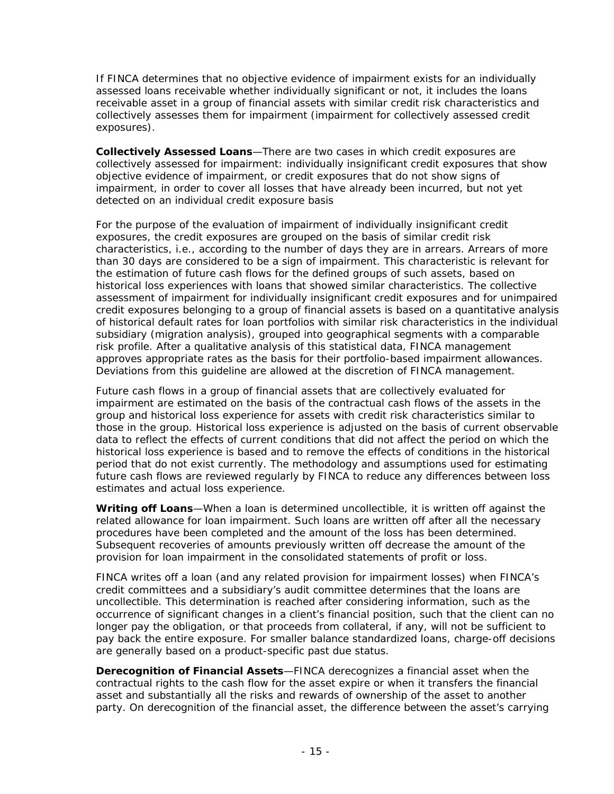If FINCA determines that no objective evidence of impairment exists for an individually assessed loans receivable whether individually significant or not, it includes the loans receivable asset in a group of financial assets with similar credit risk characteristics and collectively assesses them for impairment (impairment for collectively assessed credit exposures).

*Collectively Assessed Loans*—There are two cases in which credit exposures are collectively assessed for impairment: individually insignificant credit exposures that show objective evidence of impairment, or credit exposures that do not show signs of impairment, in order to cover all losses that have already been incurred, but not yet detected on an individual credit exposure basis

For the purpose of the evaluation of impairment of individually insignificant credit exposures, the credit exposures are grouped on the basis of similar credit risk characteristics, i.e., according to the number of days they are in arrears. Arrears of more than 30 days are considered to be a sign of impairment. This characteristic is relevant for the estimation of future cash flows for the defined groups of such assets, based on historical loss experiences with loans that showed similar characteristics. The collective assessment of impairment for individually insignificant credit exposures and for unimpaired credit exposures belonging to a group of financial assets is based on a quantitative analysis of historical default rates for loan portfolios with similar risk characteristics in the individual subsidiary (migration analysis), grouped into geographical segments with a comparable risk profile. After a qualitative analysis of this statistical data, FINCA management approves appropriate rates as the basis for their portfolio-based impairment allowances. Deviations from this guideline are allowed at the discretion of FINCA management.

Future cash flows in a group of financial assets that are collectively evaluated for impairment are estimated on the basis of the contractual cash flows of the assets in the group and historical loss experience for assets with credit risk characteristics similar to those in the group. Historical loss experience is adjusted on the basis of current observable data to reflect the effects of current conditions that did not affect the period on which the historical loss experience is based and to remove the effects of conditions in the historical period that do not exist currently. The methodology and assumptions used for estimating future cash flows are reviewed regularly by FINCA to reduce any differences between loss estimates and actual loss experience.

*Writing off Loans*—When a loan is determined uncollectible, it is written off against the related allowance for loan impairment. Such loans are written off after all the necessary procedures have been completed and the amount of the loss has been determined. Subsequent recoveries of amounts previously written off decrease the amount of the provision for loan impairment in the consolidated statements of profit or loss.

FINCA writes off a loan (and any related provision for impairment losses) when FINCA's credit committees and a subsidiary's audit committee determines that the loans are uncollectible. This determination is reached after considering information, such as the occurrence of significant changes in a client's financial position, such that the client can no longer pay the obligation, or that proceeds from collateral, if any, will not be sufficient to pay back the entire exposure. For smaller balance standardized loans, charge-off decisions are generally based on a product-specific past due status.

*Derecognition of Financial Assets*—FINCA derecognizes a financial asset when the contractual rights to the cash flow for the asset expire or when it transfers the financial asset and substantially all the risks and rewards of ownership of the asset to another party. On derecognition of the financial asset, the difference between the asset's carrying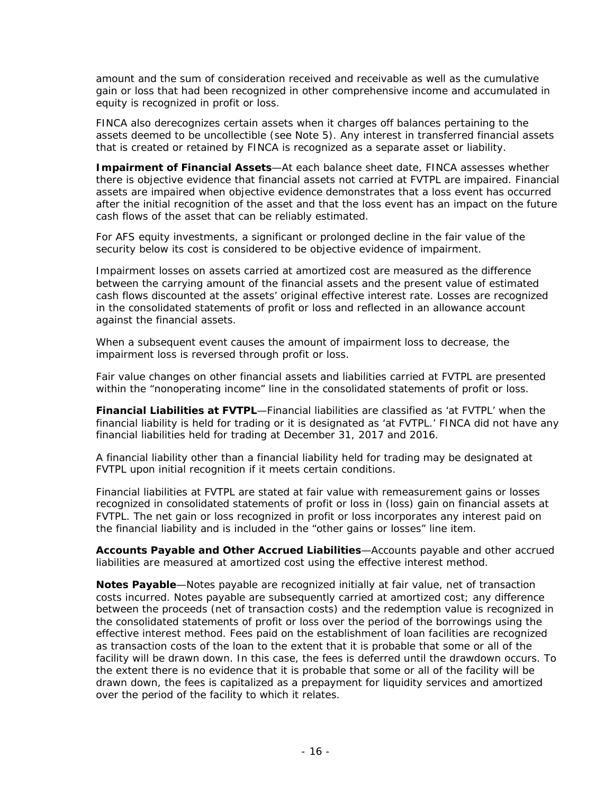amount and the sum of consideration received and receivable as well as the cumulative gain or loss that had been recognized in other comprehensive income and accumulated in equity is recognized in profit or loss.

FINCA also derecognizes certain assets when it charges off balances pertaining to the assets deemed to be uncollectible (see Note 5). Any interest in transferred financial assets that is created or retained by FINCA is recognized as a separate asset or liability.

*Impairment of Financial Assets*—At each balance sheet date, FINCA assesses whether there is objective evidence that financial assets not carried at FVTPL are impaired. Financial assets are impaired when objective evidence demonstrates that a loss event has occurred after the initial recognition of the asset and that the loss event has an impact on the future cash flows of the asset that can be reliably estimated.

For AFS equity investments, a significant or prolonged decline in the fair value of the security below its cost is considered to be objective evidence of impairment.

Impairment losses on assets carried at amortized cost are measured as the difference between the carrying amount of the financial assets and the present value of estimated cash flows discounted at the assets' original effective interest rate. Losses are recognized in the consolidated statements of profit or loss and reflected in an allowance account against the financial assets.

When a subsequent event causes the amount of impairment loss to decrease, the impairment loss is reversed through profit or loss.

Fair value changes on other financial assets and liabilities carried at FVTPL are presented within the "nonoperating income" line in the consolidated statements of profit or loss.

*Financial Liabilities at FVTPL*—Financial liabilities are classified as 'at FVTPL' when the financial liability is held for trading or it is designated as 'at FVTPL.' FINCA did not have any financial liabilities held for trading at December 31, 2017 and 2016.

A financial liability other than a financial liability held for trading may be designated at FVTPL upon initial recognition if it meets certain conditions.

Financial liabilities at FVTPL are stated at fair value with remeasurement gains or losses recognized in consolidated statements of profit or loss in (loss) gain on financial assets at FVTPL. The net gain or loss recognized in profit or loss incorporates any interest paid on the financial liability and is included in the "other gains or losses" line item.

*Accounts Payable and Other Accrued Liabilities*—Accounts payable and other accrued liabilities are measured at amortized cost using the effective interest method.

*Notes Payable*—Notes payable are recognized initially at fair value, net of transaction costs incurred. Notes payable are subsequently carried at amortized cost; any difference between the proceeds (net of transaction costs) and the redemption value is recognized in the consolidated statements of profit or loss over the period of the borrowings using the effective interest method. Fees paid on the establishment of loan facilities are recognized as transaction costs of the loan to the extent that it is probable that some or all of the facility will be drawn down. In this case, the fees is deferred until the drawdown occurs. To the extent there is no evidence that it is probable that some or all of the facility will be drawn down, the fees is capitalized as a prepayment for liquidity services and amortized over the period of the facility to which it relates.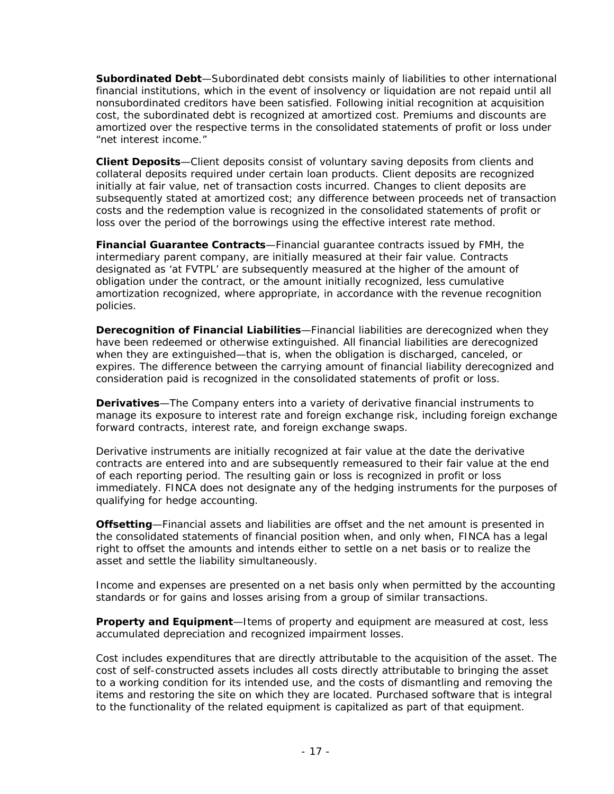*Subordinated Debt*—Subordinated debt consists mainly of liabilities to other international financial institutions, which in the event of insolvency or liquidation are not repaid until all nonsubordinated creditors have been satisfied. Following initial recognition at acquisition cost, the subordinated debt is recognized at amortized cost. Premiums and discounts are amortized over the respective terms in the consolidated statements of profit or loss under "net interest income."

*Client Deposits*—Client deposits consist of voluntary saving deposits from clients and collateral deposits required under certain loan products. Client deposits are recognized initially at fair value, net of transaction costs incurred. Changes to client deposits are subsequently stated at amortized cost; any difference between proceeds net of transaction costs and the redemption value is recognized in the consolidated statements of profit or loss over the period of the borrowings using the effective interest rate method.

*Financial Guarantee Contracts*—Financial guarantee contracts issued by FMH, the intermediary parent company, are initially measured at their fair value. Contracts designated as 'at FVTPL' are subsequently measured at the higher of the amount of obligation under the contract*,* or the amount initially recognized, less cumulative amortization recognized, where appropriate, in accordance with the revenue recognition policies.

*Derecognition of Financial Liabilities*—Financial liabilities are derecognized when they have been redeemed or otherwise extinguished. All financial liabilities are derecognized when they are extinguished—that is, when the obligation is discharged, canceled, or expires. The difference between the carrying amount of financial liability derecognized and consideration paid is recognized in the consolidated statements of profit or loss.

**Derivatives**—The Company enters into a variety of derivative financial instruments to manage its exposure to interest rate and foreign exchange risk, including foreign exchange forward contracts, interest rate, and foreign exchange swaps.

Derivative instruments are initially recognized at fair value at the date the derivative contracts are entered into and are subsequently remeasured to their fair value at the end of each reporting period. The resulting gain or loss is recognized in profit or loss immediately. FINCA does not designate any of the hedging instruments for the purposes of qualifying for hedge accounting.

**Offsetting**—Financial assets and liabilities are offset and the net amount is presented in the consolidated statements of financial position when, and only when, FINCA has a legal right to offset the amounts and intends either to settle on a net basis or to realize the asset and settle the liability simultaneously.

Income and expenses are presented on a net basis only when permitted by the accounting standards or for gains and losses arising from a group of similar transactions.

**Property and Equipment**—Items of property and equipment are measured at cost, less accumulated depreciation and recognized impairment losses.

Cost includes expenditures that are directly attributable to the acquisition of the asset. The cost of self-constructed assets includes all costs directly attributable to bringing the asset to a working condition for its intended use, and the costs of dismantling and removing the items and restoring the site on which they are located. Purchased software that is integral to the functionality of the related equipment is capitalized as part of that equipment.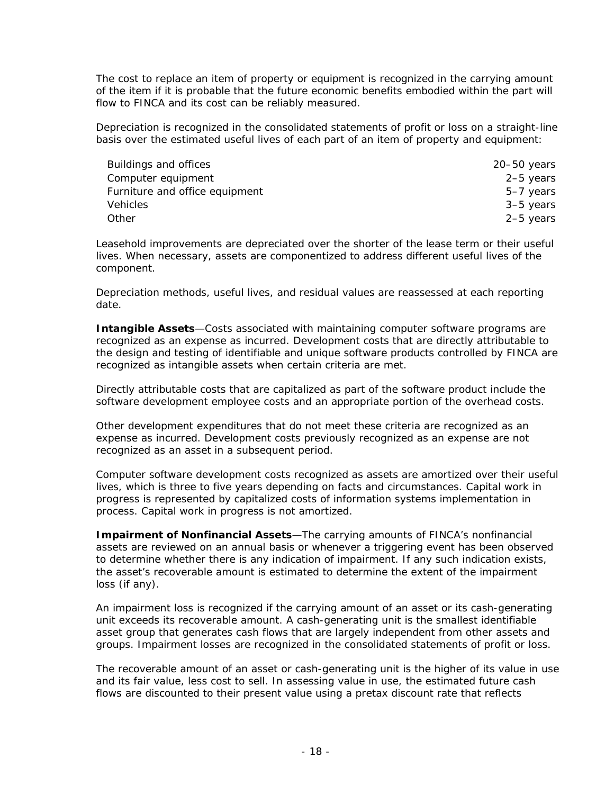The cost to replace an item of property or equipment is recognized in the carrying amount of the item if it is probable that the future economic benefits embodied within the part will flow to FINCA and its cost can be reliably measured.

Depreciation is recognized in the consolidated statements of profit or loss on a straight-line basis over the estimated useful lives of each part of an item of property and equipment:

| Buildings and offices          | $20 - 50$ years |
|--------------------------------|-----------------|
| Computer equipment             | 2-5 years       |
| Furniture and office equipment | 5-7 years       |
| <b>Vehicles</b>                | 3-5 years       |
| Other                          | 2-5 years       |

Leasehold improvements are depreciated over the shorter of the lease term or their useful lives. When necessary, assets are componentized to address different useful lives of the component.

Depreciation methods, useful lives, and residual values are reassessed at each reporting date.

**Intangible Assets**—Costs associated with maintaining computer software programs are recognized as an expense as incurred. Development costs that are directly attributable to the design and testing of identifiable and unique software products controlled by FINCA are recognized as intangible assets when certain criteria are met.

Directly attributable costs that are capitalized as part of the software product include the software development employee costs and an appropriate portion of the overhead costs.

Other development expenditures that do not meet these criteria are recognized as an expense as incurred. Development costs previously recognized as an expense are not recognized as an asset in a subsequent period.

Computer software development costs recognized as assets are amortized over their useful lives, which is three to five years depending on facts and circumstances. Capital work in progress is represented by capitalized costs of information systems implementation in process. Capital work in progress is not amortized.

**Impairment of Nonfinancial Assets**—The carrying amounts of FINCA's nonfinancial assets are reviewed on an annual basis or whenever a triggering event has been observed to determine whether there is any indication of impairment. If any such indication exists, the asset's recoverable amount is estimated to determine the extent of the impairment loss (if any).

An impairment loss is recognized if the carrying amount of an asset or its cash-generating unit exceeds its recoverable amount. A cash-generating unit is the smallest identifiable asset group that generates cash flows that are largely independent from other assets and groups. Impairment losses are recognized in the consolidated statements of profit or loss.

The recoverable amount of an asset or cash-generating unit is the higher of its value in use and its fair value, less cost to sell. In assessing value in use, the estimated future cash flows are discounted to their present value using a pretax discount rate that reflects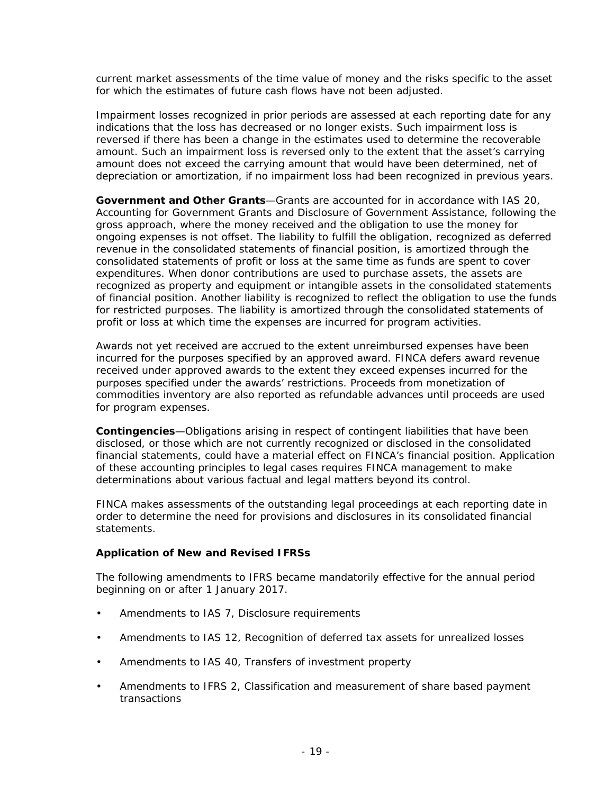current market assessments of the time value of money and the risks specific to the asset for which the estimates of future cash flows have not been adjusted.

Impairment losses recognized in prior periods are assessed at each reporting date for any indications that the loss has decreased or no longer exists. Such impairment loss is reversed if there has been a change in the estimates used to determine the recoverable amount. Such an impairment loss is reversed only to the extent that the asset's carrying amount does not exceed the carrying amount that would have been determined, net of depreciation or amortization, if no impairment loss had been recognized in previous years.

**Government and Other Grants**—Grants are accounted for in accordance with IAS 20, *Accounting for Government Grants and Disclosure of Government Assistance*, following the gross approach, where the money received and the obligation to use the money for ongoing expenses is not offset. The liability to fulfill the obligation, recognized as deferred revenue in the consolidated statements of financial position, is amortized through the consolidated statements of profit or loss at the same time as funds are spent to cover expenditures. When donor contributions are used to purchase assets, the assets are recognized as property and equipment or intangible assets in the consolidated statements of financial position. Another liability is recognized to reflect the obligation to use the funds for restricted purposes. The liability is amortized through the consolidated statements of profit or loss at which time the expenses are incurred for program activities.

Awards not yet received are accrued to the extent unreimbursed expenses have been incurred for the purposes specified by an approved award. FINCA defers award revenue received under approved awards to the extent they exceed expenses incurred for the purposes specified under the awards' restrictions. Proceeds from monetization of commodities inventory are also reported as refundable advances until proceeds are used for program expenses.

**Contingencies**—Obligations arising in respect of contingent liabilities that have been disclosed, or those which are not currently recognized or disclosed in the consolidated financial statements, could have a material effect on FINCA's financial position. Application of these accounting principles to legal cases requires FINCA management to make determinations about various factual and legal matters beyond its control.

FINCA makes assessments of the outstanding legal proceedings at each reporting date in order to determine the need for provisions and disclosures in its consolidated financial statements.

#### **Application of New and Revised IFRSs**

The following amendments to IFRS became mandatorily effective for the annual period beginning on or after 1 January 2017.

- Amendments to IAS 7, Disclosure requirements
- Amendments to IAS 12, Recognition of deferred tax assets for unrealized losses
- Amendments to IAS 40, Transfers of investment property
- Amendments to IFRS 2, Classification and measurement of share based payment transactions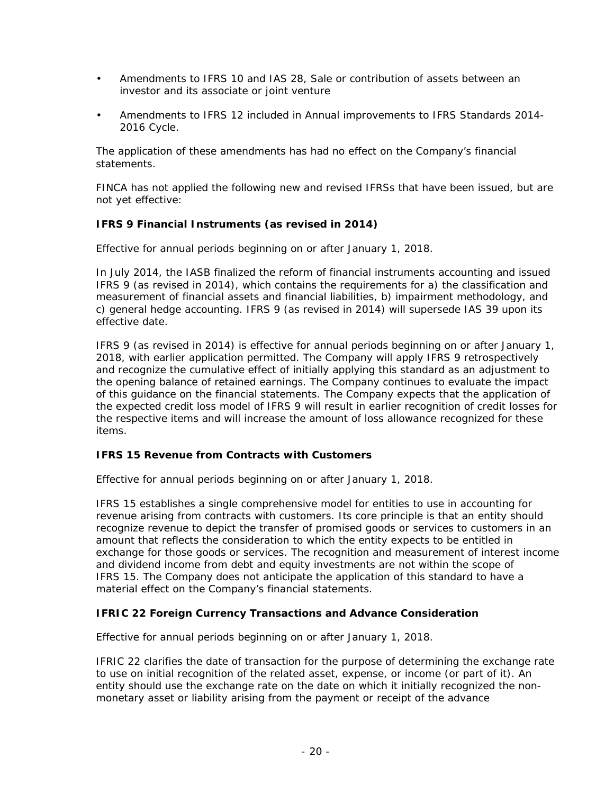- Amendments to IFRS 10 and IAS 28, Sale or contribution of assets between an investor and its associate or joint venture
- Amendments to IFRS 12 included in Annual improvements to IFRS Standards 2014- 2016 Cycle.

The application of these amendments has had no effect on the Company's financial statements.

FINCA has not applied the following new and revised IFRSs that have been issued, but are not yet effective:

# **IFRS 9** *Financial Instruments (as revised in 2014)*

## *Effective for annual periods beginning on or after January 1, 2018.*

In July 2014, the IASB finalized the reform of financial instruments accounting and issued IFRS 9 (as revised in 2014), which contains the requirements for a) the classification and measurement of financial assets and financial liabilities, b) impairment methodology, and c) general hedge accounting. IFRS 9 (as revised in 2014) will supersede IAS 39 upon its effective date.

IFRS 9 (as revised in 2014) is effective for annual periods beginning on or after January 1, 2018, with earlier application permitted. The Company will apply IFRS 9 retrospectively and recognize the cumulative effect of initially applying this standard as an adjustment to the opening balance of retained earnings. The Company continues to evaluate the impact of this guidance on the financial statements. The Company expects that the application of the expected credit loss model of IFRS 9 will result in earlier recognition of credit losses for the respective items and will increase the amount of loss allowance recognized for these items.

# **IFRS 15** *Revenue from Contracts with Customers*

#### *Effective for annual periods beginning on or after January 1, 2018.*

IFRS 15 establishes a single comprehensive model for entities to use in accounting for revenue arising from contracts with customers. Its core principle is that an entity should recognize revenue to depict the transfer of promised goods or services to customers in an amount that reflects the consideration to which the entity expects to be entitled in exchange for those goods or services. The recognition and measurement of interest income and dividend income from debt and equity investments are not within the scope of IFRS 15. The Company does not anticipate the application of this standard to have a material effect on the Company's financial statements.

#### **IFRIC 22** *Foreign Currency Transactions and Advance Consideration*

#### *Effective for annual periods beginning on or after January 1, 2018.*

IFRIC 22 clarifies the date of transaction for the purpose of determining the exchange rate to use on initial recognition of the related asset, expense, or income (or part of it). An entity should use the exchange rate on the date on which it initially recognized the nonmonetary asset or liability arising from the payment or receipt of the advance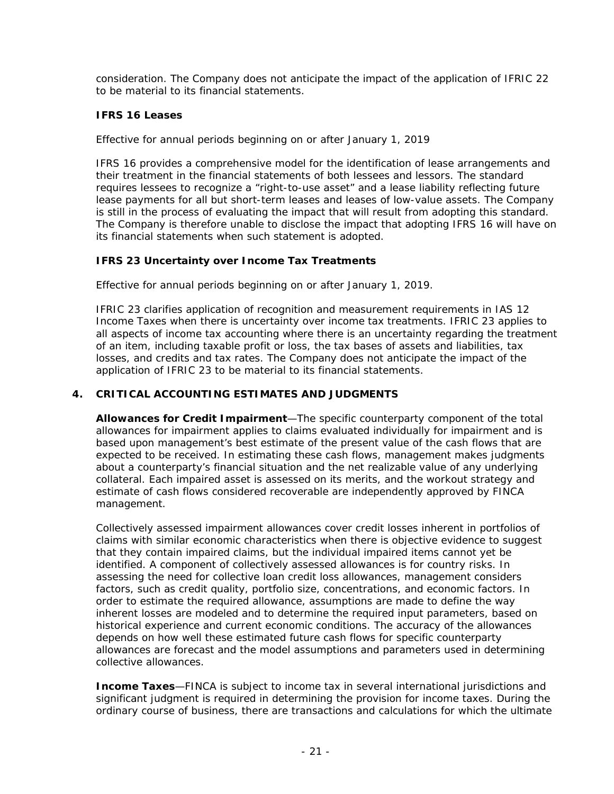consideration. The Company does not anticipate the impact of the application of IFRIC 22 to be material to its financial statements.

# **IFRS 16** *Leases*

# *Effective for annual periods beginning on or after January 1, 2019*

IFRS 16 provides a comprehensive model for the identification of lease arrangements and their treatment in the financial statements of both lessees and lessors. The standard requires lessees to recognize a "right-to-use asset" and a lease liability reflecting future lease payments for all but short-term leases and leases of low-value assets. The Company is still in the process of evaluating the impact that will result from adopting this standard. The Company is therefore unable to disclose the impact that adopting IFRS 16 will have on its financial statements when such statement is adopted.

# **IFRS 23** *Uncertainty over Income Tax Treatments*

# *Effective for annual periods beginning on or after January 1, 2019.*

IFRIC 23 clarifies application of recognition and measurement requirements in IAS 12 *Income Taxes* when there is uncertainty over income tax treatments. IFRIC 23 applies to all aspects of income tax accounting where there is an uncertainty regarding the treatment of an item, including taxable profit or loss, the tax bases of assets and liabilities, tax losses, and credits and tax rates. The Company does not anticipate the impact of the application of IFRIC 23 to be material to its financial statements.

# **4. CRITICAL ACCOUNTING ESTIMATES AND JUDGMENTS**

**Allowances for Credit Impairment**—The specific counterparty component of the total allowances for impairment applies to claims evaluated individually for impairment and is based upon management's best estimate of the present value of the cash flows that are expected to be received. In estimating these cash flows, management makes judgments about a counterparty's financial situation and the net realizable value of any underlying collateral. Each impaired asset is assessed on its merits, and the workout strategy and estimate of cash flows considered recoverable are independently approved by FINCA management.

Collectively assessed impairment allowances cover credit losses inherent in portfolios of claims with similar economic characteristics when there is objective evidence to suggest that they contain impaired claims, but the individual impaired items cannot yet be identified. A component of collectively assessed allowances is for country risks. In assessing the need for collective loan credit loss allowances, management considers factors, such as credit quality, portfolio size, concentrations, and economic factors. In order to estimate the required allowance, assumptions are made to define the way inherent losses are modeled and to determine the required input parameters, based on historical experience and current economic conditions. The accuracy of the allowances depends on how well these estimated future cash flows for specific counterparty allowances are forecast and the model assumptions and parameters used in determining collective allowances.

**Income Taxes**—FINCA is subject to income tax in several international jurisdictions and significant judgment is required in determining the provision for income taxes. During the ordinary course of business, there are transactions and calculations for which the ultimate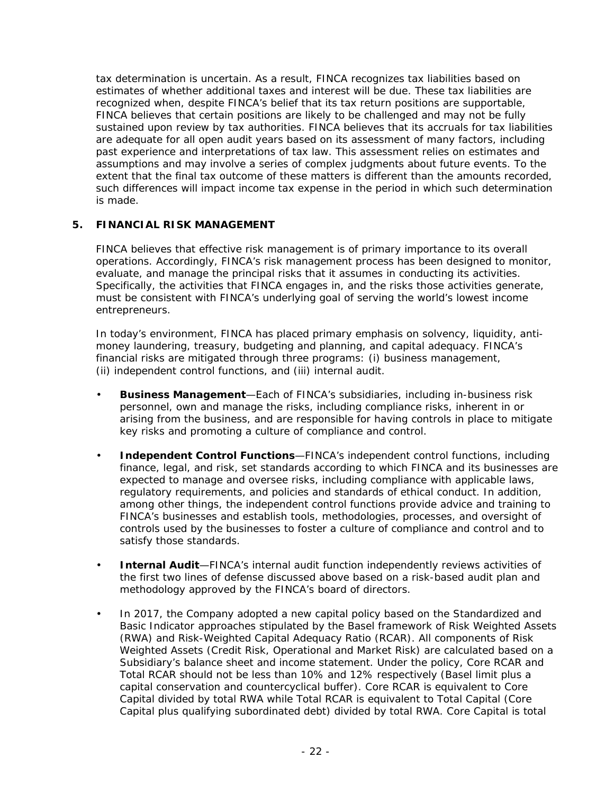tax determination is uncertain. As a result, FINCA recognizes tax liabilities based on estimates of whether additional taxes and interest will be due. These tax liabilities are recognized when, despite FINCA's belief that its tax return positions are supportable, FINCA believes that certain positions are likely to be challenged and may not be fully sustained upon review by tax authorities. FINCA believes that its accruals for tax liabilities are adequate for all open audit years based on its assessment of many factors, including past experience and interpretations of tax law. This assessment relies on estimates and assumptions and may involve a series of complex judgments about future events. To the extent that the final tax outcome of these matters is different than the amounts recorded, such differences will impact income tax expense in the period in which such determination is made.

# **5. FINANCIAL RISK MANAGEMENT**

FINCA believes that effective risk management is of primary importance to its overall operations. Accordingly, FINCA's risk management process has been designed to monitor, evaluate, and manage the principal risks that it assumes in conducting its activities. Specifically, the activities that FINCA engages in, and the risks those activities generate, must be consistent with FINCA's underlying goal of serving the world's lowest income entrepreneurs.

In today's environment, FINCA has placed primary emphasis on solvency, liquidity, antimoney laundering, treasury, budgeting and planning, and capital adequacy. FINCA's financial risks are mitigated through three programs: (i) business management, (ii) independent control functions, and (iii) internal audit.

- *Business Management*—Each of FINCA's subsidiaries, including in-business risk personnel, own and manage the risks, including compliance risks, inherent in or arising from the business, and are responsible for having controls in place to mitigate key risks and promoting a culture of compliance and control.
- *Independent Control Functions*—FINCA's independent control functions, including finance, legal, and risk, set standards according to which FINCA and its businesses are expected to manage and oversee risks, including compliance with applicable laws, regulatory requirements, and policies and standards of ethical conduct. In addition, among other things, the independent control functions provide advice and training to FINCA's businesses and establish tools, methodologies, processes, and oversight of controls used by the businesses to foster a culture of compliance and control and to satisfy those standards.
- **Internal Audit–FINCA's internal audit function independently reviews activities of** the first two lines of defense discussed above based on a risk-based audit plan and methodology approved by the FINCA's board of directors.
- In 2017, the Company adopted a new capital policy based on the Standardized and Basic Indicator approaches stipulated by the Basel framework of Risk Weighted Assets (RWA) and Risk-Weighted Capital Adequacy Ratio (RCAR). All components of Risk Weighted Assets (Credit Risk, Operational and Market Risk) are calculated based on a Subsidiary's balance sheet and income statement. Under the policy, Core RCAR and Total RCAR should not be less than 10% and 12% respectively (Basel limit plus a capital conservation and countercyclical buffer). Core RCAR is equivalent to Core Capital divided by total RWA while Total RCAR is equivalent to Total Capital (Core Capital plus qualifying subordinated debt) divided by total RWA. Core Capital is total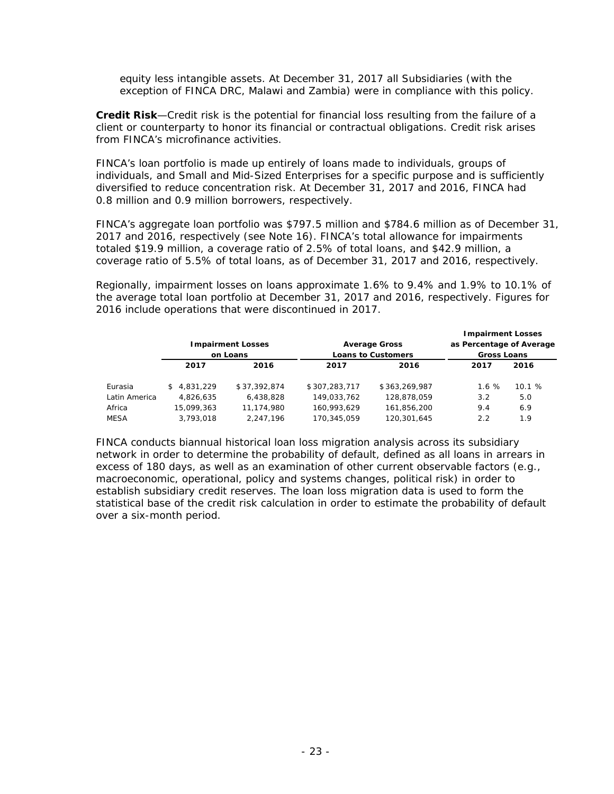equity less intangible assets. At December 31, 2017 all Subsidiaries (with the exception of FINCA DRC, Malawi and Zambia) were in compliance with this policy.

**Credit Risk**—Credit risk is the potential for financial loss resulting from the failure of a client or counterparty to honor its financial or contractual obligations. Credit risk arises from FINCA's microfinance activities.

FINCA's loan portfolio is made up entirely of loans made to individuals, groups of individuals, and Small and Mid-Sized Enterprises for a specific purpose and is sufficiently diversified to reduce concentration risk. At December 31, 2017 and 2016, FINCA had 0.8 million and 0.9 million borrowers, respectively.

FINCA's aggregate loan portfolio was \$797.5 million and \$784.6 million as of December 31, 2017 and 2016, respectively (see Note 16). FINCA's total allowance for impairments totaled \$19.9 million, a coverage ratio of 2.5% of total loans, and \$42.9 million, a coverage ratio of 5.5% of total loans, as of December 31, 2017 and 2016, respectively.

Regionally, impairment losses on loans approximate 1.6% to 9.4% and 1.9% to 10.1% of the average total loan portfolio at December 31, 2017 and 2016, respectively. Figures for 2016 include operations that were discontinued in 2017.

|               | <b>Impairment Losses</b><br>on Loans |              |               | <b>Average Gross</b><br><b>Loans to Customers</b> | <b>Impairment Losses</b><br>as Percentage of Average<br>Gross Loans |       |  |  |
|---------------|--------------------------------------|--------------|---------------|---------------------------------------------------|---------------------------------------------------------------------|-------|--|--|
|               | 2017                                 | 2016         | 2017          | 2016                                              | 2017                                                                | 2016  |  |  |
| Eurasia       | \$4.831.229                          | \$37,392,874 | \$307,283,717 | \$363,269,987                                     | 1.6%                                                                | 10.1% |  |  |
| Latin America | 4.826.635                            | 6.438.828    | 149.033.762   | 128.878.059                                       | 3.2                                                                 | 5.0   |  |  |
| Africa        | 15.099.363                           | 11.174.980   | 160.993.629   | 161,856,200                                       | 9.4                                                                 | 6.9   |  |  |
| <b>MESA</b>   | 3.793.018                            | 2.247.196    | 170.345.059   | 120.301.645                                       | 2.2                                                                 | 1.9   |  |  |

FINCA conducts biannual historical loan loss migration analysis across its subsidiary network in order to determine the probability of default, defined as all loans in arrears in excess of 180 days, as well as an examination of other current observable factors (e.g., macroeconomic, operational, policy and systems changes, political risk) in order to establish subsidiary credit reserves. The loan loss migration data is used to form the statistical base of the credit risk calculation in order to estimate the probability of default over a six-month period.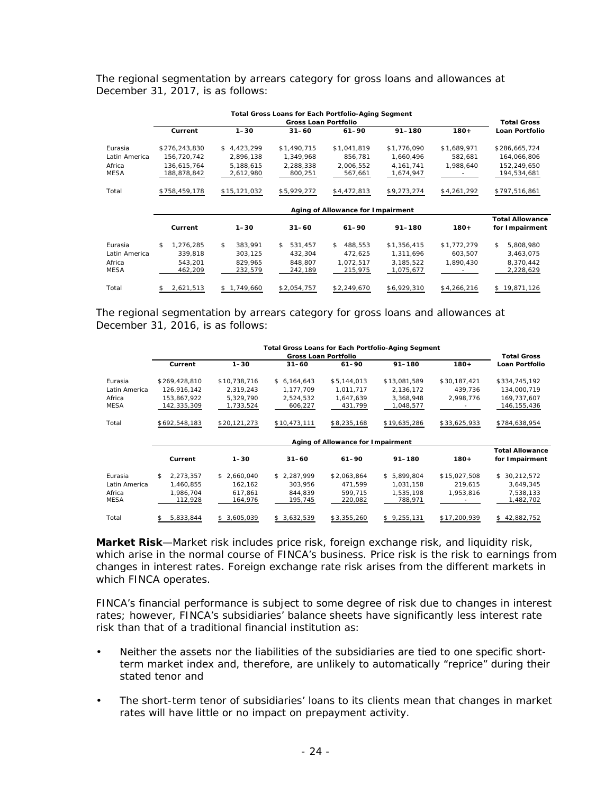The regional segmentation by arrears category for gross loans and allowances at December 31, 2017, is as follows:

|                                                   | Total Gross Loans for Each Portfolio-Aging Segment<br>Gross Loan Portfolio |                                                    |                                                  |                                                  |                                                      |                                     |                                                            |  |  |
|---------------------------------------------------|----------------------------------------------------------------------------|----------------------------------------------------|--------------------------------------------------|--------------------------------------------------|------------------------------------------------------|-------------------------------------|------------------------------------------------------------|--|--|
|                                                   | Current                                                                    | $1 - 30$                                           | $31 - 60$                                        | $61 - 90$                                        | $91 - 180$                                           | $180+$                              | <b>Total Gross</b><br>Loan Portfolio                       |  |  |
| Eurasia<br>Latin America<br>Africa<br><b>MESA</b> | \$276,243,830<br>156.720.742<br>136,615,764<br>188,878,842                 | \$4.423.299<br>2,896,138<br>5,188,615<br>2,612,980 | \$1,490,715<br>1.349.968<br>2,288,338<br>800,251 | \$1,041.819<br>856,781<br>2,006,552<br>567,661   | \$1,776,090<br>1,660,496<br>4, 161, 741<br>1,674,947 | \$1,689.971<br>582.681<br>1,988,640 | \$286,665,724<br>164.066.806<br>152,249,650<br>194,534,681 |  |  |
| Total                                             | \$758,459,178                                                              | \$15,121,032                                       | \$5,929,272                                      | \$4,472,813                                      | \$9,273,274                                          | \$4,261,292                         | \$797,516,861                                              |  |  |
| Aging of Allowance for Impairment                 |                                                                            |                                                    |                                                  |                                                  |                                                      |                                     |                                                            |  |  |
|                                                   | Current                                                                    | $1 - 30$                                           | $31 - 60$                                        | $61 - 90$                                        | $91 - 180$                                           | $180+$                              | <b>Total Allowance</b><br>for Impairment                   |  |  |
| Eurasia<br>Latin America<br>Africa<br>MESA        | \$.<br>1.276.285<br>339.818<br>543.201<br>462,209                          | \$<br>383.991<br>303.125<br>829.965<br>232,579     | 531.457<br>\$<br>432.304<br>848.807<br>242,189   | 488.553<br>\$<br>472.625<br>1.072.517<br>215,975 | \$1,356,415<br>1,311,696<br>3,185,522<br>1,075,677   | \$1.772.279<br>603.507<br>1,890,430 | \$<br>5.808.980<br>3,463,075<br>8.370.442<br>2,228,629     |  |  |
| Total                                             | 2,621,513<br>S                                                             | 1,749,660<br>\$                                    | \$2,054,757                                      | \$2,249,670                                      | \$6,929,310                                          | \$4,266,216                         | 19,871,126<br>\$                                           |  |  |

The regional segmentation by arrears category for gross loans and allowances at December 31, 2016, is as follows:

|               | Total Gross Loans for Each Portfolio-Aging Segment<br>Gross Loan Portfolio |                 |                 |                                   |                 |              |                                      |  |  |
|---------------|----------------------------------------------------------------------------|-----------------|-----------------|-----------------------------------|-----------------|--------------|--------------------------------------|--|--|
|               | Current                                                                    | $1 - 30$        | $31 - 60$       | $61 - 90$                         | $91 - 180$      | $180+$       | <b>Total Gross</b><br>Loan Portfolio |  |  |
| Eurasia       | \$269,428,810                                                              | \$10,738,716    | \$6,164,643     | \$5,144,013                       | \$13,081,589    | \$30,187,421 | \$334,745,192                        |  |  |
| Latin America | 126.916.142                                                                | 2,319,243       | 1,177,709       | 1,011,717                         | 2,136,172       | 439.736      | 134,000,719                          |  |  |
| Africa        | 153.867.922                                                                | 5.329.790       | 2.524.532       | 1.647.639                         | 3.368.948       | 2,998,776    | 169.737.607                          |  |  |
| <b>MESA</b>   | 142,335,309                                                                | 1,733,524       | 606,227         | 431,799                           | 1,048,577       |              | 146, 155, 436                        |  |  |
| Total         | \$692,548,183                                                              | \$20,121,273    | \$10,473,111    | \$8,235,168                       | \$19,635,286    | \$33,625,933 | \$784,638,954                        |  |  |
|               |                                                                            |                 |                 | Aging of Allowance for Impairment |                 |              |                                      |  |  |
|               |                                                                            |                 |                 |                                   |                 |              | <b>Total Allowance</b>               |  |  |
|               | Current                                                                    | $1 - 30$        | $31 - 60$       | $61 - 90$                         | $91 - 180$      | $180+$       | for Impairment                       |  |  |
| Eurasia       | \$<br>2,273,357                                                            | \$2,660,040     | \$2,287,999     | \$2,063,864                       | \$5.899.804     | \$15,027,508 | 30,212,572<br>\$                     |  |  |
| Latin America | 1,460,855                                                                  | 162,162         | 303.956         | 471,599                           | 1,031,158       | 219,615      | 3,649,345                            |  |  |
| Africa        | 1.986.704                                                                  | 617.861         | 844.839         | 599.715                           | 1.535.198       | 1,953,816    | 7.538.133                            |  |  |
| <b>MESA</b>   | 112,928                                                                    | 164,976         | 195,745         | 220,082                           | 788,971         |              | 1,482,702                            |  |  |
| Total         | 5,833,844<br>\$                                                            | 3,605,039<br>\$ | 3,632,539<br>\$ | \$3,355,260                       | 9,255,131<br>\$ | \$17,200,939 | 42,882,752<br>\$                     |  |  |

**Market Risk**—Market risk includes price risk, foreign exchange risk, and liquidity risk, which arise in the normal course of FINCA's business. Price risk is the risk to earnings from changes in interest rates. Foreign exchange rate risk arises from the different markets in which FINCA operates.

FINCA's financial performance is subject to some degree of risk due to changes in interest rates; however, FINCA's subsidiaries' balance sheets have significantly less interest rate risk than that of a traditional financial institution as:

- Neither the assets nor the liabilities of the subsidiaries are tied to one specific shortterm market index and, therefore, are unlikely to automatically "reprice" during their stated tenor and
- The short-term tenor of subsidiaries' loans to its clients mean that changes in market rates will have little or no impact on prepayment activity.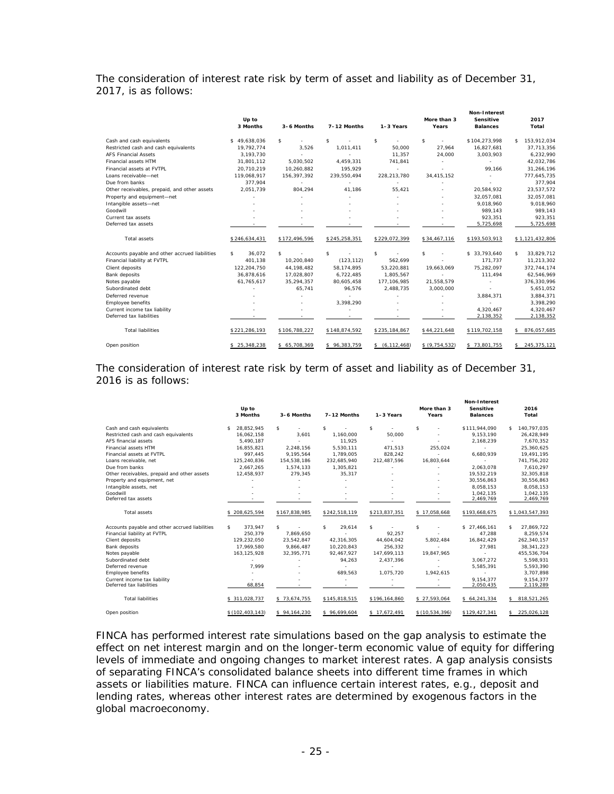The consideration of interest rate risk by term of asset and liability as of December 31, 2017, is as follows:

|                                                | Up to<br>3 Months            |               |               |    | 7-12 Months   |               | 1-3 Years       |                    | More than 3<br>Years | Non-Interest<br>Sensitive |         | 2017<br>Total     |
|------------------------------------------------|------------------------------|---------------|---------------|----|---------------|---------------|-----------------|--------------------|----------------------|---------------------------|---------|-------------------|
|                                                |                              |               | 3-6 Months    |    |               |               |                 |                    |                      | <b>Balances</b>           |         |                   |
| Cash and cash equivalents                      | \$49,638,036                 | \$            |               | Ŝ. |               | \$            |                 | $\mathbf{\hat{s}}$ | ×                    | \$104,273,998             |         | 153,912,034       |
| Restricted cash and cash equivalents           | 19.792.774                   |               | 3.526         |    | 1.011.411     |               | 50.000          |                    | 27.964               | 16.827.681                |         | 37.713.356        |
| <b>AFS Financial Assets</b>                    | 3,193,730                    |               |               |    |               |               | 11,357          |                    | 24,000               | 3,003,903                 |         | 6,232,990         |
| <b>Financial assets HTM</b>                    | 31,801,112                   |               | 5,030,502     |    | 4,459,331     |               | 741,841         |                    |                      |                           |         | 42,032,786        |
| Financial assets at FVTPL                      | 20.710.219                   |               | 10.260.882    |    | 195.929       |               |                 |                    |                      |                           | 99.166  | 31.266.196        |
| Loans receivable-net                           | 119,068,917                  |               | 156,397,392   |    | 239,550,494   |               | 228, 213, 780   |                    | 34,415,152           |                           |         | 777,645,735       |
| Due from banks                                 | 377,904                      |               | $\sim$        |    | i.            |               |                 |                    |                      |                           |         | 377,904           |
| Other receivables, prepaid, and other assets   | 2.051.739                    |               | 804,294       |    | 41.186        |               | 55.421          |                    |                      | 20.584.932                |         | 23,537,572        |
| Property and equipment-net                     |                              |               |               |    |               |               |                 |                    |                      | 32,057,081                |         | 32,057,081        |
| Intangible assets-net                          |                              |               |               |    |               |               |                 |                    |                      | 9,018,960                 |         | 9,018,960         |
| Goodwill                                       |                              |               |               |    |               |               |                 |                    |                      |                           | 989.143 | 989.143           |
| Current tax assets                             |                              |               |               |    |               |               |                 |                    |                      |                           | 923,351 | 923,351           |
| Deferred tax assets                            |                              |               |               |    |               |               |                 |                    |                      | 5,725,698                 |         | 5,725,698         |
| Total assets                                   | \$246,634,431                |               | \$172,496,596 |    | \$245,258,351 |               | \$229,072,399   |                    | \$34,467,116         | \$193,503,913             |         | \$1,121,432,806   |
| Accounts payable and other accrued liabilities | 36.072<br>$\mathbf{\hat{s}}$ | $\mathcal{S}$ |               | Ŝ. |               | $\mathcal{S}$ |                 | \$                 |                      | \$ 33,793,640             |         | \$<br>33,829,712  |
| Financial liability at FVTPL                   | 401,138                      |               | 10,200,840    |    | (123, 112)    |               | 562.699         |                    |                      |                           | 171.737 | 11,213,302        |
| Client deposits                                | 122,204,750                  |               | 44,198,482    |    | 58,174,895    |               | 53,220,881      |                    | 19,663,069           | 75,282,097                |         | 372,744,174       |
| Bank deposits                                  | 36.878.616                   |               | 17.028.807    |    | 6.722.485     |               | 1.805.567       |                    |                      |                           | 111.494 | 62.546.969        |
| Notes payable                                  | 61,765,617                   |               | 35,294,357    |    | 80,605,458    |               | 177,106,985     |                    | 21,558,579           |                           |         | 376,330,996       |
| Subordinated debt                              |                              |               | 65,741        |    | 96.576        |               | 2,488,735       |                    | 3,000,000            |                           |         | 5,651,052         |
| Deferred revenue                               |                              |               |               |    | $\sim$        |               |                 |                    |                      | 3,884,371                 |         | 3,884,371         |
| Employee benefits                              |                              |               |               |    | 3.398.290     |               |                 |                    |                      |                           |         | 3,398,290         |
| Current income tax liability                   |                              |               |               |    |               |               |                 |                    |                      | 4,320,467                 |         | 4,320,467         |
| Deferred tax liabilities                       |                              |               |               |    |               |               |                 |                    |                      | 2,138,352                 |         | 2,138,352         |
| <b>Total liabilities</b>                       | \$221,286,193                |               | \$106,788,227 |    | \$148,874,592 |               | \$235,184,867   |                    | \$44,221,648         | \$119,702,158             |         | \$<br>876,057,685 |
| Open position                                  | \$25,348,238                 |               | \$65,708,369  |    | \$96,383,759  |               | \$(6, 112, 468) |                    | \$ (9, 754, 532)     | \$73,801,755              |         | 245, 375, 121     |

The consideration of interest rate risk by term of asset and liability as of December 31, 2016 is as follows:

|                                                |                             |               |               |               |                | Non-Interest  |                    |
|------------------------------------------------|-----------------------------|---------------|---------------|---------------|----------------|---------------|--------------------|
|                                                | Up to                       |               |               |               | More than 3    | Sensitive     | 2016               |
|                                                | 3 Months                    | 3-6 Months    | 7-12 Months   | 1-3 Years     | Years          | Balances      | Total              |
| Cash and cash equivalents                      | 28.852.945<br>$\mathbf{\$}$ | \$            | \$            | \$            | \$             | \$111,944,090 | 140,797,035<br>\$. |
| Restricted cash and cash equivalents           | 16.062.158                  | 3.601         | 1.160.000     | 50.000        |                | 9.153.190     | 26,428,949         |
| AFS financial assets                           | 5.490.187                   |               | 11.925        |               |                | 2.168.239     | 7,670,352          |
| Financial assets HTM                           | 16.855.821                  | 2.248.156     | 5.530.111     | 471.513       | 255.024        | $\sim$        | 25,360,625         |
| Financial assets at EVTPL                      | 997.445                     | 9,195,564     | 1,789,005     | 828.242       |                | 6.680.939     | 19,491,195         |
| Loans receivable, net                          | 125,240,836                 | 154,538,186   | 232,685,940   | 212,487,596   | 16,803,644     |               | 741,756,202        |
| Due from banks                                 | 2.667.265                   | 1,574,133     | 1,305,821     |               |                | 2.063.078     | 7,610,297          |
| Other receivables, prepaid and other assets    | 12,458,937                  | 279,345       | 35,317        |               |                | 19,532,219    | 32,305,818         |
| Property and equipment, net                    |                             |               |               |               |                | 30,556,863    | 30,556,863         |
| Intangible assets, net                         |                             |               |               |               |                | 8,058,153     | 8,058,153          |
| Goodwill                                       |                             |               |               |               |                | 1,042,135     | 1,042,135          |
| Deferred tax assets                            |                             |               |               |               |                | 2,469,769     | 2,469,769          |
| Total assets                                   | \$208,625,594               | \$167,838,985 | \$242,518,119 | \$213,837,351 | \$17,058,668   | \$193,668,675 | \$1,043,547,393    |
| Accounts payable and other accrued liabilities | \$<br>373.947               | \$            | \$<br>29.614  | \$            | \$             | \$27.466.161  | 27,869,722<br>s.   |
| Financial liability at FVTPL                   | 250.379                     | 7.869.650     |               | 92.257        |                | 47.288        | 8,259,574          |
| Client deposits                                | 129.232.050                 | 23,542,847    | 42,316,305    | 44,604,042    | 5.802.484      | 16.842.429    | 262,340,157        |
| Bank deposits                                  | 17,969,580                  | 9,866,487     | 10,220,843    | 256.332       |                | 27.981        | 38, 341, 223       |
| Notes payable                                  | 163, 125, 928               | 32,395,771    | 92,467,927    | 147,699,113   | 19.847.965     |               | 455,536,704        |
| Subordinated debt                              |                             |               | 94,263        | 2,437,396     |                | 3,067,272     | 5,598,931          |
| Deferred revenue                               | 7.999                       |               |               |               |                | 5,585,391     | 5,593,390          |
| Employee benefits                              |                             |               | 689.563       | 1.075.720     | 1.942.615      |               | 3.707.898          |
| Current income tax liability                   |                             |               |               |               |                | 9.154.377     | 9.154.377          |
| Deferred tax liabilities                       | 68.854                      |               |               |               |                | 2,050,435     | 2,119,289          |
| <b>Total liabilities</b>                       | \$311,028,737               | \$73,674,755  | \$145,818,515 | \$196,164,860 | \$27,593,064   | \$64,241,334  | 818,521,265<br>s.  |
| Open position                                  | \$(102, 403, 143)           | \$94,164,230  | \$96,699,604  | \$17,672,491  | \$(10,534,396) | \$129,427,341 | 225,026,128<br>s.  |

FINCA has performed interest rate simulations based on the gap analysis to estimate the effect on net interest margin and on the longer-term economic value of equity for differing levels of immediate and ongoing changes to market interest rates. A gap analysis consists of separating FINCA's consolidated balance sheets into different time frames in which assets or liabilities mature. FINCA can influence certain interest rates, e.g., deposit and lending rates, whereas other interest rates are determined by exogenous factors in the global macroeconomy.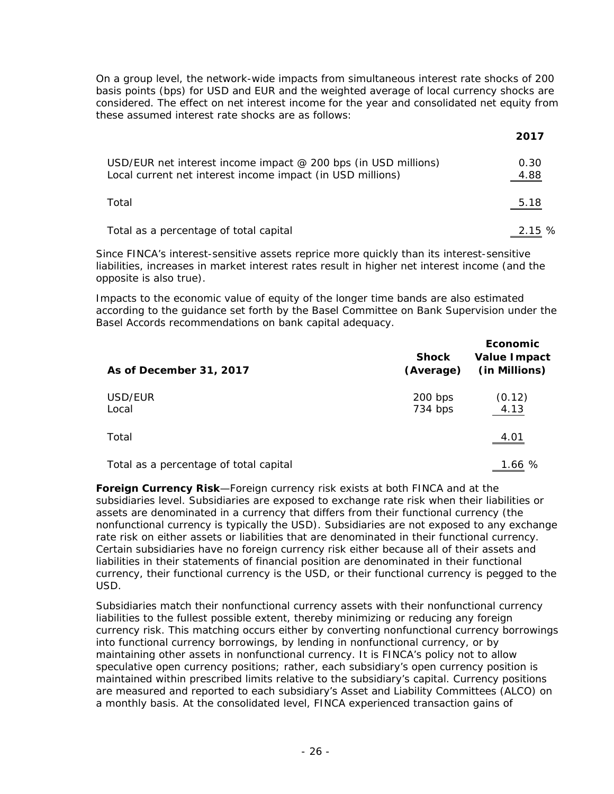On a group level, the network-wide impacts from simultaneous interest rate shocks of 200 basis points (bps) for USD and EUR and the weighted average of local currency shocks are considered. The effect on net interest income for the year and consolidated net equity from these assumed interest rate shocks are as follows:

**2017**

| USD/EUR net interest income impact $@$ 200 bps (in USD millions)<br>Local current net interest income impact (in USD millions) | 0.30<br>4.88 |
|--------------------------------------------------------------------------------------------------------------------------------|--------------|
| Total                                                                                                                          | 5.18         |
| Total as a percentage of total capital                                                                                         | 2.15 %       |

Since FINCA's interest-sensitive assets reprice more quickly than its interest-sensitive liabilities, increases in market interest rates result in higher net interest income (and the opposite is also true).

Impacts to the economic value of equity of the longer time bands are also estimated according to the guidance set forth by the Basel Committee on Bank Supervision under the Basel Accords recommendations on bank capital adequacy.

| As of December 31, 2017                | <b>Shock</b><br>(Average) | Economic<br>Value Impact<br>(in Millions) |
|----------------------------------------|---------------------------|-------------------------------------------|
| USD/EUR<br>Local                       | $200$ bps<br>734 bps      | (0.12)<br>4.13                            |
| Total                                  |                           | 4.01                                      |
| Total as a percentage of total capital |                           | 1.66 %                                    |

**Foreign Currency Risk**—Foreign currency risk exists at both FINCA and at the subsidiaries level. Subsidiaries are exposed to exchange rate risk when their liabilities or assets are denominated in a currency that differs from their functional currency (the nonfunctional currency is typically the USD). Subsidiaries are not exposed to any exchange rate risk on either assets or liabilities that are denominated in their functional currency. Certain subsidiaries have no foreign currency risk either because all of their assets and liabilities in their statements of financial position are denominated in their functional currency, their functional currency is the USD, or their functional currency is pegged to the USD.

Subsidiaries match their nonfunctional currency assets with their nonfunctional currency liabilities to the fullest possible extent, thereby minimizing or reducing any foreign currency risk. This matching occurs either by converting nonfunctional currency borrowings into functional currency borrowings, by lending in nonfunctional currency, or by maintaining other assets in nonfunctional currency. It is FINCA's policy not to allow speculative open currency positions; rather, each subsidiary's open currency position is maintained within prescribed limits relative to the subsidiary's capital. Currency positions are measured and reported to each subsidiary's Asset and Liability Committees (ALCO) on a monthly basis. At the consolidated level, FINCA experienced transaction gains of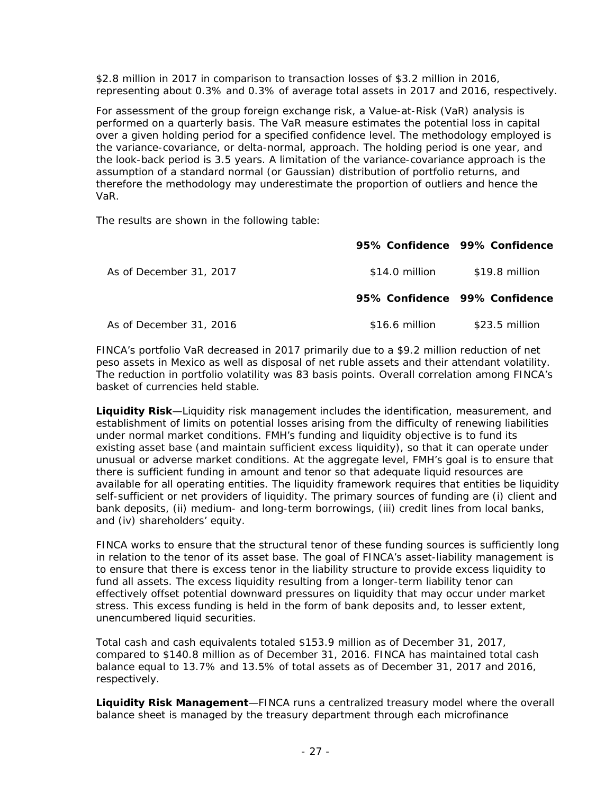\$2.8 million in 2017 in comparison to transaction losses of \$3.2 million in 2016, representing about 0.3% and 0.3% of average total assets in 2017 and 2016, respectively.

For assessment of the group foreign exchange risk, a Value-at-Risk (VaR) analysis is performed on a quarterly basis. The VaR measure estimates the potential loss in capital over a given holding period for a specified confidence level. The methodology employed is the variance-covariance, or delta-normal, approach. The holding period is one year, and the look-back period is 3.5 years. A limitation of the variance-covariance approach is the assumption of a standard normal (or Gaussian) distribution of portfolio returns, and therefore the methodology may underestimate the proportion of outliers and hence the VaR.

The results are shown in the following table:

|                         |                 | 95% Confidence 99% Confidence |
|-------------------------|-----------------|-------------------------------|
| As of December 31, 2017 | \$14.0 million  | \$19.8 million                |
|                         |                 | 95% Confidence 99% Confidence |
| As of December 31, 2016 | $$16.6$ million | $$23.5$ million               |

FINCA's portfolio VaR decreased in 2017 primarily due to a \$9.2 million reduction of net peso assets in Mexico as well as disposal of net ruble assets and their attendant volatility. The reduction in portfolio volatility was 83 basis points. Overall correlation among FINCA's basket of currencies held stable.

**Liquidity Risk**—Liquidity risk management includes the identification, measurement, and establishment of limits on potential losses arising from the difficulty of renewing liabilities under normal market conditions. FMH's funding and liquidity objective is to fund its existing asset base (and maintain sufficient excess liquidity), so that it can operate under unusual or adverse market conditions. At the aggregate level, FMH's goal is to ensure that there is sufficient funding in amount and tenor so that adequate liquid resources are available for all operating entities. The liquidity framework requires that entities be liquidity self-sufficient or net providers of liquidity. The primary sources of funding are (i) client and bank deposits, (ii) medium- and long-term borrowings, (iii) credit lines from local banks, and (iv) shareholders' equity.

FINCA works to ensure that the structural tenor of these funding sources is sufficiently long in relation to the tenor of its asset base. The goal of FINCA's asset-liability management is to ensure that there is excess tenor in the liability structure to provide excess liquidity to fund all assets. The excess liquidity resulting from a longer-term liability tenor can effectively offset potential downward pressures on liquidity that may occur under market stress. This excess funding is held in the form of bank deposits and, to lesser extent, unencumbered liquid securities.

Total cash and cash equivalents totaled \$153.9 million as of December 31, 2017, compared to \$140.8 million as of December 31, 2016. FINCA has maintained total cash balance equal to 13.7% and 13.5% of total assets as of December 31, 2017 and 2016, respectively.

**Liquidity Risk Management**—FINCA runs a centralized treasury model where the overall balance sheet is managed by the treasury department through each microfinance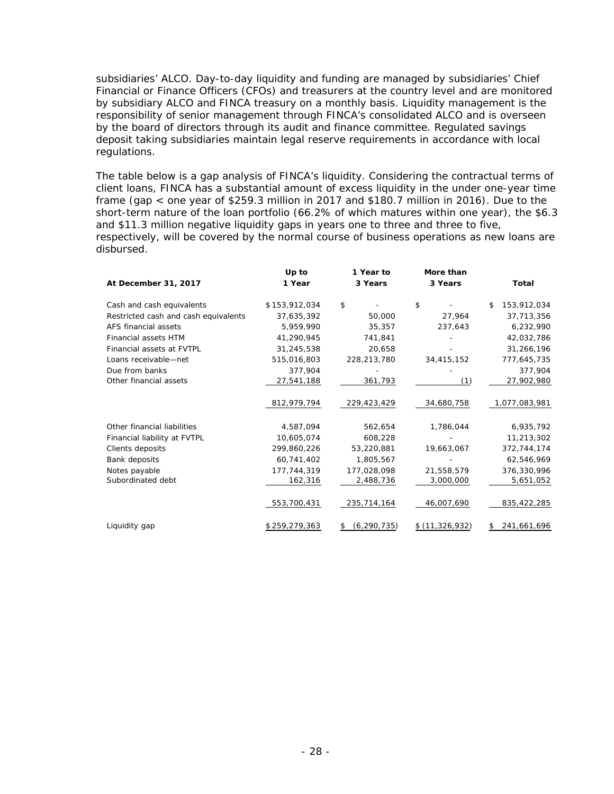subsidiaries' ALCO. Day-to-day liquidity and funding are managed by subsidiaries' Chief Financial or Finance Officers (CFOs) and treasurers at the country level and are monitored by subsidiary ALCO and FINCA treasury on a monthly basis. Liquidity management is the responsibility of senior management through FINCA's consolidated ALCO and is overseen by the board of directors through its audit and finance committee. Regulated savings deposit taking subsidiaries maintain legal reserve requirements in accordance with local regulations.

The table below is a gap analysis of FINCA's liquidity. Considering the contractual terms of client loans, FINCA has a substantial amount of excess liquidity in the under one-year time frame (gap < one year of \$259.3 million in 2017 and \$180.7 million in 2016). Due to the short-term nature of the loan portfolio (66.2% of which matures within one year), the \$6.3 and \$11.3 million negative liquidity gaps in years one to three and three to five, respectively, will be covered by the normal course of business operations as new loans are disbursed.

|                                      | Up to         | 1 Year to     | More than        |                   |
|--------------------------------------|---------------|---------------|------------------|-------------------|
| At December 31, 2017                 | 1 Year        | 3 Years       | 3 Years          | Total             |
| Cash and cash equivalents            | \$153,912,034 | \$            | \$               | 153,912,034<br>\$ |
| Restricted cash and cash equivalents | 37,635,392    | 50,000        | 27,964           | 37,713,356        |
| AFS financial assets                 | 5,959,990     | 35,357        | 237,643          | 6,232,990         |
| Financial assets HTM                 | 41,290,945    | 741,841       |                  | 42,032,786        |
| Financial assets at FVTPL            | 31,245,538    | 20,658        |                  | 31,266,196        |
| Loans receivable-net                 | 515,016,803   | 228,213,780   | 34,415,152       | 777,645,735       |
| Due from banks                       | 377,904       |               |                  | 377,904           |
| Other financial assets               | 27,541,188    | 361,793       | (1)              | 27,902,980        |
|                                      |               |               |                  |                   |
|                                      | 812,979,794   | 229,423,429   | 34,680,758       | 1,077,083,981     |
|                                      |               |               |                  |                   |
| Other financial liabilities          | 4,587,094     | 562,654       | 1,786,044        | 6,935,792         |
| Financial liability at FVTPL         | 10,605,074    | 608,228       |                  | 11,213,302        |
| Clients deposits                     | 299,860,226   | 53,220,881    | 19,663,067       | 372,744,174       |
| Bank deposits                        | 60,741,402    | 1,805,567     |                  | 62,546,969        |
| Notes payable                        | 177,744,319   | 177,028,098   | 21,558,579       | 376,330,996       |
| Subordinated debt                    | 162,316       | 2,488,736     | 3,000,000        | 5,651,052         |
|                                      |               |               |                  |                   |
|                                      | 553,700,431   | 235,714,164   | 46,007,690       | 835,422,285       |
|                                      |               |               |                  |                   |
| Liquidity gap                        | \$259,279,363 | (6, 290, 735) | \$(11, 326, 932) | 241,661,696<br>\$ |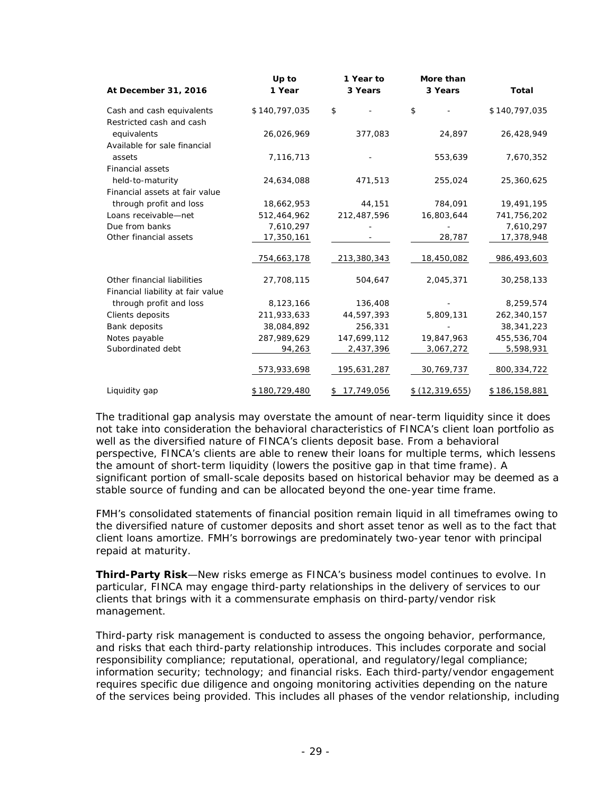|                                   | Up to<br>1 Year | 1 Year to<br>3 Years | More than<br>3 Years | Total         |
|-----------------------------------|-----------------|----------------------|----------------------|---------------|
| At December 31, 2016              |                 |                      |                      |               |
| Cash and cash equivalents         | \$140,797,035   | \$                   | \$                   | \$140,797,035 |
| Restricted cash and cash          |                 |                      |                      |               |
| equivalents                       | 26,026,969      | 377,083              | 24,897               | 26,428,949    |
| Available for sale financial      |                 |                      |                      |               |
| assets                            | 7,116,713       |                      | 553,639              | 7,670,352     |
| <b>Financial assets</b>           |                 |                      |                      |               |
| held-to-maturity                  | 24,634,088      | 471,513              | 255,024              | 25,360,625    |
| Financial assets at fair value    |                 |                      |                      |               |
| through profit and loss           | 18,662,953      | 44,151               | 784,091              | 19,491,195    |
| Loans receivable-net              | 512,464,962     | 212,487,596          | 16,803,644           | 741,756,202   |
| Due from banks                    | 7,610,297       |                      |                      | 7,610,297     |
| Other financial assets            | 17,350,161      |                      | 28,787               | 17,378,948    |
|                                   | 754,663,178     | 213,380,343          | 18,450,082           | 986,493,603   |
| Other financial liabilities       | 27,708,115      | 504,647              | 2,045,371            | 30,258,133    |
| Financial liability at fair value |                 |                      |                      |               |
| through profit and loss           | 8,123,166       | 136,408              |                      | 8,259,574     |
| Clients deposits                  | 211,933,633     | 44,597,393           | 5,809,131            | 262,340,157   |
| Bank deposits                     | 38,084,892      | 256,331              |                      | 38, 341, 223  |
| Notes payable                     | 287,989,629     | 147,699,112          | 19,847,963           | 455,536,704   |
| Subordinated debt                 | 94,263          | 2,437,396            | 3,067,272            | 5,598,931     |
|                                   | 573,933,698     | 195,631,287          | 30,769,737           | 800,334,722   |
| Liquidity gap                     | \$180,729,480   | 17,749,056<br>\$     | \$(12, 319, 655)     | \$186,158,881 |

The traditional gap analysis may overstate the amount of near-term liquidity since it does not take into consideration the behavioral characteristics of FINCA's client loan portfolio as well as the diversified nature of FINCA's clients deposit base. From a behavioral perspective, FINCA's clients are able to renew their loans for multiple terms, which lessens the amount of short-term liquidity (lowers the positive gap in that time frame). A significant portion of small-scale deposits based on historical behavior may be deemed as a stable source of funding and can be allocated beyond the one-year time frame.

FMH's consolidated statements of financial position remain liquid in all timeframes owing to the diversified nature of customer deposits and short asset tenor as well as to the fact that client loans amortize. FMH's borrowings are predominately two-year tenor with principal repaid at maturity.

**Third-Party Risk**—New risks emerge as FINCA's business model continues to evolve. In particular, FINCA may engage third-party relationships in the delivery of services to our clients that brings with it a commensurate emphasis on third-party/vendor risk management.

Third-party risk management is conducted to assess the ongoing behavior, performance, and risks that each third-party relationship introduces. This includes corporate and social responsibility compliance; reputational, operational, and regulatory/legal compliance; information security; technology; and financial risks. Each third-party/vendor engagement requires specific due diligence and ongoing monitoring activities depending on the nature of the services being provided. This includes all phases of the vendor relationship, including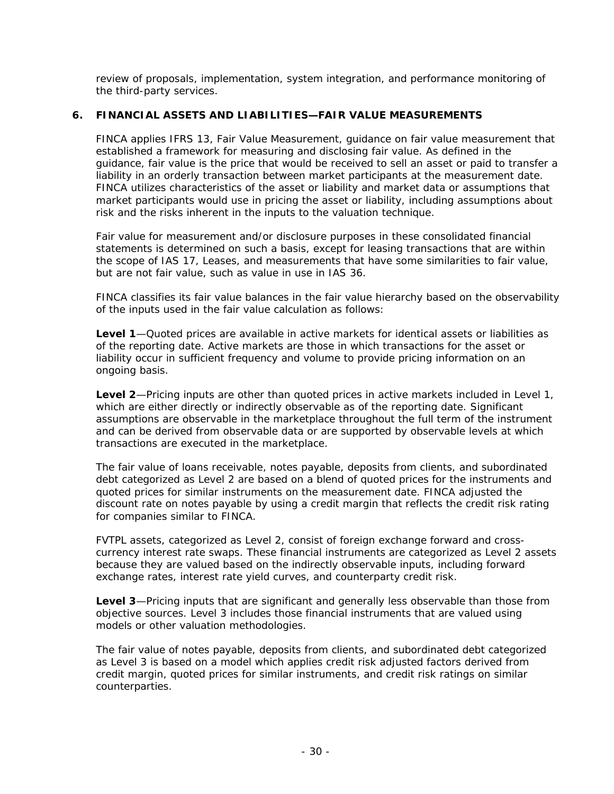review of proposals, implementation, system integration, and performance monitoring of the third-party services.

# **6. FINANCIAL ASSETS AND LIABILITIES—FAIR VALUE MEASUREMENTS**

FINCA applies IFRS 13, *Fair Value Measurement*, guidance on fair value measurement that established a framework for measuring and disclosing fair value. As defined in the guidance, fair value is the price that would be received to sell an asset or paid to transfer a liability in an orderly transaction between market participants at the measurement date. FINCA utilizes characteristics of the asset or liability and market data or assumptions that market participants would use in pricing the asset or liability, including assumptions about risk and the risks inherent in the inputs to the valuation technique.

Fair value for measurement and/or disclosure purposes in these consolidated financial statements is determined on such a basis, except for leasing transactions that are within the scope of IAS 17, *Leases*, and measurements that have some similarities to fair value, but are not fair value, such as value in use in IAS 36.

FINCA classifies its fair value balances in the fair value hierarchy based on the observability of the inputs used in the fair value calculation as follows:

*Level 1*—Quoted prices are available in active markets for identical assets or liabilities as of the reporting date. Active markets are those in which transactions for the asset or liability occur in sufficient frequency and volume to provide pricing information on an ongoing basis.

*Level 2*—Pricing inputs are other than quoted prices in active markets included in Level 1, which are either directly or indirectly observable as of the reporting date. Significant assumptions are observable in the marketplace throughout the full term of the instrument and can be derived from observable data or are supported by observable levels at which transactions are executed in the marketplace.

The fair value of loans receivable, notes payable, deposits from clients, and subordinated debt categorized as Level 2 are based on a blend of quoted prices for the instruments and quoted prices for similar instruments on the measurement date. FINCA adjusted the discount rate on notes payable by using a credit margin that reflects the credit risk rating for companies similar to FINCA.

FVTPL assets, categorized as Level 2, consist of foreign exchange forward and crosscurrency interest rate swaps. These financial instruments are categorized as Level 2 assets because they are valued based on the indirectly observable inputs, including forward exchange rates, interest rate yield curves, and counterparty credit risk.

*Level 3*—Pricing inputs that are significant and generally less observable than those from objective sources. Level 3 includes those financial instruments that are valued using models or other valuation methodologies.

The fair value of notes payable, deposits from clients, and subordinated debt categorized as Level 3 is based on a model which applies credit risk adjusted factors derived from credit margin, quoted prices for similar instruments, and credit risk ratings on similar counterparties.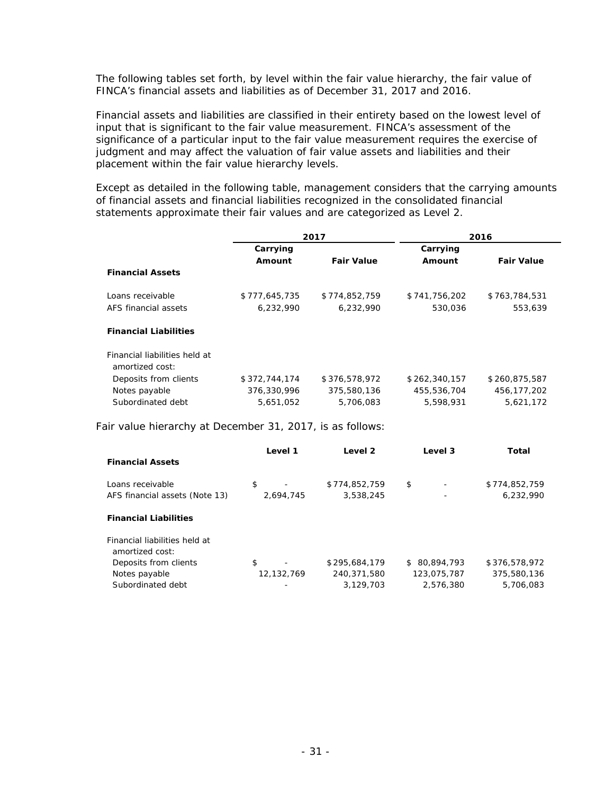The following tables set forth, by level within the fair value hierarchy, the fair value of FINCA's financial assets and liabilities as of December 31, 2017 and 2016.

Financial assets and liabilities are classified in their entirety based on the lowest level of input that is significant to the fair value measurement. FINCA's assessment of the significance of a particular input to the fair value measurement requires the exercise of judgment and may affect the valuation of fair value assets and liabilities and their placement within the fair value hierarchy levels.

Except as detailed in the following table, management considers that the carrying amounts of financial assets and financial liabilities recognized in the consolidated financial statements approximate their fair values and are categorized as Level 2.

|                                                  |               | 2017              | 2016          |                   |  |
|--------------------------------------------------|---------------|-------------------|---------------|-------------------|--|
|                                                  | Carrying      |                   | Carrying      |                   |  |
|                                                  | Amount        | <b>Fair Value</b> | Amount        | <b>Fair Value</b> |  |
| <b>Financial Assets</b>                          |               |                   |               |                   |  |
| Loans receivable                                 | \$777,645,735 | \$774,852,759     | \$741,756,202 | \$763,784,531     |  |
| AFS financial assets                             | 6,232,990     | 6,232,990         | 530,036       | 553,639           |  |
| <b>Financial Liabilities</b>                     |               |                   |               |                   |  |
| Financial liabilities held at<br>amortized cost: |               |                   |               |                   |  |
| Deposits from clients                            | \$372,744,174 | \$376,578,972     | \$262,340,157 | \$260,875,587     |  |
| Notes payable                                    | 376,330,996   | 375,580,136       | 455,536,704   | 456, 177, 202     |  |
| Subordinated debt                                | 5,651,052     | 5,706,083         | 5,598,931     | 5,621,172         |  |

Fair value hierarchy at December 31, 2017, is as follows:

|                                                  | Level 1                        | Level <sub>2</sub> | Level 3      | Total         |
|--------------------------------------------------|--------------------------------|--------------------|--------------|---------------|
| <b>Financial Assets</b>                          |                                |                    |              |               |
| Loans receivable                                 | \$                             | \$774,852,759      | \$           | \$774,852,759 |
| AFS financial assets (Note 13)                   | 2,694,745                      | 3,538,245          |              | 6,232,990     |
| <b>Financial Liabilities</b>                     |                                |                    |              |               |
| Financial liabilities held at<br>amortized cost: |                                |                    |              |               |
| Deposits from clients                            | \$<br>$\overline{\phantom{a}}$ | \$295,684,179      | \$80.894.793 | \$376,578,972 |
| Notes payable                                    | 12.132.769                     | 240.371.580        | 123.075.787  | 375,580,136   |
| Subordinated debt                                |                                | 3.129.703          | 2,576,380    | 5,706,083     |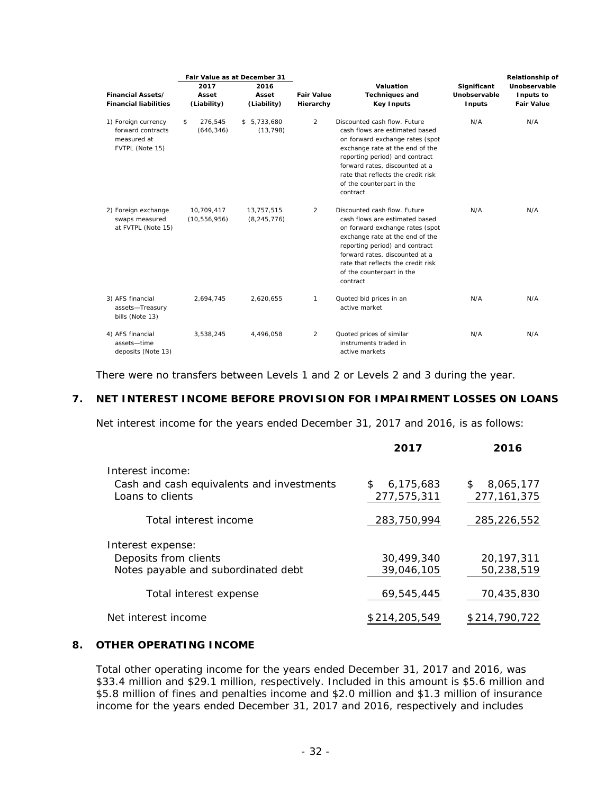|                                                                            |                              | Fair Value as at December 31 |                                |                                                                                                                                                                                                                                                                                         |                                       | Relationship of                                |
|----------------------------------------------------------------------------|------------------------------|------------------------------|--------------------------------|-----------------------------------------------------------------------------------------------------------------------------------------------------------------------------------------------------------------------------------------------------------------------------------------|---------------------------------------|------------------------------------------------|
| Financial Assets/<br><b>Financial liabilities</b>                          | 2017<br>Asset<br>(Liability) | 2016<br>Asset<br>(Liability) | <b>Fair Value</b><br>Hierarchy | Valuation<br><b>Techniques and</b><br>Key Inputs                                                                                                                                                                                                                                        | Significant<br>Unobservable<br>Inputs | Unobservable<br>Inputs to<br><b>Fair Value</b> |
| 1) Foreign currency<br>forward contracts<br>measured at<br>FVTPL (Note 15) | 276,545<br>\$<br>(646, 346)  | \$5,733,680<br>(13, 798)     | $\overline{2}$                 | Discounted cash flow. Future<br>cash flows are estimated based<br>on forward exchange rates (spot<br>exchange rate at the end of the<br>reporting period) and contract<br>forward rates, discounted at a<br>rate that reflects the credit risk<br>of the counterpart in the<br>contract | N/A                                   | N/A                                            |
| 2) Foreign exchange<br>swaps measured<br>at FVTPL (Note 15)                | 10,709,417<br>(10, 556, 956) | 13,757,515<br>(8, 245, 776)  | 2                              | Discounted cash flow. Future<br>cash flows are estimated based<br>on forward exchange rates (spot<br>exchange rate at the end of the<br>reporting period) and contract<br>forward rates, discounted at a<br>rate that reflects the credit risk<br>of the counterpart in the<br>contract | N/A                                   | N/A                                            |
| 3) AFS financial<br>assets-Treasury<br>bills (Note 13)                     | 2,694,745                    | 2,620,655                    | 1                              | Quoted bid prices in an<br>active market                                                                                                                                                                                                                                                | N/A                                   | N/A                                            |
| 4) AFS financial<br>assets-time<br>deposits (Note 13)                      | 3,538,245                    | 4,496,058                    | $\overline{2}$                 | Quoted prices of similar<br>instruments traded in<br>active markets                                                                                                                                                                                                                     | N/A                                   | N/A                                            |

There were no transfers between Levels 1 and 2 or Levels 2 and 3 during the year.

# **7. NET INTEREST INCOME BEFORE PROVISION FOR IMPAIRMENT LOSSES ON LOANS**

Net interest income for the years ended December 31, 2017 and 2016, is as follows:

|                                           | 2017             | 2016            |
|-------------------------------------------|------------------|-----------------|
| Interest income:                          |                  |                 |
| Cash and cash equivalents and investments | 6,175,683<br>\$. | 8,065,177<br>\$ |
| Loans to clients                          | 277,575,311      | 277, 161, 375   |
| Total interest income                     | 283,750,994      | 285, 226, 552   |
| Interest expense:                         |                  |                 |
| Deposits from clients                     | 30,499,340       | 20, 197, 311    |
| Notes payable and subordinated debt       | 39,046,105       | 50,238,519      |
| Total interest expense                    | 69,545,445       | 70,435,830      |
| Net interest income                       | \$214,205,549    | \$214,790,722   |

## **8. OTHER OPERATING INCOME**

Total other operating income for the years ended December 31, 2017 and 2016, was \$33.4 million and \$29.1 million, respectively. Included in this amount is \$5.6 million and \$5.8 million of fines and penalties income and \$2.0 million and \$1.3 million of insurance income for the years ended December 31, 2017 and 2016, respectively and includes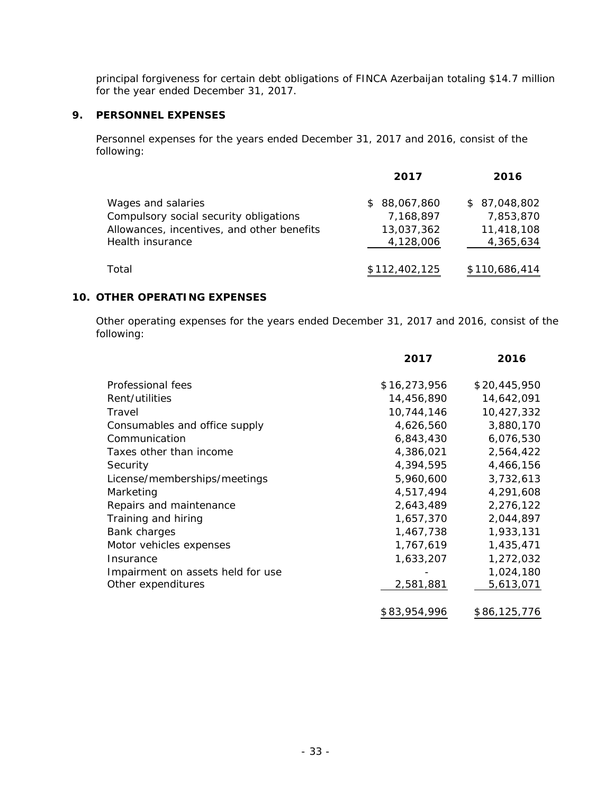principal forgiveness for certain debt obligations of FINCA Azerbaijan totaling \$14.7 million for the year ended December 31, 2017.

#### **9. PERSONNEL EXPENSES**

Personnel expenses for the years ended December 31, 2017 and 2016, consist of the following:

| 2017          | 2016          |
|---------------|---------------|
| \$ 88,067,860 | \$87,048,802  |
| 7,168,897     | 7,853,870     |
| 13,037,362    | 11,418,108    |
| 4,128,006     | 4,365,634     |
| \$112,402,125 | \$110,686,414 |
|               |               |

#### **10. OTHER OPERATING EXPENSES**

Other operating expenses for the years ended December 31, 2017 and 2016, consist of the following:

|                                   | 2017         | 2016         |
|-----------------------------------|--------------|--------------|
| Professional fees                 | \$16,273,956 | \$20,445,950 |
| Rent/utilities                    | 14,456,890   | 14,642,091   |
| Travel                            | 10,744,146   | 10,427,332   |
| Consumables and office supply     | 4,626,560    | 3,880,170    |
| Communication                     | 6,843,430    | 6,076,530    |
| Taxes other than income           | 4,386,021    | 2,564,422    |
| Security                          | 4,394,595    | 4,466,156    |
| License/memberships/meetings      | 5,960,600    | 3,732,613    |
| Marketing                         | 4,517,494    | 4,291,608    |
| Repairs and maintenance           | 2,643,489    | 2,276,122    |
| Training and hiring               | 1,657,370    | 2,044,897    |
| Bank charges                      | 1,467,738    | 1,933,131    |
| Motor vehicles expenses           | 1,767,619    | 1,435,471    |
| Insurance                         | 1,633,207    | 1,272,032    |
| Impairment on assets held for use |              | 1,024,180    |
| Other expenditures                | 2,581,881    | 5,613,071    |
|                                   | \$83,954,996 | \$86,125,776 |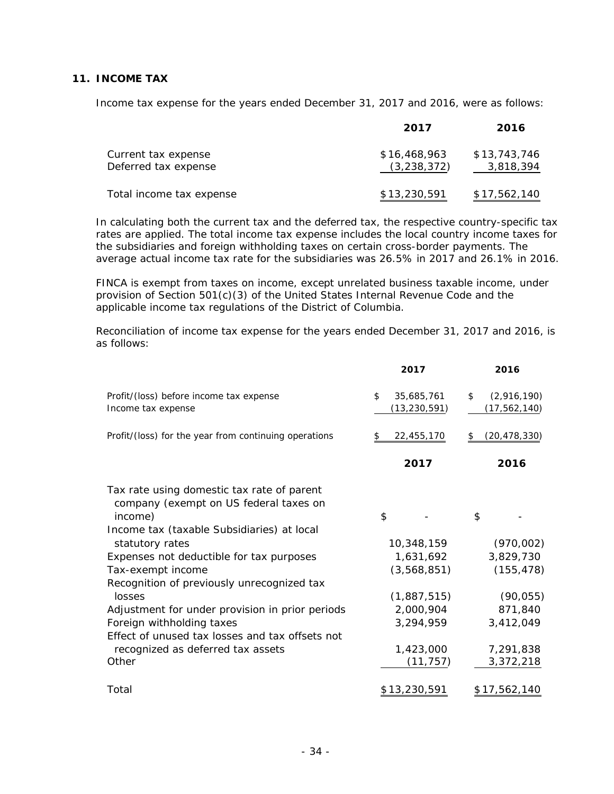## **11. INCOME TAX**

Income tax expense for the years ended December 31, 2017 and 2016, were as follows:

|                                             | 2017                          | 2016                      |
|---------------------------------------------|-------------------------------|---------------------------|
| Current tax expense<br>Deferred tax expense | \$16,468,963<br>(3, 238, 372) | \$13,743,746<br>3,818,394 |
| Total income tax expense                    | \$13,230,591                  | \$17,562,140              |

In calculating both the current tax and the deferred tax, the respective country-specific tax rates are applied. The total income tax expense includes the local country income taxes for the subsidiaries and foreign withholding taxes on certain cross-border payments. The average actual income tax rate for the subsidiaries was 26.5% in 2017 and 26.1% in 2016.

FINCA is exempt from taxes on income, except unrelated business taxable income, under provision of Section 501(c)(3) of the United States Internal Revenue Code and the applicable income tax regulations of the District of Columbia.

Reconciliation of income tax expense for the years ended December 31, 2017 and 2016, is as follows:

|                                                               | 2017                               | 2016                                |
|---------------------------------------------------------------|------------------------------------|-------------------------------------|
| Profit/(loss) before income tax expense<br>Income tax expense | \$<br>35,685,761<br>(13, 230, 591) | (2,916,190)<br>\$<br>(17, 562, 140) |
| Profit/(loss) for the year from continuing operations         | 22,455,170<br>\$                   | (20, 478, 330)<br>\$                |
|                                                               | 2017                               | 2016                                |
| Tax rate using domestic tax rate of parent                    |                                    |                                     |
| company (exempt on US federal taxes on<br>income)             | \$                                 | $\boldsymbol{\mathsf{S}}$           |
| Income tax (taxable Subsidiaries) at local                    |                                    |                                     |
| statutory rates                                               | 10,348,159                         | (970,002)                           |
| Expenses not deductible for tax purposes                      | 1,631,692                          | 3,829,730                           |
| Tax-exempt income                                             | (3,568,851)                        | (155, 478)                          |
| Recognition of previously unrecognized tax                    |                                    |                                     |
| losses                                                        | (1,887,515)                        | (90, 055)                           |
| Adjustment for under provision in prior periods               | 2,000,904                          | 871,840                             |
| Foreign withholding taxes                                     | 3,294,959                          | 3,412,049                           |
| Effect of unused tax losses and tax offsets not               |                                    |                                     |
| recognized as deferred tax assets                             | 1,423,000                          | 7,291,838                           |
| Other                                                         | (11, 757)                          | 3,372,218                           |
| Total                                                         | \$13,230,591                       | \$17,562,140                        |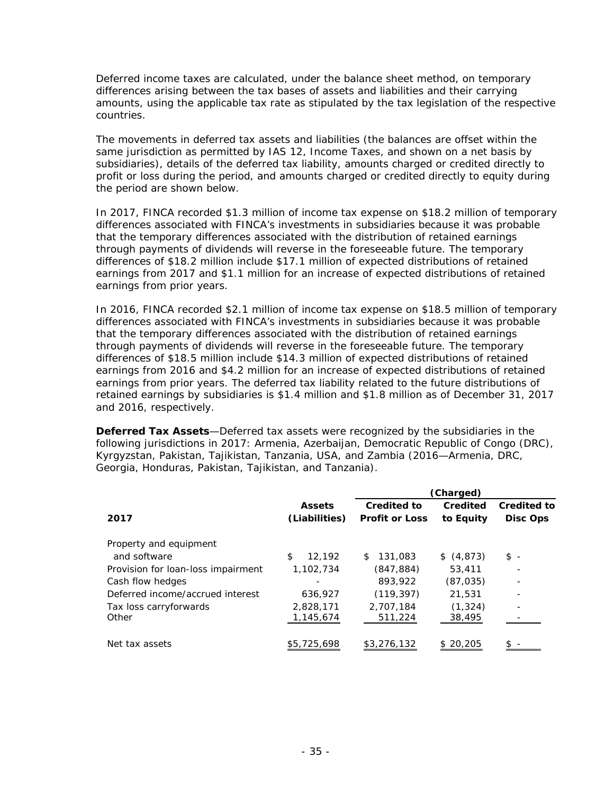Deferred income taxes are calculated, under the balance sheet method, on temporary differences arising between the tax bases of assets and liabilities and their carrying amounts, using the applicable tax rate as stipulated by the tax legislation of the respective countries.

The movements in deferred tax assets and liabilities (the balances are offset within the same jurisdiction as permitted by IAS 12, *Income Taxes*, and shown on a net basis by subsidiaries), details of the deferred tax liability, amounts charged or credited directly to profit or loss during the period, and amounts charged or credited directly to equity during the period are shown below.

In 2017, FINCA recorded \$1.3 million of income tax expense on \$18.2 million of temporary differences associated with FINCA's investments in subsidiaries because it was probable that the temporary differences associated with the distribution of retained earnings through payments of dividends will reverse in the foreseeable future. The temporary differences of \$18.2 million include \$17.1 million of expected distributions of retained earnings from 2017 and \$1.1 million for an increase of expected distributions of retained earnings from prior years.

In 2016, FINCA recorded \$2.1 million of income tax expense on \$18.5 million of temporary differences associated with FINCA's investments in subsidiaries because it was probable that the temporary differences associated with the distribution of retained earnings through payments of dividends will reverse in the foreseeable future. The temporary differences of \$18.5 million include \$14.3 million of expected distributions of retained earnings from 2016 and \$4.2 million for an increase of expected distributions of retained earnings from prior years. The deferred tax liability related to the future distributions of retained earnings by subsidiaries is \$1.4 million and \$1.8 million as of December 31, 2017 and 2016, respectively.

**Deferred Tax Assets**—Deferred tax assets were recognized by the subsidiaries in the following jurisdictions in 2017: Armenia, Azerbaijan, Democratic Republic of Congo (DRC), Kyrgyzstan, Pakistan, Tajikistan, Tanzania, USA, and Zambia (2016—Armenia, DRC, Georgia, Honduras, Pakistan, Tajikistan, and Tanzania).

|                                    |               | (Charged)             |           |                          |
|------------------------------------|---------------|-----------------------|-----------|--------------------------|
|                                    | Assets        | Credited to           | Credited  | Credited to              |
| 2017                               | (Liabilities) | <b>Profit or Loss</b> | to Equity | Disc Ops                 |
| Property and equipment             |               |                       |           |                          |
| and software                       | 12,192<br>\$  | \$<br>131,083         | \$(4,873) | $\frac{1}{2}$ -          |
| Provision for loan-loss impairment | 1,102,734     | (847, 884)            | 53,411    |                          |
| Cash flow hedges                   |               | 893.922               | (87, 035) | ٠                        |
| Deferred income/accrued interest   | 636,927       | (119, 397)            | 21,531    | $\overline{\phantom{a}}$ |
| Tax loss carryforwards             | 2,828,171     | 2.707.184             | (1, 324)  | -                        |
| Other                              | 1,145,674     | 511,224               | 38,495    |                          |
| Net tax assets                     | \$5,725,698   | \$3,276,132           | \$20,205  | \$                       |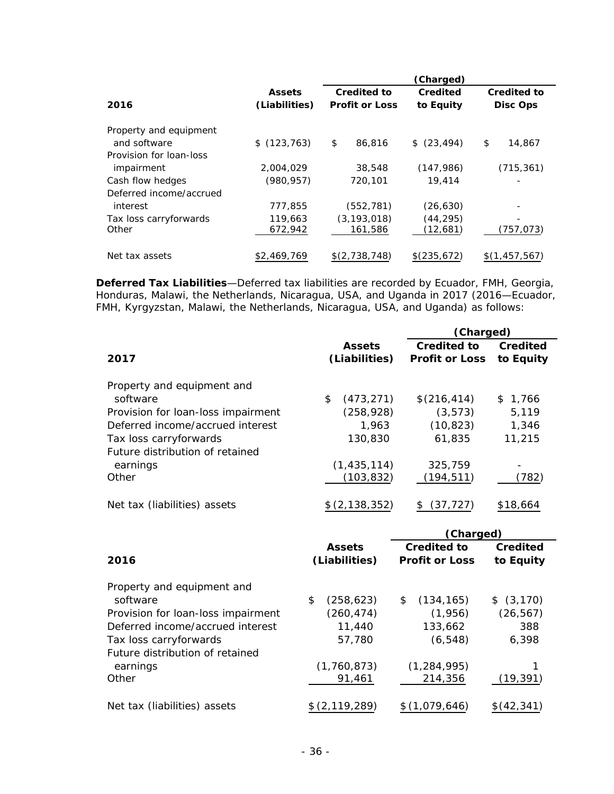|                         |               | (Charged)             |              |                 |  |
|-------------------------|---------------|-----------------------|--------------|-----------------|--|
|                         | Assets        | Credited to           | Credited     | Credited to     |  |
| 2016                    | (Liabilities) | <b>Profit or Loss</b> | to Equity    | Disc Ops        |  |
|                         |               |                       |              |                 |  |
| Property and equipment  |               |                       |              |                 |  |
| and software            | \$(123, 763)  | \$<br>86,816          | \$(23, 494)  | \$<br>14,867    |  |
| Provision for Joan-Joss |               |                       |              |                 |  |
| impairment              | 2,004,029     | 38,548                | (147, 986)   | (715, 361)      |  |
| Cash flow hedges        | (980, 957)    | 720,101               | 19,414       |                 |  |
| Deferred income/accrued |               |                       |              |                 |  |
| interest                | 777,855       | (552,781)             | (26, 630)    |                 |  |
| Tax loss carryforwards  | 119,663       | (3, 193, 018)         | (44, 295)    |                 |  |
| Other                   | 672,942       | 161,586               | (12,681)     | (757,073)       |  |
| Net tax assets          | \$2,469,769   | \$(2,738,748)         | \$(235, 672) | \$(1, 457, 567) |  |

**Deferred Tax Liabilities**—Deferred tax liabilities are recorded by Ecuador, FMH, Georgia, Honduras, Malawi, the Netherlands, Nicaragua, USA, and Uganda in 2017 (2016—Ecuador, FMH, Kyrgyzstan, Malawi, the Netherlands, Nicaragua, USA, and Uganda) as follows:

|                                    |                  | (Charged)             |           |  |
|------------------------------------|------------------|-----------------------|-----------|--|
|                                    | Assets           | Credited to           | Credited  |  |
| 2017                               | (Liabilities)    | <b>Profit or Loss</b> | to Equity |  |
| Property and equipment and         |                  |                       |           |  |
| software                           | (473, 271)<br>\$ | \$(216, 414)          | \$1,766   |  |
| Provision for loan-loss impairment | (258, 928)       | (3, 573)              | 5.119     |  |
| Deferred income/accrued interest   | 1,963            | (10, 823)             | 1,346     |  |
| Tax loss carryforwards             | 130,830          | 61,835                | 11,215    |  |
| Future distribution of retained    |                  |                       |           |  |
| earnings                           | (1, 435, 114)    | 325,759               |           |  |
| Other                              | (103, 832)       | (194, 511)            | (782)     |  |
| Net tax (liabilities) assets       | \$(2, 138, 352)  | (37.727)              | \$18,664  |  |

|                                    |                 | (Charged)             |                 |  |
|------------------------------------|-----------------|-----------------------|-----------------|--|
|                                    | Assets          | Credited to           | Credited        |  |
| 2016                               | (Liabilities)   | <b>Profit or Loss</b> | to Equity       |  |
| Property and equipment and         |                 |                       |                 |  |
| software                           | \$<br>(258,623) | (134, 165)<br>\$      | \$ (3, 170)     |  |
| Provision for loan-loss impairment | (260, 474)      | (1,956)               | (26, 567)       |  |
| Deferred income/accrued interest   | 11,440          | 133,662               | 388             |  |
| Tax loss carryforwards             | 57,780          | (6, 548)              | 6.398           |  |
| Future distribution of retained    |                 |                       |                 |  |
| earnings                           | (1,760,873)     | (1, 284, 995)         |                 |  |
| Other                              | 91,461          | 214,356               | (19,391)        |  |
| Net tax (liabilities) assets       | \$(2, 119, 289) | (1,079,646)<br>\$     | (42,341<br>ا \$ |  |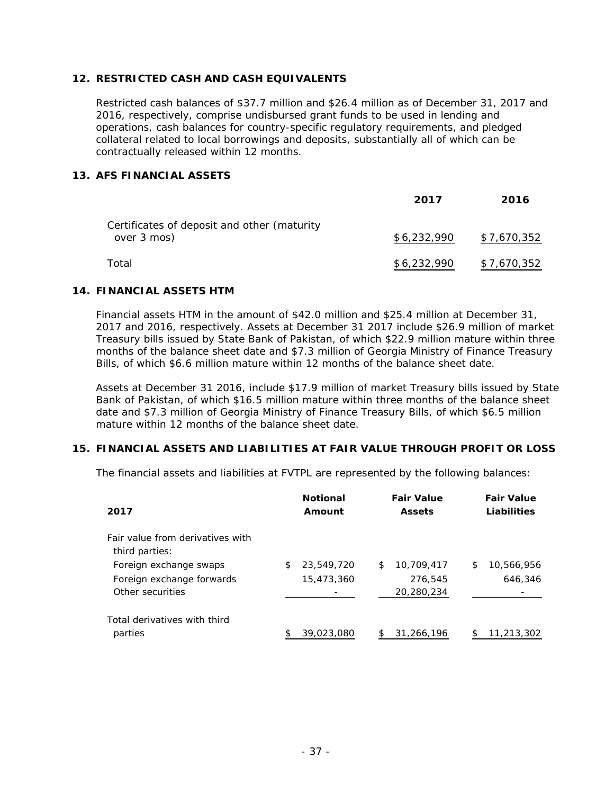#### **12. RESTRICTED CASH AND CASH EQUIVALENTS**

Restricted cash balances of \$37.7 million and \$26.4 million as of December 31, 2017 and 2016, respectively, comprise undisbursed grant funds to be used in lending and operations, cash balances for country-specific regulatory requirements, and pledged collateral related to local borrowings and deposits, substantially all of which can be contractually released within 12 months.

#### **13. AFS FINANCIAL ASSETS**

|                                                            | 2017        | 2016        |
|------------------------------------------------------------|-------------|-------------|
| Certificates of deposit and other (maturity<br>over 3 mos) | \$6,232,990 | \$7,670,352 |
| Total                                                      | \$6,232,990 | \$7,670,352 |

#### **14. FINANCIAL ASSETS HTM**

Financial assets HTM in the amount of \$42.0 million and \$25.4 million at December 31, 2017 and 2016, respectively. Assets at December 31 2017 include \$26.9 million of market Treasury bills issued by State Bank of Pakistan, of which \$22.9 million mature within three months of the balance sheet date and \$7.3 million of Georgia Ministry of Finance Treasury Bills, of which \$6.6 million mature within 12 months of the balance sheet date.

Assets at December 31 2016, include \$17.9 million of market Treasury bills issued by State Bank of Pakistan, of which \$16.5 million mature within three months of the balance sheet date and \$7.3 million of Georgia Ministry of Finance Treasury Bills, of which \$6.5 million mature within 12 months of the balance sheet date.

#### **15. FINANCIAL ASSETS AND LIABILITIES AT FAIR VALUE THROUGH PROFIT OR LOSS**

The financial assets and liabilities at FVTPL are represented by the following balances:

| 2017                                               | <b>Notional</b><br>Amount | <b>Fair Value</b><br>Assets | <b>Fair Value</b><br>Liabilities |
|----------------------------------------------------|---------------------------|-----------------------------|----------------------------------|
| Fair value from derivatives with<br>third parties: |                           |                             |                                  |
| Foreign exchange swaps                             | \$<br>23,549,720          | \$<br>10,709,417            | \$<br>10,566,956                 |
| Foreign exchange forwards                          | 15,473,360                | 276,545                     | 646,346                          |
| Other securities                                   |                           | 20,280,234                  |                                  |
| Total derivatives with third                       |                           |                             |                                  |
| parties                                            | 39,023,080                | 31,266,196                  | 11,213,302                       |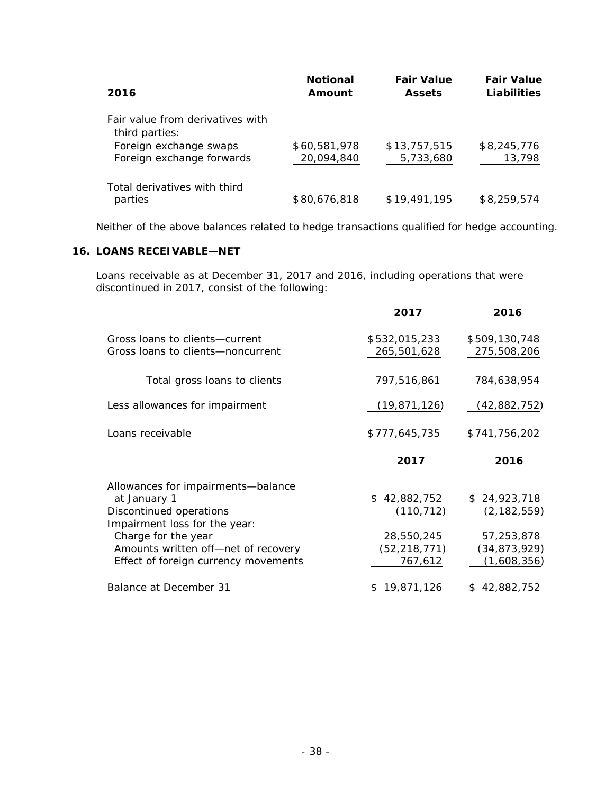| 2016                                               | <b>Notional</b> | <b>Fair Value</b> | <b>Fair Value</b> |
|----------------------------------------------------|-----------------|-------------------|-------------------|
|                                                    | Amount          | <b>Assets</b>     | Liabilities       |
| Fair value from derivatives with<br>third parties: |                 |                   |                   |
| Foreign exchange swaps                             | \$60,581,978    | \$13,757,515      | \$8,245,776       |
| Foreign exchange forwards                          | 20,094,840      | 5,733,680         | 13,798            |
| Total derivatives with third<br>parties            | \$80,676,818    | \$19,491,195      | \$8,259,574       |

Neither of the above balances related to hedge transactions qualified for hedge accounting.

# **16. LOANS RECEIVABLE—NET**

Loans receivable as at December 31, 2017 and 2016, including operations that were discontinued in 2017, consist of the following:

|                                                                                                                                                                                                                      | 2017                                                                  | 2016                                                                         |
|----------------------------------------------------------------------------------------------------------------------------------------------------------------------------------------------------------------------|-----------------------------------------------------------------------|------------------------------------------------------------------------------|
| Gross loans to clients—current<br>Gross loans to clients—noncurrent                                                                                                                                                  | \$532,015,233<br>265,501,628                                          | \$509,130,748<br>275,508,206                                                 |
| Total gross loans to clients                                                                                                                                                                                         | 797,516,861                                                           | 784,638,954                                                                  |
| Less allowances for impairment                                                                                                                                                                                       | (19, 871, 126)                                                        | (42,882,752)                                                                 |
| Loans receivable                                                                                                                                                                                                     | \$777,645,735                                                         | \$741,756,202                                                                |
|                                                                                                                                                                                                                      | 2017                                                                  | 2016                                                                         |
| Allowances for impairments-balance<br>at January 1<br>Discontinued operations<br>Impairment loss for the year:<br>Charge for the year<br>Amounts written off-net of recovery<br>Effect of foreign currency movements | \$42,882,752<br>(110, 712)<br>28,550,245<br>(52, 218, 771)<br>767,612 | \$24,923,718<br>(2, 182, 559)<br>57,253,878<br>(34, 873, 929)<br>(1,608,356) |
| Balance at December 31                                                                                                                                                                                               | 19,871,126                                                            | \$42,882,752                                                                 |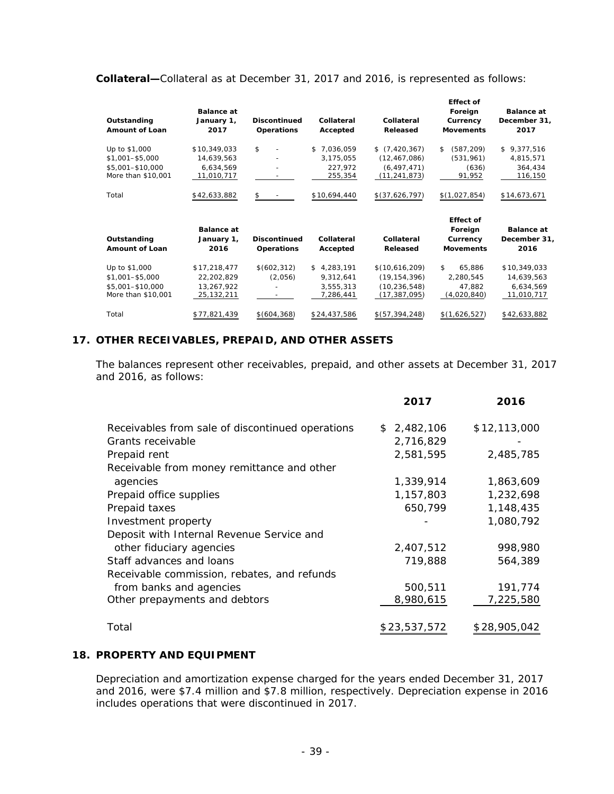| Outstanding<br>Amount of Loan                                              | Balance at<br>January 1,<br>2017                       | <b>Discontinued</b><br>Operations | Collateral<br>Accepted                             | Collateral<br>Released                                               | Effect of<br>Foreign<br>Currency<br><b>Movements</b> | <b>Balance at</b><br>December 31,<br>2017             |
|----------------------------------------------------------------------------|--------------------------------------------------------|-----------------------------------|----------------------------------------------------|----------------------------------------------------------------------|------------------------------------------------------|-------------------------------------------------------|
| Up to \$1,000<br>\$1,001-\$5,000<br>\$5,001-\$10,000<br>More than \$10,001 | \$10,349,033<br>14,639,563<br>6,634,569<br>11,010,717  | \$                                | \$7,036,059<br>3,175,055<br>227,972<br>255,354     | \$(7, 420, 367)<br>(12, 467, 086)<br>(6, 497, 471)<br>(11,241,873)   | (587, 209)<br>\$<br>(531, 961)<br>(636)<br>91,952    | \$9,377,516<br>4,815,571<br>364,434<br>116,150        |
| Total                                                                      | \$42,633,882                                           | \$                                | \$10,694,440                                       | \$(37,626,797)                                                       | \$(1,027,854)                                        | \$14,673,671                                          |
| Outstanding<br>Amount of Loan                                              | Balance at<br>January 1,                               | Discontinued                      | Collateral                                         | Collateral                                                           | Effect of<br>Foreign<br>Currency                     | Balance at<br>December 31,                            |
|                                                                            | 2016                                                   | Operations                        | Accepted                                           | Released                                                             | <b>Movements</b>                                     | 2016                                                  |
| Up to \$1,000<br>\$1,001-\$5,000<br>\$5,001-\$10,000<br>More than \$10,001 | \$17,218,477<br>22,202,829<br>13,267,922<br>25,132,211 | \$(602,312)<br>(2,056)            | \$4,283,191<br>9,312,641<br>3,555,313<br>7,286,441 | \$(10,616,209)<br>(19, 154, 396)<br>(10, 236, 548)<br>(17, 387, 095) | \$<br>65,886<br>2,280,545<br>47,882<br>(4,020,840)   | \$10,349,033<br>14,639,563<br>6,634,569<br>11,010,717 |

#### **Collateral—**Collateral as at December 31, 2017 and 2016, is represented as follows:

#### **17. OTHER RECEIVABLES, PREPAID, AND OTHER ASSETS**

The balances represent other receivables, prepaid, and other assets at December 31, 2017 and 2016, as follows:

|                                                  | 2017         | 2016         |
|--------------------------------------------------|--------------|--------------|
| Receivables from sale of discontinued operations | \$2,482,106  | \$12,113,000 |
| Grants receivable                                | 2,716,829    |              |
| Prepaid rent                                     | 2,581,595    | 2,485,785    |
| Receivable from money remittance and other       |              |              |
| agencies                                         | 1,339,914    | 1,863,609    |
| Prepaid office supplies                          | 1,157,803    | 1,232,698    |
| Prepaid taxes                                    | 650,799      | 1,148,435    |
| Investment property                              |              | 1,080,792    |
| Deposit with Internal Revenue Service and        |              |              |
| other fiduciary agencies                         | 2,407,512    | 998,980      |
| Staff advances and loans                         | 719,888      | 564,389      |
| Receivable commission, rebates, and refunds      |              |              |
| from banks and agencies                          | 500,511      | 191,774      |
| Other prepayments and debtors                    | 8,980,615    | 7,225,580    |
| Total                                            | \$23,537,572 | \$28,905,042 |

#### **18. PROPERTY AND EQUIPMENT**

Depreciation and amortization expense charged for the years ended December 31, 2017 and 2016, were \$7.4 million and \$7.8 million, respectively. Depreciation expense in 2016 includes operations that were discontinued in 2017.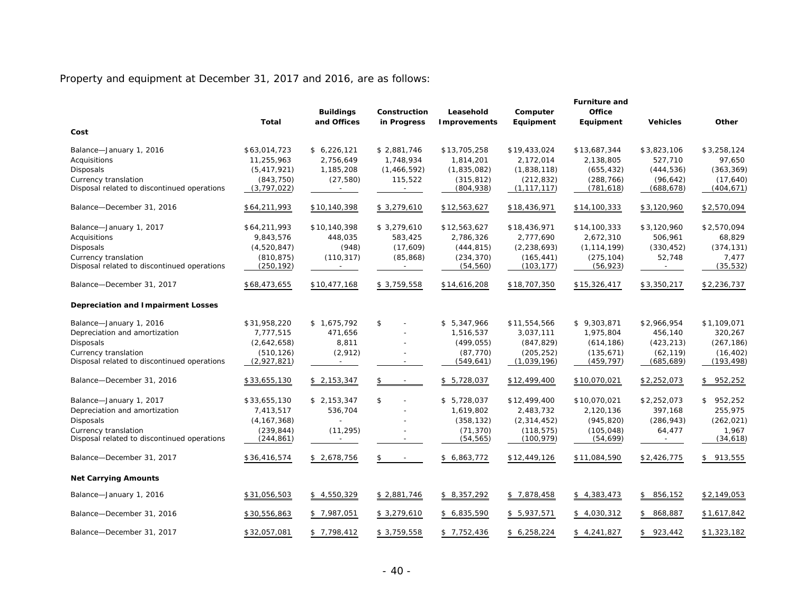# Property and equipment at December 31, 2017 and 2016, are as follows:

| Cost                                                                                                                                                                      | Total                                                                                 | <b>Buildings</b><br>and Offices                                  | Construction<br>in Progress                                    | Leasehold<br><b>Improvements</b>                                                | Computer<br>Equipment                                                                | <b>Furniture and</b><br>Office<br>Equipment                                        | Vehicles                                                                       | Other                                                                        |
|---------------------------------------------------------------------------------------------------------------------------------------------------------------------------|---------------------------------------------------------------------------------------|------------------------------------------------------------------|----------------------------------------------------------------|---------------------------------------------------------------------------------|--------------------------------------------------------------------------------------|------------------------------------------------------------------------------------|--------------------------------------------------------------------------------|------------------------------------------------------------------------------|
| Balance-January 1, 2016<br>Acquisitions<br>Disposals<br>Currency translation<br>Disposal related to discontinued operations                                               | \$63,014,723<br>11,255,963<br>(5, 417, 921)<br>(843, 750)<br>(3, 797, 022)            | \$6,226,121<br>2,756,649<br>1,185,208<br>(27, 580)<br>$\sim 100$ | \$2,881,746<br>1,748,934<br>(1, 466, 592)<br>115,522<br>$\sim$ | \$13,705,258<br>1,814,201<br>(1,835,082)<br>(315, 812)<br>(804, 938)            | \$19,433,024<br>2,172,014<br>(1,838,118)<br>(212, 832)<br>(1, 117, 117)              | \$13,687,344<br>2,138,805<br>(655, 432)<br>(288, 766)<br>(781, 618)                | \$3,823,106<br>527,710<br>(444, 536)<br>(96, 642)<br>(688, 678)                | \$3,258,124<br>97,650<br>(363, 369)<br>(17,640)<br>(404, 671)                |
| Balance-December 31, 2016                                                                                                                                                 | \$64,211,993                                                                          | \$10,140,398                                                     | \$3,279,610                                                    | \$12,563,627                                                                    | \$18,436,971                                                                         | \$14,100,333                                                                       | \$3,120,960                                                                    | \$2,570,094                                                                  |
| Balance-January 1, 2017<br>Acquisitions<br>Disposals<br>Currency translation<br>Disposal related to discontinued operations                                               | \$64,211,993<br>9,843,576<br>(4,520,847)<br>(810, 875)<br>(250, 192)                  | \$10,140,398<br>448,035<br>(948)<br>(110, 317)                   | \$3,279,610<br>583,425<br>(17,609)<br>(85, 868)                | \$12,563,627<br>2,786,326<br>(444, 815)<br>(234, 370)<br>(54, 560)              | \$18,436,971<br>2,777,690<br>(2, 238, 693)<br>(165, 441)<br>(103, 177)               | \$14,100,333<br>2,672,310<br>(1, 114, 199)<br>(275, 104)<br>(56, 923)              | \$3,120,960<br>506,961<br>(330, 452)<br>52,748                                 | \$2,570,094<br>68,829<br>(374, 131)<br>7,477<br>(35, 532)                    |
| Balance-December 31, 2017                                                                                                                                                 | \$68,473,655                                                                          | \$10,477,168                                                     | \$3,759,558                                                    | \$14,616,208                                                                    | \$18,707,350                                                                         | \$15,326,417                                                                       | \$3,350,217                                                                    | \$2,236,737                                                                  |
| Depreciation and Impairment Losses                                                                                                                                        |                                                                                       |                                                                  |                                                                |                                                                                 |                                                                                      |                                                                                    |                                                                                |                                                                              |
| Balance-January 1, 2016<br>Depreciation and amortization<br>Disposals<br>Currency translation<br>Disposal related to discontinued operations<br>Balance-December 31, 2016 | \$31,958,220<br>7,777,515<br>(2,642,658)<br>(510, 126)<br>(2,927,821)<br>\$33,655,130 | \$1,675,792<br>471,656<br>8,811<br>(2, 912)<br>\$2,153,347       | $\mathfrak{S}$<br>$\overline{a}$<br>\$<br>$\sim$               | \$5,347,966<br>1,516,537<br>(499, 055)<br>(87, 770)<br>(549,641)<br>\$5,728,037 | \$11,554,566<br>3,037,111<br>(847, 829)<br>(205, 252)<br>(1,039,196)<br>\$12,499,400 | \$9,303,871<br>1,975,804<br>(614, 186)<br>(135, 671)<br>(459, 797)<br>\$10,070,021 | \$2,966,954<br>456,140<br>(423, 213)<br>(62, 119)<br>(685, 689)<br>\$2,252,073 | \$1,109,071<br>320,267<br>(267, 186)<br>(16, 402)<br>(193, 498)<br>\$952,252 |
| Balance-January 1, 2017<br>Depreciation and amortization<br>Disposals<br>Currency translation<br>Disposal related to discontinued operations                              | \$33,655,130<br>7,413,517<br>(4, 167, 368)<br>(239, 844)<br>(244, 861)                | \$2,153,347<br>536,704<br>(11, 295)                              | \$<br>$\overline{a}$                                           | \$5,728,037<br>1,619,802<br>(358, 132)<br>(71, 370)<br>(54,565)                 | \$12,499,400<br>2,483,732<br>(2, 314, 452)<br>(118, 575)<br>(100, 979)               | \$10,070,021<br>2,120,136<br>(945, 820)<br>(105, 048)<br>(54, 699)                 | \$2,252,073<br>397,168<br>(286, 943)<br>64,477<br>$\sim$                       | \$952,252<br>255,975<br>(262, 021)<br>1,967<br>(34, 618)                     |
| Balance-December 31, 2017                                                                                                                                                 | \$36,416,574                                                                          | \$2,678,756                                                      | \$<br>$\sim$                                                   | \$6,863,772                                                                     | \$12,449,126                                                                         | \$11,084,590                                                                       | \$2,426,775                                                                    | 913,555<br>\$                                                                |
| <b>Net Carrying Amounts</b>                                                                                                                                               |                                                                                       |                                                                  |                                                                |                                                                                 |                                                                                      |                                                                                    |                                                                                |                                                                              |
| Balance-January 1, 2016                                                                                                                                                   | \$31,056,503                                                                          | \$4,550,329                                                      | \$2,881,746                                                    | \$8,357,292                                                                     | \$7,878,458                                                                          | \$4,383,473                                                                        | \$856,152                                                                      | \$2,149,053                                                                  |
| Balance-December 31, 2016                                                                                                                                                 | \$30,556,863                                                                          | \$7,987,051                                                      | \$3,279,610                                                    | \$6,835,590                                                                     | \$5,937,571                                                                          | \$4,030,312                                                                        | \$ 868,887                                                                     | \$1,617,842                                                                  |
| Balance-December 31, 2017                                                                                                                                                 | \$32,057,081                                                                          | \$7,798,412                                                      | \$3,759,558                                                    | \$7,752,436                                                                     | \$6,258,224                                                                          | \$4,241,827                                                                        | 923,442<br>\$                                                                  | \$1,323,182                                                                  |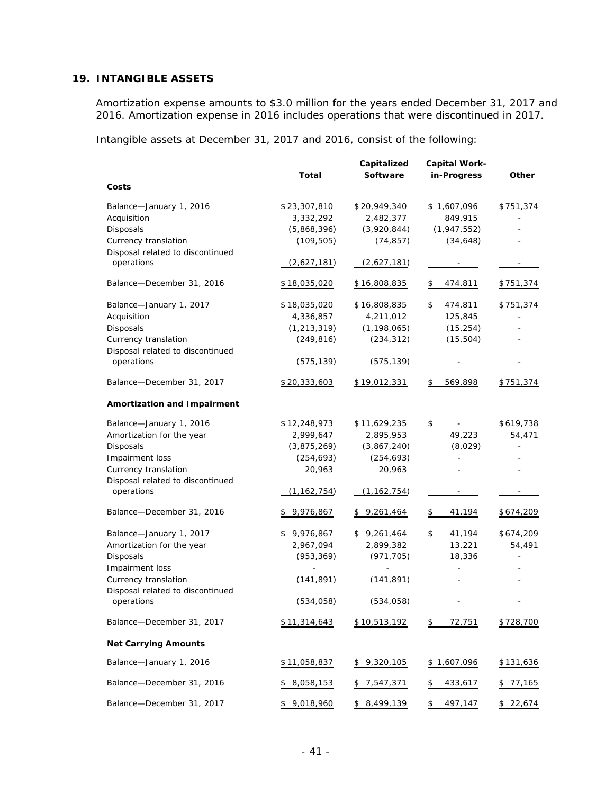## **19. INTANGIBLE ASSETS**

Amortization expense amounts to \$3.0 million for the years ended December 31, 2017 and 2016. Amortization expense in 2016 includes operations that were discontinued in 2017.

Intangible assets at December 31, 2017 and 2016, consist of the following:

|                                  |               | Capitalized   | Capital Work- |                          |
|----------------------------------|---------------|---------------|---------------|--------------------------|
|                                  | Total         | Software      | in-Progress   | Other                    |
| Costs                            |               |               |               |                          |
| Balance-January 1, 2016          | \$23,307,810  | \$20,949,340  | \$1,607,096   | \$751,374                |
| Acquisition                      | 3,332,292     | 2,482,377     | 849,915       |                          |
| Disposals                        | (5,868,396)   | (3,920,844)   | (1, 947, 552) | $\overline{\phantom{a}}$ |
| Currency translation             | (109, 505)    | (74, 857)     | (34, 648)     |                          |
| Disposal related to discontinued |               |               |               |                          |
| operations                       | (2,627,181)   | (2,627,181)   |               |                          |
| Balance-December 31, 2016        | \$18,035,020  | \$16,808,835  | 474,811<br>\$ | \$751,374                |
| Balance-January 1, 2017          | \$18,035,020  | \$16,808,835  | \$<br>474,811 | \$751,374                |
| Acquisition                      | 4,336,857     | 4,211,012     | 125,845       |                          |
| Disposals                        | (1, 213, 319) | (1, 198, 065) | (15, 254)     |                          |
| Currency translation             | (249, 816)    | (234, 312)    | (15, 504)     |                          |
| Disposal related to discontinued |               |               |               |                          |
| operations                       | (575, 139)    | (575, 139)    |               |                          |
| Balance-December 31, 2017        | \$20,333,603  | \$19,012,331  | 569,898<br>\$ | \$751,374                |
| Amortization and Impairment      |               |               |               |                          |
| Balance-January 1, 2016          | \$12,248,973  | \$11,629,235  | \$            | \$619,738                |
| Amortization for the year        | 2,999,647     | 2,895,953     | 49,223        | 54,471                   |
| Disposals                        | (3,875,269)   | (3,867,240)   | (8,029)       | ÷,                       |
| Impairment loss                  | (254, 693)    | (254, 693)    |               | $\sim$                   |
| Currency translation             | 20,963        | 20,963        |               |                          |
| Disposal related to discontinued |               |               |               |                          |
| operations                       | (1, 162, 754) | (1, 162, 754) |               |                          |
| Balance-December 31, 2016        | \$9,976,867   | \$9,261,464   | \$<br>41,194  | \$674,209                |
| Balance-January 1, 2017          | \$9,976,867   | \$9,261,464   | \$<br>41,194  | \$674,209                |
| Amortization for the year        | 2,967,094     | 2,899,382     | 13,221        | 54,491                   |
| Disposals                        | (953, 369)    | (971, 705)    | 18,336        | ÷,                       |
| Impairment loss                  |               |               |               |                          |
| Currency translation             | (141, 891)    | (141, 891)    |               |                          |
| Disposal related to discontinued |               |               |               |                          |
| operations                       | (534, 058)    | (534, 058)    |               |                          |
| Balance-December 31, 2017        | \$11,314,643  | \$10,513,192  | \$<br>72,751  | \$728,700                |
| <b>Net Carrying Amounts</b>      |               |               |               |                          |
| Balance-January 1, 2016          | \$11,058,837  | \$9,320,105   | \$1,607,096   | \$131,636                |
| Balance-December 31, 2016        | \$8,058,153   | \$7,547,371   | 433,617<br>\$ | \$77,165                 |
| Balance-December 31, 2017        | \$9,018,960   | \$8,499,139   | \$<br>497,147 | \$22,674                 |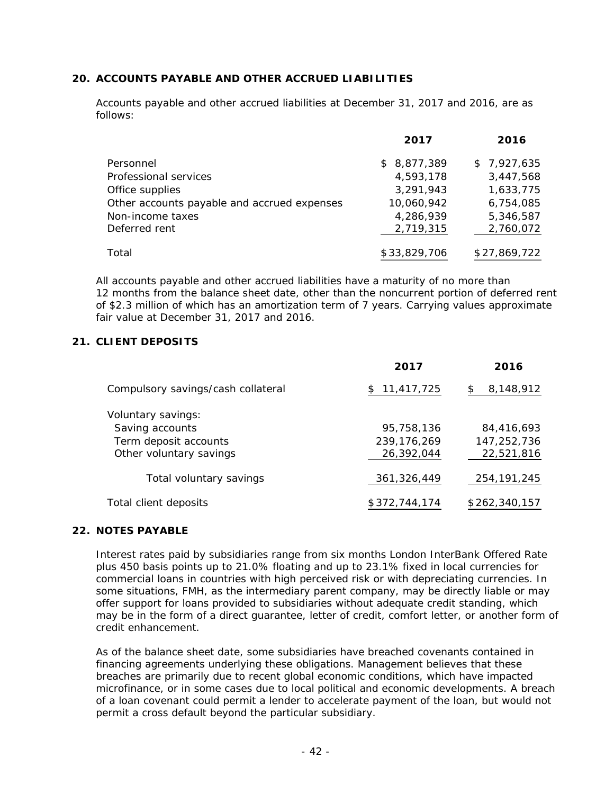#### **20. ACCOUNTS PAYABLE AND OTHER ACCRUED LIABILITIES**

Accounts payable and other accrued liabilities at December 31, 2017 and 2016, are as follows:

|                                             | 2017         | 2016         |
|---------------------------------------------|--------------|--------------|
| Personnel                                   | \$8,877,389  | \$7,927,635  |
| Professional services                       | 4,593,178    | 3,447,568    |
| Office supplies                             | 3,291,943    | 1,633,775    |
| Other accounts payable and accrued expenses | 10,060,942   | 6,754,085    |
| Non-income taxes                            | 4,286,939    | 5,346,587    |
| Deferred rent                               | 2,719,315    | 2,760,072    |
| Total                                       | \$33,829,706 | \$27,869,722 |

All accounts payable and other accrued liabilities have a maturity of no more than 12 months from the balance sheet date, other than the noncurrent portion of deferred rent of \$2.3 million of which has an amortization term of 7 years. Carrying values approximate fair value at December 31, 2017 and 2016.

#### **21. CLIENT DEPOSITS**

|                                    | 2017            | 2016            |
|------------------------------------|-----------------|-----------------|
| Compulsory savings/cash collateral | 11,417,725<br>S | 8,148,912<br>\$ |
| Voluntary savings:                 |                 |                 |
| Saving accounts                    | 95,758,136      | 84,416,693      |
| Term deposit accounts              | 239, 176, 269   | 147,252,736     |
| Other voluntary savings            | 26,392,044      | 22,521,816      |
| Total voluntary savings            | 361,326,449     | 254, 191, 245   |
| Total client deposits              | \$372,744,174   | \$262,340,157   |

#### **22. NOTES PAYABLE**

Interest rates paid by subsidiaries range from six months London InterBank Offered Rate plus 450 basis points up to 21.0% floating and up to 23.1% fixed in local currencies for commercial loans in countries with high perceived risk or with depreciating currencies. In some situations, FMH, as the intermediary parent company, may be directly liable or may offer support for loans provided to subsidiaries without adequate credit standing, which may be in the form of a direct guarantee, letter of credit, comfort letter, or another form of credit enhancement.

As of the balance sheet date, some subsidiaries have breached covenants contained in financing agreements underlying these obligations. Management believes that these breaches are primarily due to recent global economic conditions, which have impacted microfinance, or in some cases due to local political and economic developments. A breach of a loan covenant could permit a lender to accelerate payment of the loan, but would not permit a cross default beyond the particular subsidiary.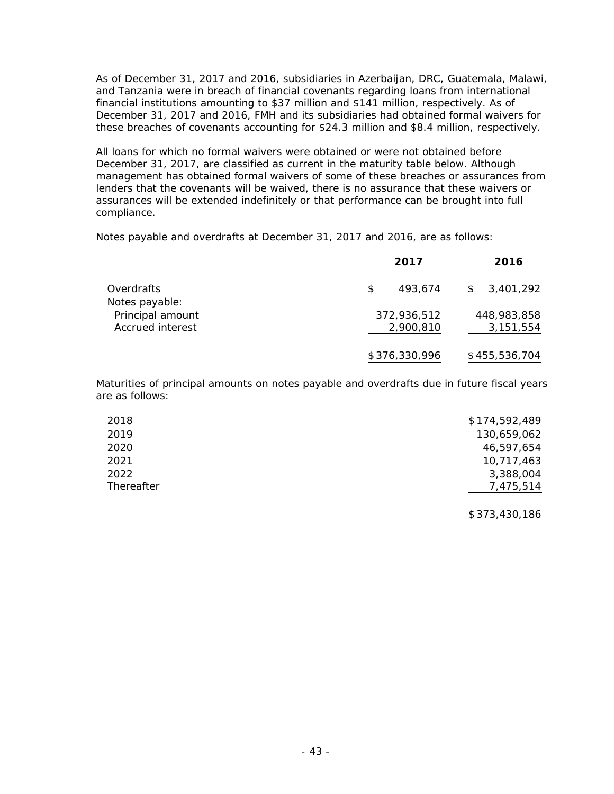As of December 31, 2017 and 2016, subsidiaries in Azerbaijan, DRC, Guatemala, Malawi, and Tanzania were in breach of financial covenants regarding loans from international financial institutions amounting to \$37 million and \$141 million, respectively. As of December 31, 2017 and 2016, FMH and its subsidiaries had obtained formal waivers for these breaches of covenants accounting for \$24.3 million and \$8.4 million, respectively.

All loans for which no formal waivers were obtained or were not obtained before December 31, 2017, are classified as current in the maturity table below. Although management has obtained formal waivers of some of these breaches or assurances from lenders that the covenants will be waived, there is no assurance that these waivers or assurances will be extended indefinitely or that performance can be brought into full compliance.

Notes payable and overdrafts at December 31, 2017 and 2016, are as follows:

|                  | 2017          | 2016            |
|------------------|---------------|-----------------|
| Overdrafts       | 493.674<br>\$ | 3,401,292<br>\$ |
| Notes payable:   |               |                 |
| Principal amount | 372,936,512   | 448,983,858     |
| Accrued interest | 2,900,810     | 3,151,554       |
|                  | \$376,330,996 | \$455,536,704   |

Maturities of principal amounts on notes payable and overdrafts due in future fiscal years are as follows:

| 2018       | \$174,592,489 |
|------------|---------------|
| 2019       | 130,659,062   |
| 2020       | 46,597,654    |
| 2021       | 10,717,463    |
| 2022       | 3,388,004     |
| Thereafter | 7,475,514     |
|            |               |

\$373,430,186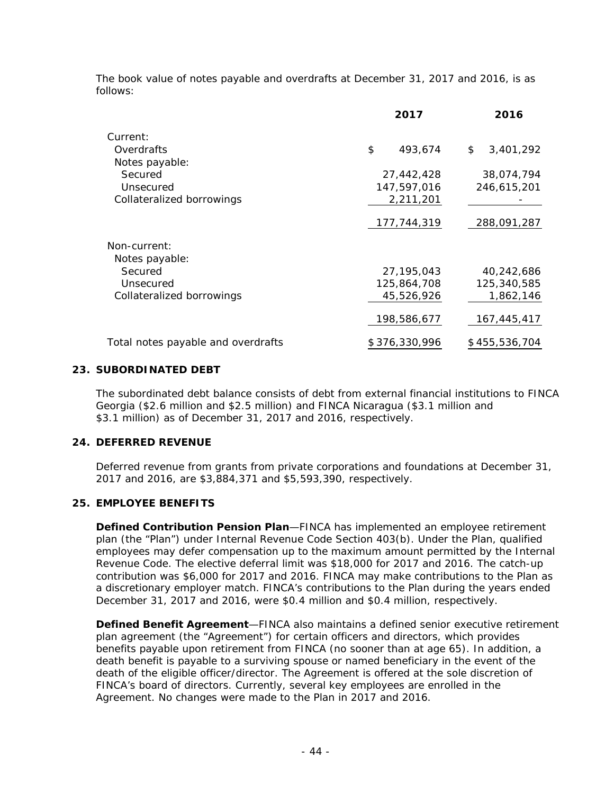The book value of notes payable and overdrafts at December 31, 2017 and 2016, is as follows:

|                                    | 2017          | 2016            |
|------------------------------------|---------------|-----------------|
| Current:                           |               |                 |
| Overdrafts                         | \$<br>493,674 | 3,401,292<br>\$ |
| Notes payable:                     |               |                 |
| Secured                            | 27,442,428    | 38,074,794      |
| Unsecured                          | 147,597,016   | 246,615,201     |
| Collateralized borrowings          | 2,211,201     |                 |
|                                    | 177,744,319   | 288,091,287     |
| Non-current:                       |               |                 |
| Notes payable:                     |               |                 |
| Secured                            | 27, 195, 043  | 40,242,686      |
| Unsecured                          | 125,864,708   | 125,340,585     |
| Collateralized borrowings          | 45,526,926    | 1,862,146       |
|                                    | 198,586,677   | 167,445,417     |
| Total notes payable and overdrafts | \$376,330,996 | \$455,536,704   |

#### **23. SUBORDINATED DEBT**

The subordinated debt balance consists of debt from external financial institutions to FINCA Georgia (\$2.6 million and \$2.5 million) and FINCA Nicaragua (\$3.1 million and \$3.1 million) as of December 31, 2017 and 2016, respectively.

#### **24. DEFERRED REVENUE**

Deferred revenue from grants from private corporations and foundations at December 31, 2017 and 2016, are \$3,884,371 and \$5,593,390, respectively.

#### **25. EMPLOYEE BENEFITS**

**Defined Contribution Pension Plan**—FINCA has implemented an employee retirement plan (the "Plan") under Internal Revenue Code Section 403(b). Under the Plan, qualified employees may defer compensation up to the maximum amount permitted by the Internal Revenue Code. The elective deferral limit was \$18,000 for 2017 and 2016. The catch-up contribution was \$6,000 for 2017 and 2016. FINCA may make contributions to the Plan as a discretionary employer match. FINCA's contributions to the Plan during the years ended December 31, 2017 and 2016, were \$0.4 million and \$0.4 million, respectively.

**Defined Benefit Agreement**—FINCA also maintains a defined senior executive retirement plan agreement (the "Agreement") for certain officers and directors, which provides benefits payable upon retirement from FINCA (no sooner than at age 65). In addition, a death benefit is payable to a surviving spouse or named beneficiary in the event of the death of the eligible officer/director. The Agreement is offered at the sole discretion of FINCA's board of directors. Currently, several key employees are enrolled in the Agreement. No changes were made to the Plan in 2017 and 2016.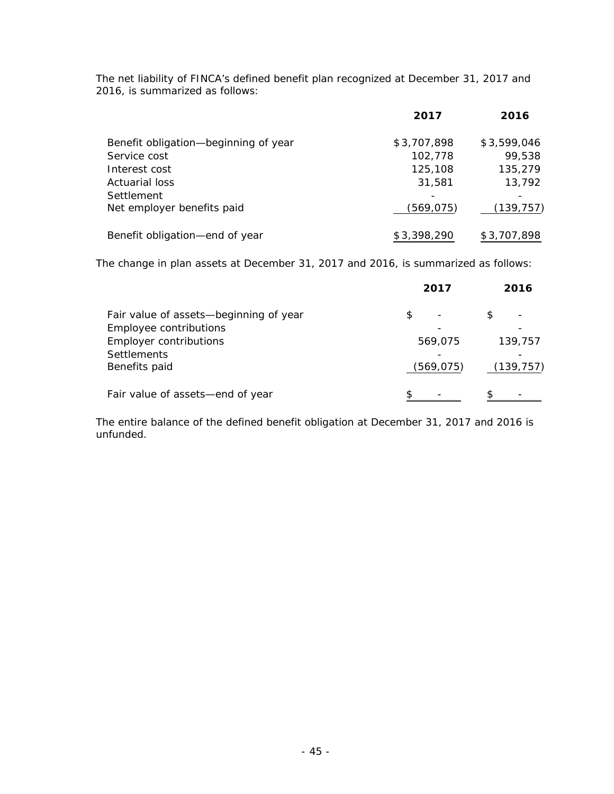The net liability of FINCA's defined benefit plan recognized at December 31, 2017 and 2016, is summarized as follows:

|                                      | 2017        | 2016        |
|--------------------------------------|-------------|-------------|
| Benefit obligation-beginning of year | \$3,707,898 | \$3,599,046 |
| Service cost                         | 102,778     | 99,538      |
| Interest cost                        | 125,108     | 135,279     |
| Actuarial loss                       | 31,581      | 13,792      |
| Settlement                           |             |             |
| Net employer benefits paid           | (569, 075)  | (139, 757)  |
| Benefit obligation-end of year       | \$3,398,290 | \$3,707,898 |

The change in plan assets at December 31, 2017 and 2016, is summarized as follows:

|                                        | 2017       | 2016       |
|----------------------------------------|------------|------------|
| Fair value of assets—beginning of year |            |            |
| Employee contributions                 |            |            |
| Employer contributions                 | 569,075    | 139,757    |
| <b>Settlements</b>                     |            |            |
| Benefits paid                          | (569, 075) | (139, 757) |
| Fair value of assets-end of year       |            |            |

The entire balance of the defined benefit obligation at December 31, 2017 and 2016 is unfunded.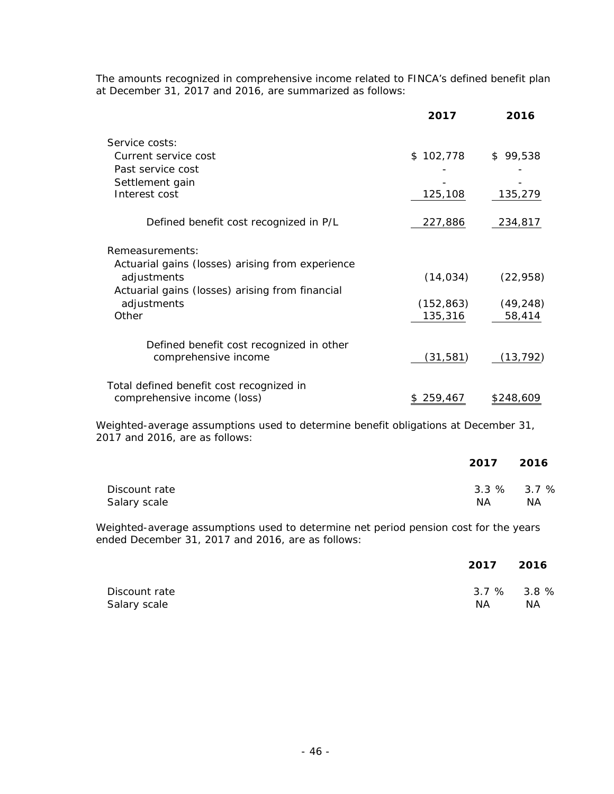The amounts recognized in comprehensive income related to FINCA's defined benefit plan at December 31, 2017 and 2016, are summarized as follows:

|                                                                                   | 2017       | 2016      |
|-----------------------------------------------------------------------------------|------------|-----------|
| Service costs:                                                                    |            |           |
| Current service cost                                                              | \$102,778  | \$99,538  |
| Past service cost                                                                 |            |           |
| Settlement gain                                                                   |            |           |
| Interest cost                                                                     | 125,108    | 135,279   |
| Defined benefit cost recognized in P/L                                            | 227,886    | 234,817   |
| Remeasurements:                                                                   |            |           |
| Actuarial gains (losses) arising from experience                                  |            |           |
| adjustments                                                                       | (14, 034)  | (22, 958) |
| Actuarial gains (losses) arising from financial                                   |            |           |
| adjustments                                                                       | (152, 863) | (49, 248) |
| Other                                                                             | 135,316    | 58,414    |
| Defined benefit cost recognized in other                                          |            |           |
| comprehensive income                                                              | (31, 581)  | (13, 792) |
| Total defined benefit cost recognized in                                          |            |           |
| comprehensive income (loss)                                                       | \$259,467  | \$248,609 |
| loighted overage accumptions used to determine benefit obligations at Desember 21 |            |           |

Weighted-average assumptions used to determine benefit obligations at December 31, 2017 and 2016, are as follows:

|               | 2017            | - 2016 |
|---------------|-----------------|--------|
| Discount rate | $3.3\%$ $3.7\%$ |        |
| Salary scale  | NA.             | NA.    |

Weighted-average assumptions used to determine net period pension cost for the years ended December 31, 2017 and 2016, are as follows:

|               | 2017         | -2016 |
|---------------|--------------|-------|
| Discount rate | $3.7%$ 3.8 % |       |
| Salary scale  | NA.          | NA.   |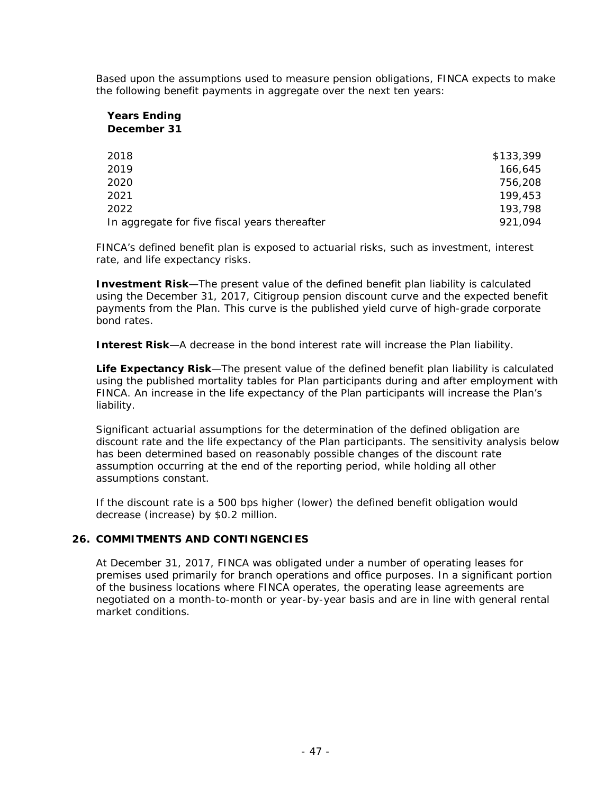Based upon the assumptions used to measure pension obligations, FINCA expects to make the following benefit payments in aggregate over the next ten years:

#### **Years Ending December 31**

| 2018                                          | \$133,399 |
|-----------------------------------------------|-----------|
| 2019                                          | 166,645   |
| 2020                                          | 756,208   |
| 2021                                          | 199,453   |
| 2022                                          | 193,798   |
| In aggregate for five fiscal years thereafter | 921.094   |

FINCA's defined benefit plan is exposed to actuarial risks, such as investment, interest rate, and life expectancy risks.

**Investment Risk**—The present value of the defined benefit plan liability is calculated using the December 31, 2017, Citigroup pension discount curve and the expected benefit payments from the Plan. This curve is the published yield curve of high-grade corporate bond rates.

**Interest Risk**—A decrease in the bond interest rate will increase the Plan liability.

**Life Expectancy Risk**—The present value of the defined benefit plan liability is calculated using the published mortality tables for Plan participants during and after employment with FINCA. An increase in the life expectancy of the Plan participants will increase the Plan's liability.

Significant actuarial assumptions for the determination of the defined obligation are discount rate and the life expectancy of the Plan participants. The sensitivity analysis below has been determined based on reasonably possible changes of the discount rate assumption occurring at the end of the reporting period, while holding all other assumptions constant.

If the discount rate is a 500 bps higher (lower) the defined benefit obligation would decrease (increase) by \$0.2 million.

# **26. COMMITMENTS AND CONTINGENCIES**

At December 31, 2017, FINCA was obligated under a number of operating leases for premises used primarily for branch operations and office purposes. In a significant portion of the business locations where FINCA operates, the operating lease agreements are negotiated on a month-to-month or year-by-year basis and are in line with general rental market conditions.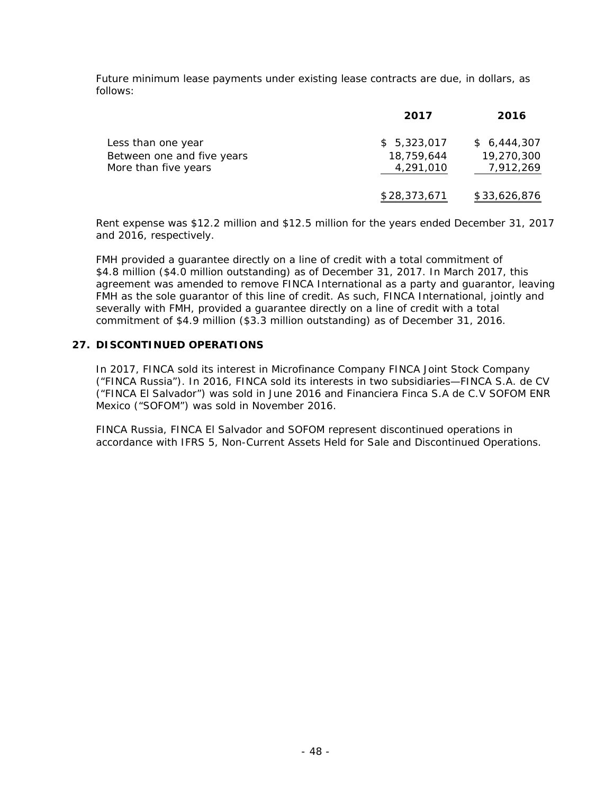Future minimum lease payments under existing lease contracts are due, in dollars, as follows:

|                            | 2017         | 2016         |
|----------------------------|--------------|--------------|
| Less than one year         | \$5,323,017  | \$6,444,307  |
| Between one and five years | 18,759,644   | 19,270,300   |
| More than five years       | 4,291,010    | 7,912,269    |
|                            | \$28,373,671 | \$33,626,876 |

Rent expense was \$12.2 million and \$12.5 million for the years ended December 31, 2017 and 2016, respectively.

FMH provided a guarantee directly on a line of credit with a total commitment of \$4.8 million (\$4.0 million outstanding) as of December 31, 2017. In March 2017, this agreement was amended to remove FINCA International as a party and guarantor, leaving FMH as the sole guarantor of this line of credit. As such, FINCA International, jointly and severally with FMH, provided a guarantee directly on a line of credit with a total commitment of \$4.9 million (\$3.3 million outstanding) as of December 31, 2016.

## **27. DISCONTINUED OPERATIONS**

In 2017, FINCA sold its interest in Microfinance Company FINCA Joint Stock Company ("FINCA Russia"). In 2016, FINCA sold its interests in two subsidiaries—FINCA S.A. de CV ("FINCA El Salvador") was sold in June 2016 and Financiera Finca S.A de C.V SOFOM ENR Mexico ("SOFOM") was sold in November 2016.

FINCA Russia, FINCA El Salvador and SOFOM represent discontinued operations in accordance with IFRS 5, *Non-Current Assets Held for Sale and Discontinued Operations*.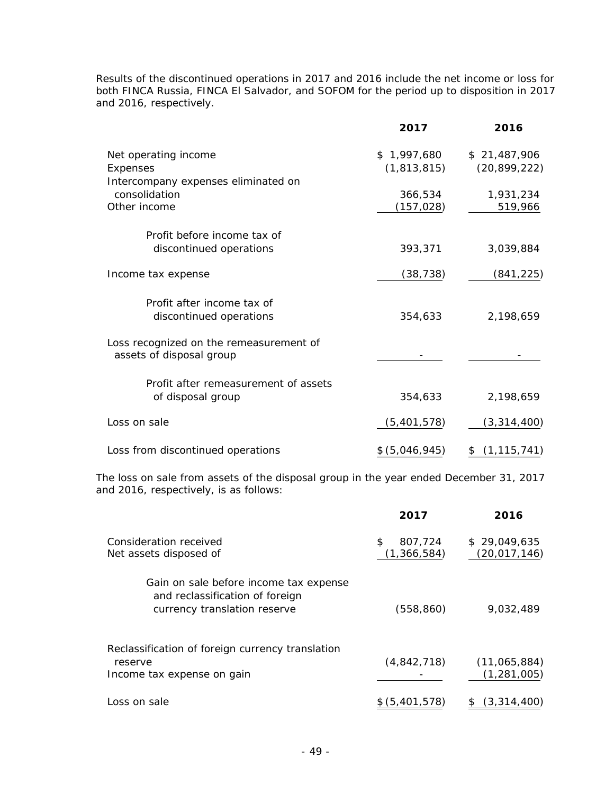Results of the discontinued operations in 2017 and 2016 include the net income or loss for both FINCA Russia, FINCA El Salvador, and SOFOM for the period up to disposition in 2017 and 2016, respectively.

|                                                                      | 2017                       | 2016                           |
|----------------------------------------------------------------------|----------------------------|--------------------------------|
| Net operating income<br>Expenses                                     | \$1,997,680<br>(1,813,815) | \$21,487,906<br>(20, 899, 222) |
| Intercompany expenses eliminated on<br>consolidation<br>Other income | 366,534<br>(157,028)       | 1,931,234<br>519,966           |
| Profit before income tax of<br>discontinued operations               | 393,371                    | 3,039,884                      |
| Income tax expense                                                   | (38, 738)                  | (841,225)                      |
| Profit after income tax of<br>discontinued operations                | 354,633                    | 2,198,659                      |
| Loss recognized on the remeasurement of<br>assets of disposal group  |                            |                                |
| Profit after remeasurement of assets<br>of disposal group            | 354,633                    | 2,198,659                      |
| Loss on sale                                                         | (5,401,578)                | (3, 314, 400)                  |
| Loss from discontinued operations                                    | (5,046,945)                | (1, 115, 741)<br>\$            |

The loss on sale from assets of the disposal group in the year ended December 31, 2017 and 2016, respectively, is as follows:

|                                                                                                           | 2017                           | 2016                           |
|-----------------------------------------------------------------------------------------------------------|--------------------------------|--------------------------------|
| Consideration received<br>Net assets disposed of                                                          | 807,724<br>\$<br>(1, 366, 584) | \$29,049,635<br>(20, 017, 146) |
| Gain on sale before income tax expense<br>and reclassification of foreign<br>currency translation reserve | (558, 860)                     | 9,032,489                      |
| Reclassification of foreign currency translation<br>reserve<br>Income tax expense on gain                 | (4,842,718)                    | (11,065,884)<br>(1, 281, 005)  |
| Loss on sale                                                                                              | \$ (5,401,578)                 | (3, 314, 400)<br>\$            |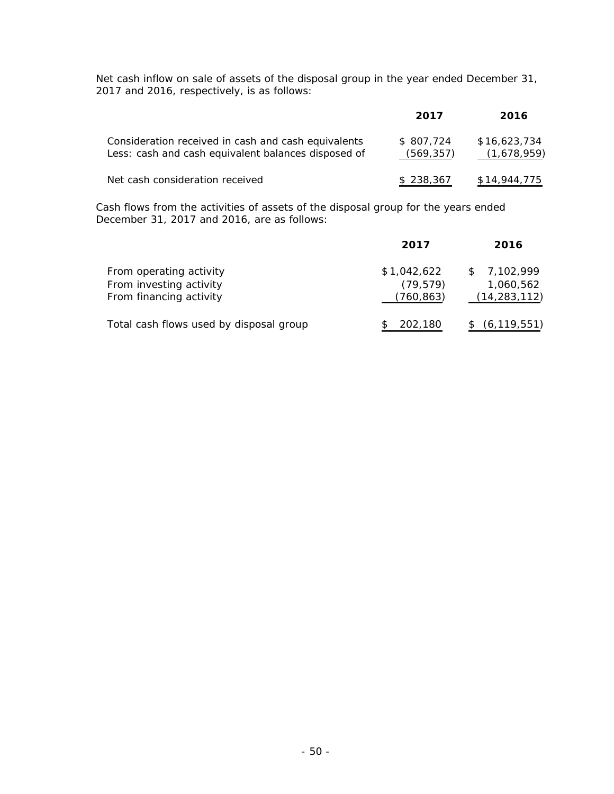Net cash inflow on sale of assets of the disposal group in the year ended December 31, 2017 and 2016, respectively, is as follows:

|                                                                                                            | 2017                    | 2016                        |
|------------------------------------------------------------------------------------------------------------|-------------------------|-----------------------------|
| Consideration received in cash and cash equivalents<br>Less: cash and cash equivalent balances disposed of | \$807.724<br>(569, 357) | \$16,623,734<br>(1,678,959) |
| Net cash consideration received                                                                            | \$238,367               | \$14,944,775                |

Cash flows from the activities of assets of the disposal group for the years ended December 31, 2017 and 2016, are as follows:

|                                         | 2017        | 2016            |
|-----------------------------------------|-------------|-----------------|
| From operating activity                 | \$1,042,622 | 7,102,999<br>S. |
| From investing activity                 | (79, 579)   | 1,060,562       |
| From financing activity                 | (760, 863)  | (14, 283, 112)  |
| Total cash flows used by disposal group | 202,180     | (6, 119, 551)   |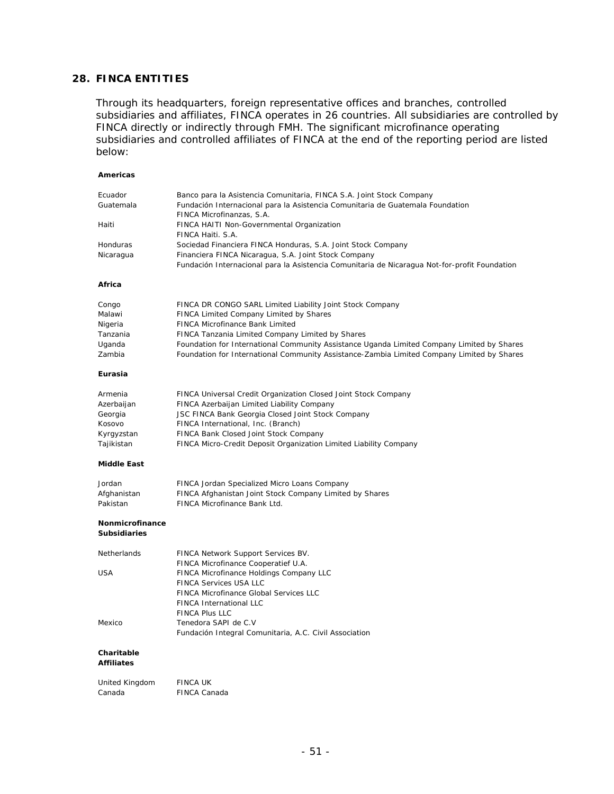## **28. FINCA ENTITIES**

Through its headquarters, foreign representative offices and branches, controlled subsidiaries and affiliates, FINCA operates in 26 countries. All subsidiaries are controlled by FINCA directly or indirectly through FMH. The significant microfinance operating subsidiaries and controlled affiliates of FINCA at the end of the reporting period are listed below:

#### **Americas**

| Ecuador<br>Guatemala                   | Banco para la Asistencia Comunitaria, FINCA S.A. Joint Stock Company<br>Fundación Internacional para la Asistencia Comunitaria de Guatemala Foundation<br>FINCA Microfinanzas, S.A.      |
|----------------------------------------|------------------------------------------------------------------------------------------------------------------------------------------------------------------------------------------|
| Haiti                                  | FINCA HAITI Non-Governmental Organization<br>FINCA Haiti. S.A.                                                                                                                           |
| Honduras                               | Sociedad Financiera FINCA Honduras, S.A. Joint Stock Company                                                                                                                             |
| Nicaragua                              | Financiera FINCA Nicaragua, S.A. Joint Stock Company<br>Fundación Internacional para la Asistencia Comunitaria de Nicaragua Not-for-profit Foundation                                    |
| Africa                                 |                                                                                                                                                                                          |
| Congo                                  | FINCA DR CONGO SARL Limited Liability Joint Stock Company                                                                                                                                |
| Malawi                                 | FINCA Limited Company Limited by Shares                                                                                                                                                  |
| Nigeria                                | <b>FINCA Microfinance Bank Limited</b>                                                                                                                                                   |
| Tanzania                               | FINCA Tanzania Limited Company Limited by Shares                                                                                                                                         |
| Uganda<br>Zambia                       | Foundation for International Community Assistance Uganda Limited Company Limited by Shares<br>Foundation for International Community Assistance-Zambia Limited Company Limited by Shares |
| Eurasia                                |                                                                                                                                                                                          |
| Armenia                                | FINCA Universal Credit Organization Closed Joint Stock Company                                                                                                                           |
| Azerbaijan                             | FINCA Azerbaijan Limited Liability Company                                                                                                                                               |
| Georgia                                | JSC FINCA Bank Georgia Closed Joint Stock Company                                                                                                                                        |
| Kosovo                                 | FINCA International, Inc. (Branch)                                                                                                                                                       |
| Kyrgyzstan                             | FINCA Bank Closed Joint Stock Company                                                                                                                                                    |
| Tajikistan                             | FINCA Micro-Credit Deposit Organization Limited Liability Company                                                                                                                        |
| <b>Middle East</b>                     |                                                                                                                                                                                          |
| Jordan                                 | FINCA Jordan Specialized Micro Loans Company                                                                                                                                             |
| Afghanistan                            | FINCA Afghanistan Joint Stock Company Limited by Shares                                                                                                                                  |
| Pakistan                               | FINCA Microfinance Bank Ltd.                                                                                                                                                             |
| Nonmicrofinance<br><b>Subsidiaries</b> |                                                                                                                                                                                          |
|                                        |                                                                                                                                                                                          |
| Netherlands                            | FINCA Network Support Services BV.                                                                                                                                                       |
|                                        | FINCA Microfinance Cooperatief U.A.                                                                                                                                                      |
| <b>USA</b>                             | FINCA Microfinance Holdings Company LLC                                                                                                                                                  |
|                                        | <b>FINCA Services USA LLC</b>                                                                                                                                                            |
|                                        | <b>FINCA Microfinance Global Services LLC</b>                                                                                                                                            |
|                                        | FINCA International LLC                                                                                                                                                                  |
|                                        | <b>FINCA Plus LLC</b>                                                                                                                                                                    |
| Mexico                                 | Tenedora SAPI de C.V                                                                                                                                                                     |
|                                        | Fundación Integral Comunitaria, A.C. Civil Association                                                                                                                                   |
| Charitable<br><b>Affiliates</b>        |                                                                                                                                                                                          |
| United Kingdom                         | FINCA UK                                                                                                                                                                                 |
| Canada                                 | FINCA Canada                                                                                                                                                                             |